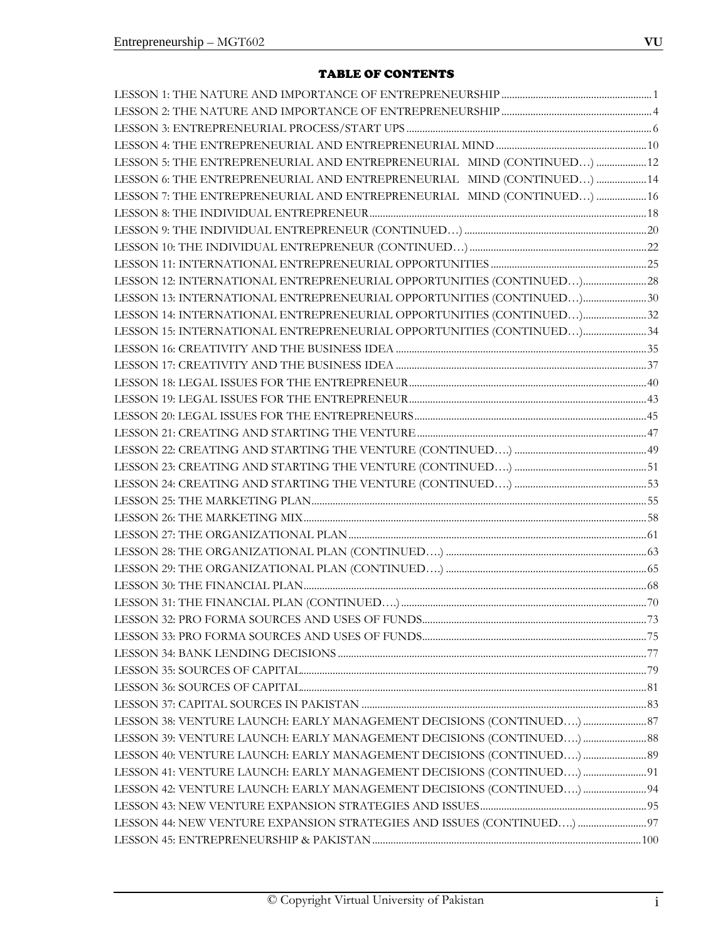# TABLE OF CONTENTS

| LESSON 5: THE ENTREPRENEURIAL AND ENTREPRENEURIAL MIND (CONTINUED)  12 |  |
|------------------------------------------------------------------------|--|
| LESSON 6: THE ENTREPRENEURIAL AND ENTREPRENEURIAL MIND (CONTINUED)  14 |  |
| LESSON 7: THE ENTREPRENEURIAL AND ENTREPRENEURIAL MIND (CONTINUED)  16 |  |
|                                                                        |  |
|                                                                        |  |
|                                                                        |  |
|                                                                        |  |
|                                                                        |  |
| LESSON 13: INTERNATIONAL ENTREPRENEURIAL OPPORTUNITIES (CONTINUED)30   |  |
| LESSON 14: INTERNATIONAL ENTREPRENEURIAL OPPORTUNITIES (CONTINUED)32   |  |
| LESSON 15: INTERNATIONAL ENTREPRENEURIAL OPPORTUNITIES (CONTINUED)34   |  |
|                                                                        |  |
|                                                                        |  |
|                                                                        |  |
|                                                                        |  |
|                                                                        |  |
|                                                                        |  |
|                                                                        |  |
|                                                                        |  |
|                                                                        |  |
|                                                                        |  |
|                                                                        |  |
|                                                                        |  |
|                                                                        |  |
|                                                                        |  |
|                                                                        |  |
|                                                                        |  |
|                                                                        |  |
|                                                                        |  |
|                                                                        |  |
|                                                                        |  |
|                                                                        |  |
|                                                                        |  |
| LESSON 38: VENTURE LAUNCH: EARLY MANAGEMENT DECISIONS (CONTINUED)  87  |  |
| LESSON 39: VENTURE LAUNCH: EARLY MANAGEMENT DECISIONS (CONTINUED)  88  |  |
| LESSON 40: VENTURE LAUNCH: EARLY MANAGEMENT DECISIONS (CONTINUED)  89  |  |
| LESSON 41: VENTURE LAUNCH: EARLY MANAGEMENT DECISIONS (CONTINUED)  91  |  |
| LESSON 42: VENTURE LAUNCH: EARLY MANAGEMENT DECISIONS (CONTINUED)  94  |  |
|                                                                        |  |
| LESSON 44: NEW VENTURE EXPANSION STRATEGIES AND ISSUES (CONTINUED)  97 |  |
|                                                                        |  |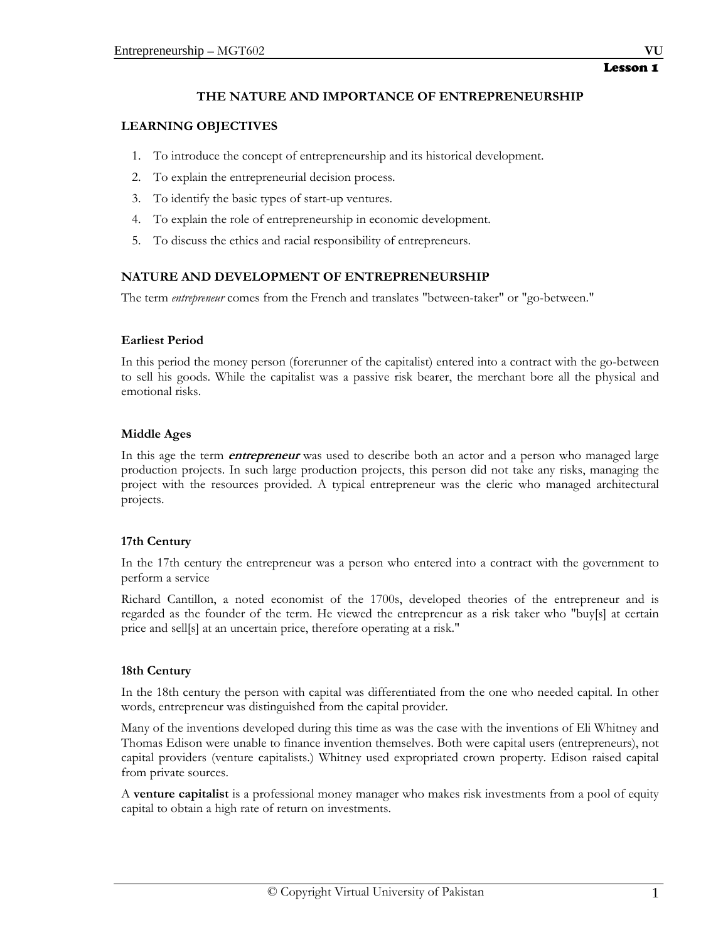# **THE NATURE AND IMPORTANCE OF ENTREPRENEURSHIP**

# **LEARNING OBJECTIVES**

- 1. To introduce the concept of entrepreneurship and its historical development.
- 2. To explain the entrepreneurial decision process.
- 3. To identify the basic types of start-up ventures.
- 4. To explain the role of entrepreneurship in economic development.
- 5. To discuss the ethics and racial responsibility of entrepreneurs.

# **NATURE AND DEVELOPMENT OF ENTREPRENEURSHIP**

The term *entrepreneur* comes from the French and translates "between-taker" or "go-between."

#### **Earliest Period**

In this period the money person (forerunner of the capitalist) entered into a contract with the go-between to sell his goods. While the capitalist was a passive risk bearer, the merchant bore all the physical and emotional risks.

#### **Middle Ages**

In this age the term **entrepreneur** was used to describe both an actor and a person who managed large production projects. In such large production projects, this person did not take any risks, managing the project with the resources provided. A typical entrepreneur was the cleric who managed architectural projects.

# **17th Century**

In the 17th century the entrepreneur was a person who entered into a contract with the government to perform a service

Richard Cantillon, a noted economist of the 1700s, developed theories of the entrepreneur and is regarded as the founder of the term. He viewed the entrepreneur as a risk taker who "buy[s] at certain price and sell[s] at an uncertain price, therefore operating at a risk."

# **18th Century**

In the 18th century the person with capital was differentiated from the one who needed capital. In other words, entrepreneur was distinguished from the capital provider.

Many of the inventions developed during this time as was the case with the inventions of Eli Whitney and Thomas Edison were unable to finance invention themselves. Both were capital users (entrepreneurs), not capital providers (venture capitalists.) Whitney used expropriated crown property. Edison raised capital from private sources.

A **venture capitalist** is a professional money manager who makes risk investments from a pool of equity capital to obtain a high rate of return on investments.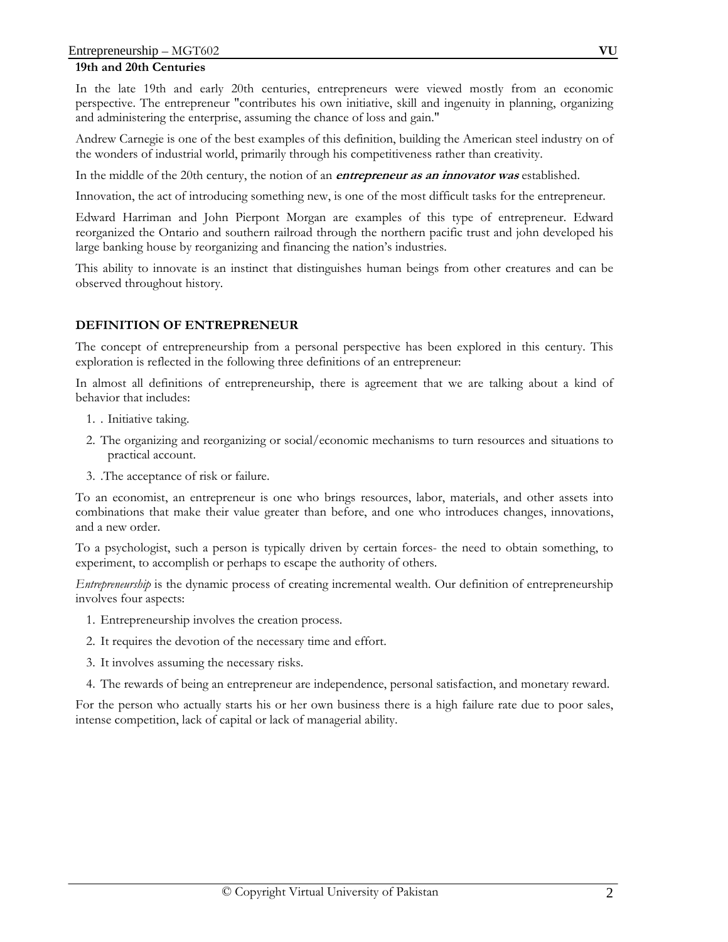## **19th and 20th Centuries**

In the late 19th and early 20th centuries, entrepreneurs were viewed mostly from an economic perspective. The entrepreneur "contributes his own initiative, skill and ingenuity in planning, organizing and administering the enterprise, assuming the chance of loss and gain."

Andrew Carnegie is one of the best examples of this definition, building the American steel industry on of the wonders of industrial world, primarily through his competitiveness rather than creativity.

In the middle of the 20th century, the notion of an **entrepreneur as an innovator was** established.

Innovation, the act of introducing something new, is one of the most difficult tasks for the entrepreneur.

Edward Harriman and John Pierpont Morgan are examples of this type of entrepreneur. Edward reorganized the Ontario and southern railroad through the northern pacific trust and john developed his large banking house by reorganizing and financing the nation's industries.

This ability to innovate is an instinct that distinguishes human beings from other creatures and can be observed throughout history.

# **DEFINITION OF ENTREPRENEUR**

The concept of entrepreneurship from a personal perspective has been explored in this century. This exploration is reflected in the following three definitions of an entrepreneur:

In almost all definitions of entrepreneurship, there is agreement that we are talking about a kind of behavior that includes:

- 1. . Initiative taking.
- 2. The organizing and reorganizing or social/economic mechanisms to turn resources and situations to practical account.
- 3. .The acceptance of risk or failure.

To an economist, an entrepreneur is one who brings resources, labor, materials, and other assets into combinations that make their value greater than before, and one who introduces changes, innovations, and a new order.

To a psychologist, such a person is typically driven by certain forces- the need to obtain something, to experiment, to accomplish or perhaps to escape the authority of others.

*Entrepreneurship* is the dynamic process of creating incremental wealth. Our definition of entrepreneurship involves four aspects:

- 1. Entrepreneurship involves the creation process.
- 2. It requires the devotion of the necessary time and effort.
- 3. It involves assuming the necessary risks.
- 4. The rewards of being an entrepreneur are independence, personal satisfaction, and monetary reward.

For the person who actually starts his or her own business there is a high failure rate due to poor sales, intense competition, lack of capital or lack of managerial ability.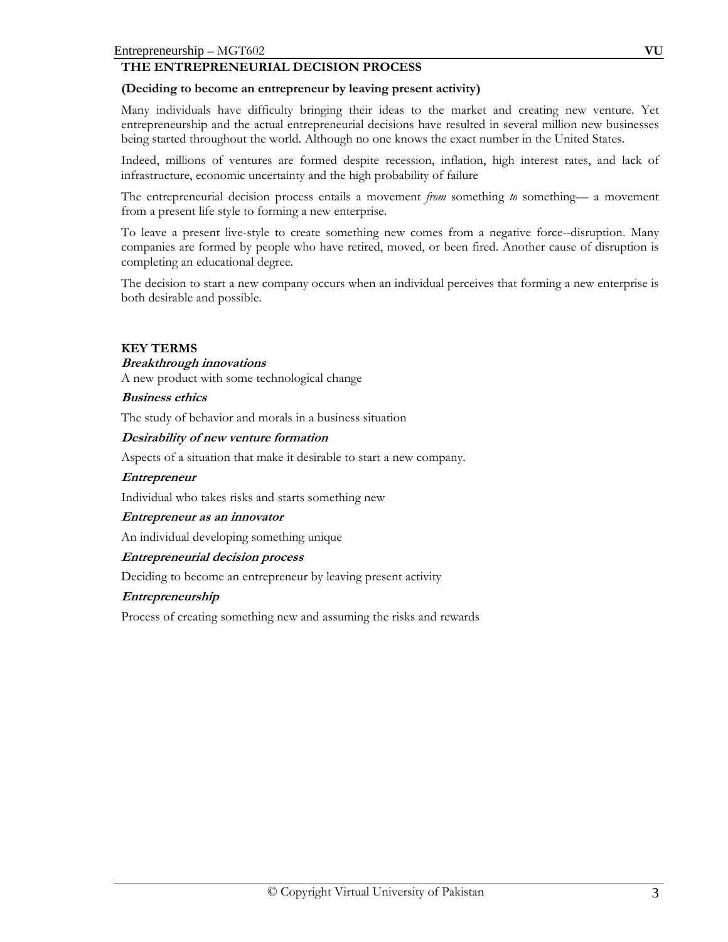# **THE ENTREPRENEURIAL DECISION PROCESS**

#### **(Deciding to become an entrepreneur by leaving present activity)**

Many individuals have difficulty bringing their ideas to the market and creating new venture. Yet entrepreneurship and the actual entrepreneurial decisions have resulted in several million new businesses being started throughout the world. Although no one knows the exact number in the United States.

Indeed, millions of ventures are formed despite recession, inflation, high interest rates, and lack of infrastructure, economic uncertainty and the high probability of failure

The entrepreneurial decision process entails a movement *from* something *to* something— a movement from a present life style to forming a new enterprise.

To leave a present live-style to create something new comes from a negative force--disruption. Many companies are formed by people who have retired, moved, or been fired. Another cause of disruption is completing an educational degree.

The decision to start a new company occurs when an individual perceives that forming a new enterprise is both desirable and possible.

#### **KEY TERMS**

#### **Breakthrough innovations**

A new product with some technological change

#### **Business ethics**

The study of behavior and morals in a business situation

#### **Desirability of new venture formation**

Aspects of a situation that make it desirable to start a new company.

#### **Entrepreneur**

Individual who takes risks and starts something new

#### **Entrepreneur as an innovator**

An individual developing something unique

#### **Entrepreneurial decision process**

Deciding to become an entrepreneur by leaving present activity

#### **Entrepreneurship**

Process of creating something new and assuming the risks and rewards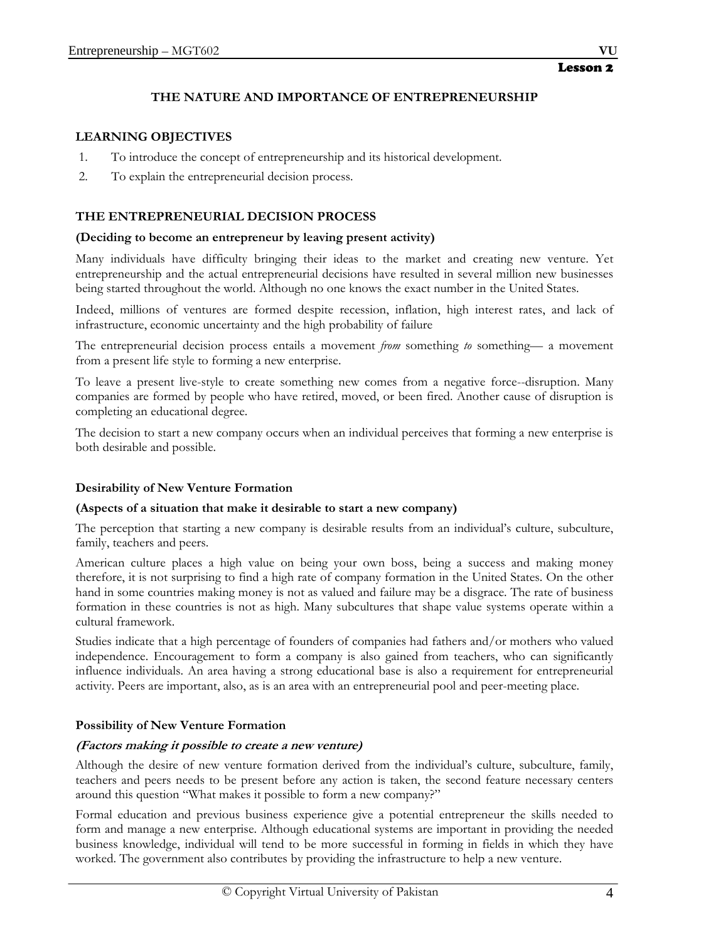# **THE NATURE AND IMPORTANCE OF ENTREPRENEURSHIP**

# **LEARNING OBJECTIVES**

- 1. To introduce the concept of entrepreneurship and its historical development.
- 2. To explain the entrepreneurial decision process.

# **THE ENTREPRENEURIAL DECISION PROCESS**

## **(Deciding to become an entrepreneur by leaving present activity)**

Many individuals have difficulty bringing their ideas to the market and creating new venture. Yet entrepreneurship and the actual entrepreneurial decisions have resulted in several million new businesses being started throughout the world. Although no one knows the exact number in the United States.

Indeed, millions of ventures are formed despite recession, inflation, high interest rates, and lack of infrastructure, economic uncertainty and the high probability of failure

The entrepreneurial decision process entails a movement *from* something *to* something— a movement from a present life style to forming a new enterprise.

To leave a present live-style to create something new comes from a negative force--disruption. Many companies are formed by people who have retired, moved, or been fired. Another cause of disruption is completing an educational degree.

The decision to start a new company occurs when an individual perceives that forming a new enterprise is both desirable and possible.

# **Desirability of New Venture Formation**

# **(Aspects of a situation that make it desirable to start a new company)**

The perception that starting a new company is desirable results from an individual's culture, subculture, family, teachers and peers.

American culture places a high value on being your own boss, being a success and making money therefore, it is not surprising to find a high rate of company formation in the United States. On the other hand in some countries making money is not as valued and failure may be a disgrace. The rate of business formation in these countries is not as high. Many subcultures that shape value systems operate within a cultural framework.

Studies indicate that a high percentage of founders of companies had fathers and/or mothers who valued independence. Encouragement to form a company is also gained from teachers, who can significantly influence individuals. An area having a strong educational base is also a requirement for entrepreneurial activity. Peers are important, also, as is an area with an entrepreneurial pool and peer-meeting place.

# **Possibility of New Venture Formation**

# **(Factors making it possible to create a new venture)**

Although the desire of new venture formation derived from the individual's culture, subculture, family, teachers and peers needs to be present before any action is taken, the second feature necessary centers around this question "What makes it possible to form a new company?"

Formal education and previous business experience give a potential entrepreneur the skills needed to form and manage a new enterprise. Although educational systems are important in providing the needed business knowledge, individual will tend to be more successful in forming in fields in which they have worked. The government also contributes by providing the infrastructure to help a new venture.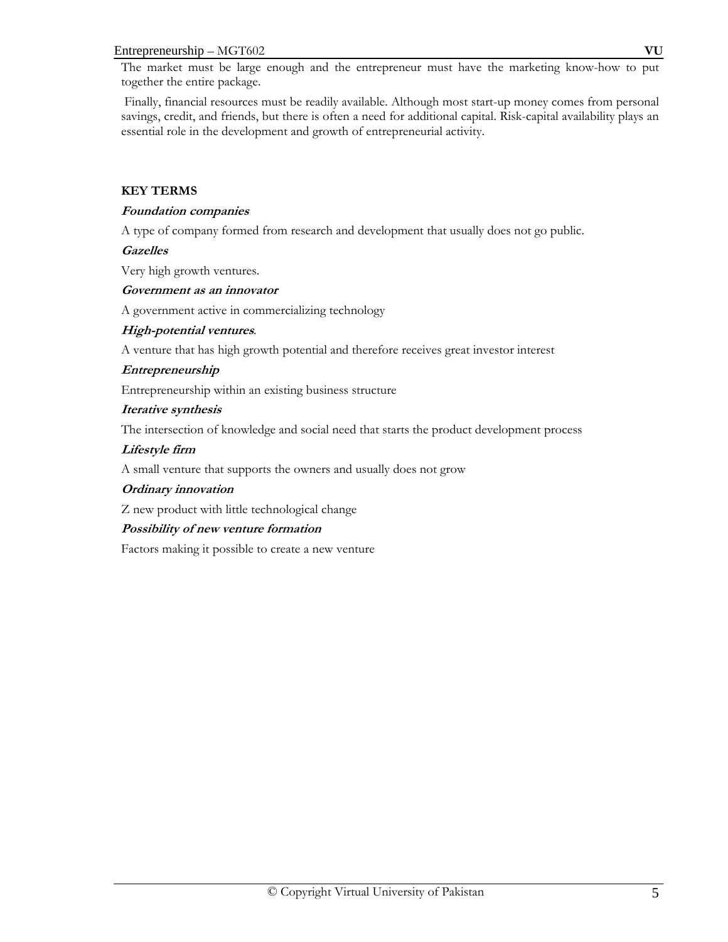#### Entrepreneurship – MGT602 **VU**

The market must be large enough and the entrepreneur must have the marketing know-how to put together the entire package.

 Finally, financial resources must be readily available. Although most start-up money comes from personal savings, credit, and friends, but there is often a need for additional capital. Risk-capital availability plays an essential role in the development and growth of entrepreneurial activity.

# **KEY TERMS**

# **Foundation companies**

A type of company formed from research and development that usually does not go public.

# **Gazelles**

Very high growth ventures.

# **Government as an innovator**

A government active in commercializing technology

# **High-potential ventures***.*

A venture that has high growth potential and therefore receives great investor interest

# **Entrepreneurship**

Entrepreneurship within an existing business structure

# **Iterative synthesis**

The intersection of knowledge and social need that starts the product development process

# **Lifestyle firm**

A small venture that supports the owners and usually does not grow

# **Ordinary innovation**

Z new product with little technological change

# **Possibility of new venture formation**

Factors making it possible to create a new venture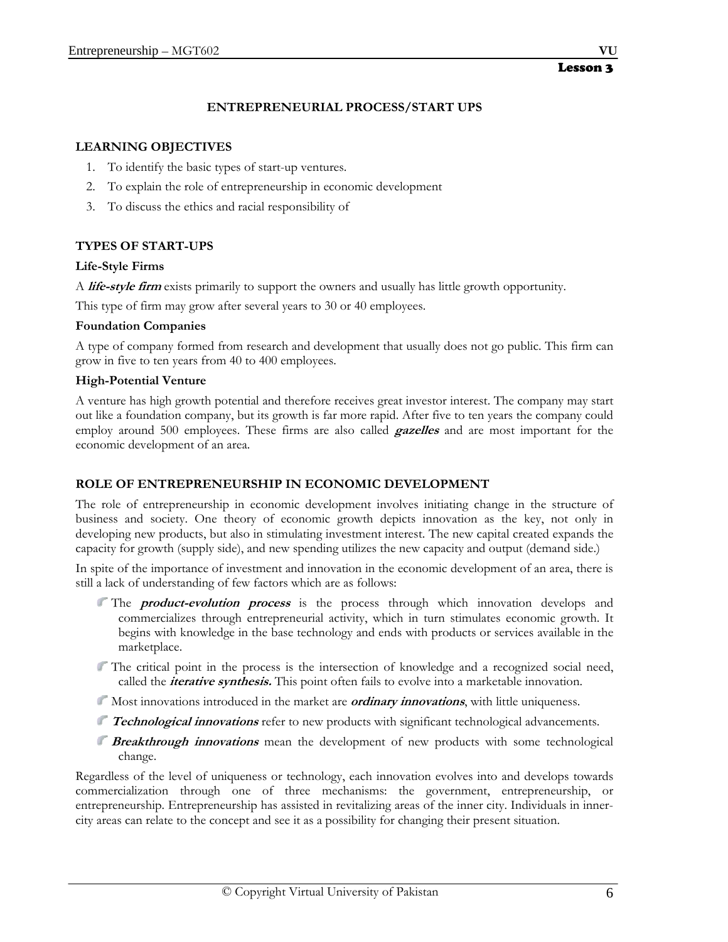# **ENTREPRENEURIAL PROCESS/START UPS**

# **LEARNING OBJECTIVES**

- 1. To identify the basic types of start-up ventures.
- 2. To explain the role of entrepreneurship in economic development
- 3. To discuss the ethics and racial responsibility of

# **TYPES OF START-UPS**

# **Life-Style Firms**

A **life-style firm** exists primarily to support the owners and usually has little growth opportunity.

This type of firm may grow after several years to 30 or 40 employees.

# **Foundation Companies**

A type of company formed from research and development that usually does not go public. This firm can grow in five to ten years from 40 to 400 employees.

# **High-Potential Venture**

A venture has high growth potential and therefore receives great investor interest. The company may start out like a foundation company, but its growth is far more rapid. After five to ten years the company could employ around 500 employees. These firms are also called **gazelles** and are most important for the economic development of an area.

# **ROLE OF ENTREPRENEURSHIP IN ECONOMIC DEVELOPMENT**

The role of entrepreneurship in economic development involves initiating change in the structure of business and society. One theory of economic growth depicts innovation as the key, not only in developing new products, but also in stimulating investment interest. The new capital created expands the capacity for growth (supply side), and new spending utilizes the new capacity and output (demand side.)

In spite of the importance of investment and innovation in the economic development of an area, there is still a lack of understanding of few factors which are as follows:

- The **product-evolution process** is the process through which innovation develops and commercializes through entrepreneurial activity, which in turn stimulates economic growth. It begins with knowledge in the base technology and ends with products or services available in the marketplace.
- The critical point in the process is the intersection of knowledge and a recognized social need, called the **iterative synthesis.** This point often fails to evolve into a marketable innovation.
- Most innovations introduced in the market are **ordinary innovations**, with little uniqueness.
- **Technological innovations** refer to new products with significant technological advancements.
- **Breakthrough innovations** mean the development of new products with some technological change.

Regardless of the level of uniqueness or technology, each innovation evolves into and develops towards commercialization through one of three mechanisms: the government, entrepreneurship, or entrepreneurship. Entrepreneurship has assisted in revitalizing areas of the inner city. Individuals in innercity areas can relate to the concept and see it as a possibility for changing their present situation.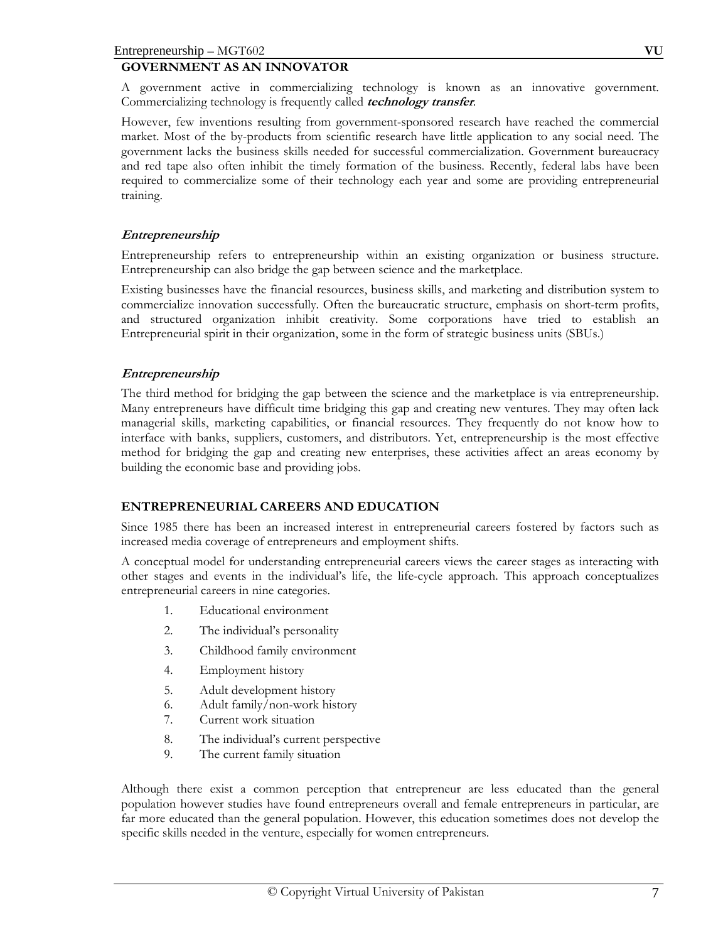# **GOVERNMENT AS AN INNOVATOR**

A government active in commercializing technology is known as an innovative government. Commercializing technology is frequently called **technology transfer**.

However, few inventions resulting from government-sponsored research have reached the commercial market. Most of the by-products from scientific research have little application to any social need. The government lacks the business skills needed for successful commercialization. Government bureaucracy and red tape also often inhibit the timely formation of the business. Recently, federal labs have been required to commercialize some of their technology each year and some are providing entrepreneurial training.

# **Entrepreneurship**

Entrepreneurship refers to entrepreneurship within an existing organization or business structure. Entrepreneurship can also bridge the gap between science and the marketplace.

Existing businesses have the financial resources, business skills, and marketing and distribution system to commercialize innovation successfully. Often the bureaucratic structure, emphasis on short-term profits, and structured organization inhibit creativity. Some corporations have tried to establish an Entrepreneurial spirit in their organization, some in the form of strategic business units (SBUs.)

# **Entrepreneurship**

The third method for bridging the gap between the science and the marketplace is via entrepreneurship. Many entrepreneurs have difficult time bridging this gap and creating new ventures. They may often lack managerial skills, marketing capabilities, or financial resources. They frequently do not know how to interface with banks, suppliers, customers, and distributors. Yet, entrepreneurship is the most effective method for bridging the gap and creating new enterprises, these activities affect an areas economy by building the economic base and providing jobs.

# **ENTREPRENEURIAL CAREERS AND EDUCATION**

Since 1985 there has been an increased interest in entrepreneurial careers fostered by factors such as increased media coverage of entrepreneurs and employment shifts.

A conceptual model for understanding entrepreneurial careers views the career stages as interacting with other stages and events in the individual's life, the life-cycle approach*.* This approach conceptualizes entrepreneurial careers in nine categories.

- 1. Educational environment
- 2. The individual's personality
- 3. Childhood family environment
- 4. Employment history
- 5. Adult development history
- 6. Adult family/non-work history
- 7. Current work situation
- 8. The individual's current perspective
- 9. The current family situation

Although there exist a common perception that entrepreneur are less educated than the general population however studies have found entrepreneurs overall and female entrepreneurs in particular, are far more educated than the general population. However, this education sometimes does not develop the specific skills needed in the venture, especially for women entrepreneurs.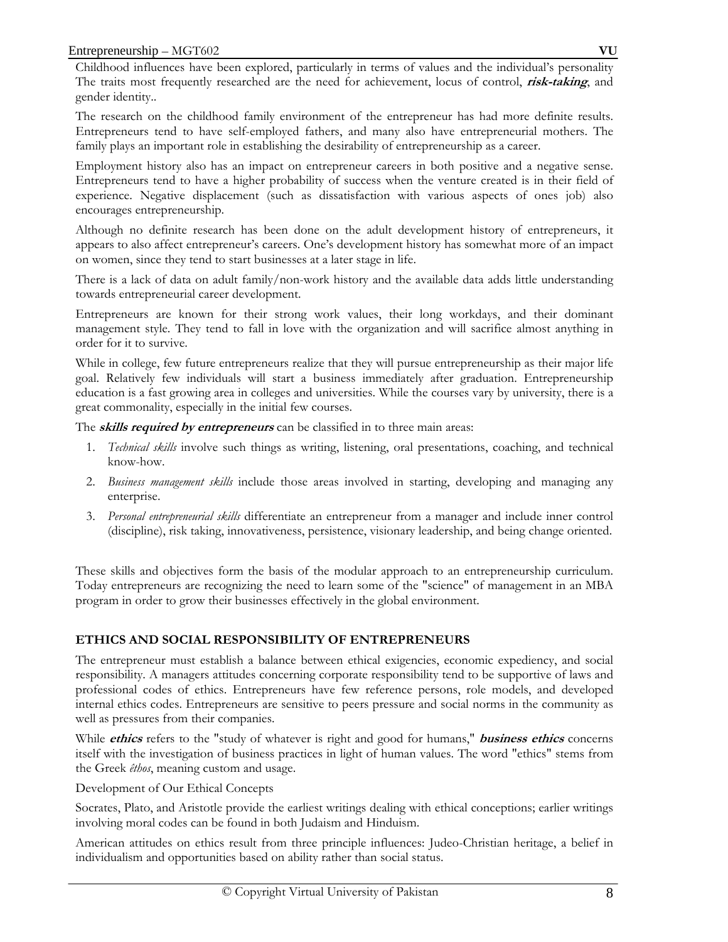The research on the childhood family environment of the entrepreneur has had more definite results. Entrepreneurs tend to have self-employed fathers, and many also have entrepreneurial mothers. The family plays an important role in establishing the desirability of entrepreneurship as a career.

Employment history also has an impact on entrepreneur careers in both positive and a negative sense. Entrepreneurs tend to have a higher probability of success when the venture created is in their field of experience. Negative displacement (such as dissatisfaction with various aspects of ones job) also encourages entrepreneurship.

Although no definite research has been done on the adult development history of entrepreneurs, it appears to also affect entrepreneur's careers. One's development history has somewhat more of an impact on women, since they tend to start businesses at a later stage in life.

There is a lack of data on adult family/non-work history and the available data adds little understanding towards entrepreneurial career development.

Entrepreneurs are known for their strong work values, their long workdays, and their dominant management style. They tend to fall in love with the organization and will sacrifice almost anything in order for it to survive.

While in college, few future entrepreneurs realize that they will pursue entrepreneurship as their major life goal. Relatively few individuals will start a business immediately after graduation. Entrepreneurship education is a fast growing area in colleges and universities. While the courses vary by university, there is a great commonality, especially in the initial few courses.

The **skills required by entrepreneurs** can be classified in to three main areas:

- 1. *Technical skills* involve such things as writing, listening, oral presentations, coaching, and technical know-how.
- 2. *Business management skills* include those areas involved in starting, developing and managing any enterprise.
- 3. *Personal entrepreneurial skills* differentiate an entrepreneur from a manager and include inner control (discipline), risk taking, innovativeness, persistence, visionary leadership, and being change oriented.

These skills and objectives form the basis of the modular approach to an entrepreneurship curriculum. Today entrepreneurs are recognizing the need to learn some of the "science" of management in an MBA program in order to grow their businesses effectively in the global environment.

# **ETHICS AND SOCIAL RESPONSIBILITY OF ENTREPRENEURS**

The entrepreneur must establish a balance between ethical exigencies, economic expediency, and social responsibility. A managers attitudes concerning corporate responsibility tend to be supportive of laws and professional codes of ethics. Entrepreneurs have few reference persons, role models, and developed internal ethics codes. Entrepreneurs are sensitive to peers pressure and social norms in the community as well as pressures from their companies.

While **ethics** refers to the "study of whatever is right and good for humans," **business ethics** concerns itself with the investigation of business practices in light of human values. The word "ethics" stems from the Greek *êthos*, meaning custom and usage.

Development of Our Ethical Concepts

Socrates, Plato, and Aristotle provide the earliest writings dealing with ethical conceptions; earlier writings involving moral codes can be found in both Judaism and Hinduism.

American attitudes on ethics result from three principle influences: Judeo-Christian heritage, a belief in individualism and opportunities based on ability rather than social status.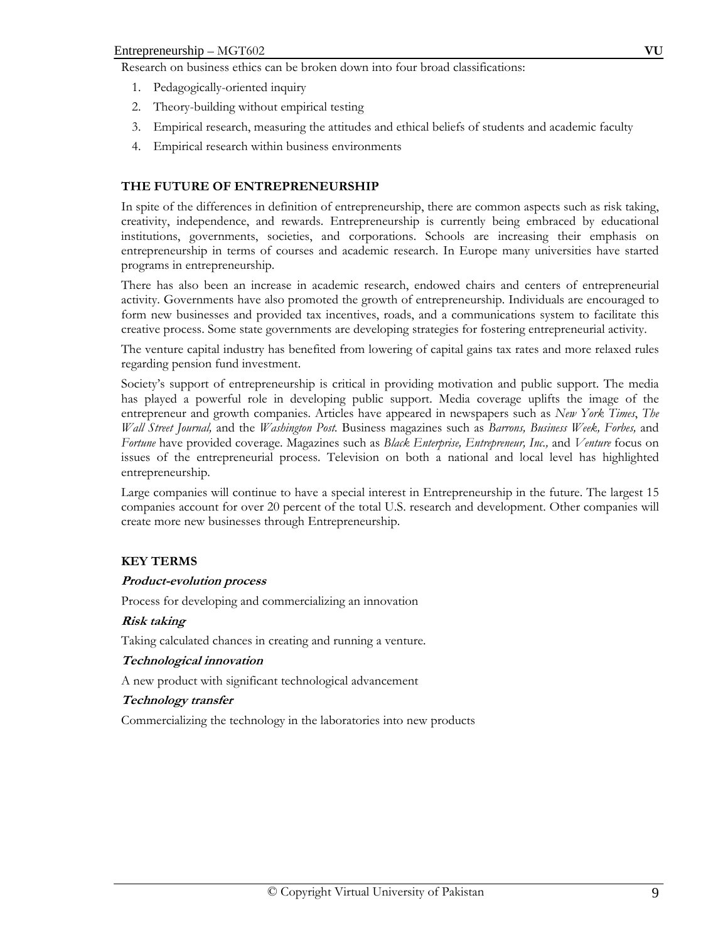Research on business ethics can be broken down into four broad classifications:

- 1. Pedagogically-oriented inquiry
- 2. Theory-building without empirical testing
- 3. Empirical research, measuring the attitudes and ethical beliefs of students and academic faculty
- 4. Empirical research within business environments

# **THE FUTURE OF ENTREPRENEURSHIP**

In spite of the differences in definition of entrepreneurship, there are common aspects such as risk taking, creativity, independence, and rewards. Entrepreneurship is currently being embraced by educational institutions, governments, societies, and corporations. Schools are increasing their emphasis on entrepreneurship in terms of courses and academic research. In Europe many universities have started programs in entrepreneurship.

There has also been an increase in academic research, endowed chairs and centers of entrepreneurial activity. Governments have also promoted the growth of entrepreneurship. Individuals are encouraged to form new businesses and provided tax incentives, roads, and a communications system to facilitate this creative process. Some state governments are developing strategies for fostering entrepreneurial activity.

The venture capital industry has benefited from lowering of capital gains tax rates and more relaxed rules regarding pension fund investment.

Society's support of entrepreneurship is critical in providing motivation and public support. The media has played a powerful role in developing public support. Media coverage uplifts the image of the entrepreneur and growth companies. Articles have appeared in newspapers such as *New York Times*, *The Wall Street Journal,* and the *Washington Post.* Business magazines such as *Barrons, Business Week, Forbes,* and *Fortune* have provided coverage. Magazines such as *Black Enterprise, Entrepreneur, Inc.,* and *Venture* focus on issues of the entrepreneurial process. Television on both a national and local level has highlighted entrepreneurship.

Large companies will continue to have a special interest in Entrepreneurship in the future. The largest 15 companies account for over 20 percent of the total U.S. research and development. Other companies will create more new businesses through Entrepreneurship.

# **KEY TERMS**

#### **Product-evolution process**

Process for developing and commercializing an innovation

#### **Risk taking**

Taking calculated chances in creating and running a venture.

#### **Technological innovation**

A new product with significant technological advancement

#### **Technology transfer**

Commercializing the technology in the laboratories into new products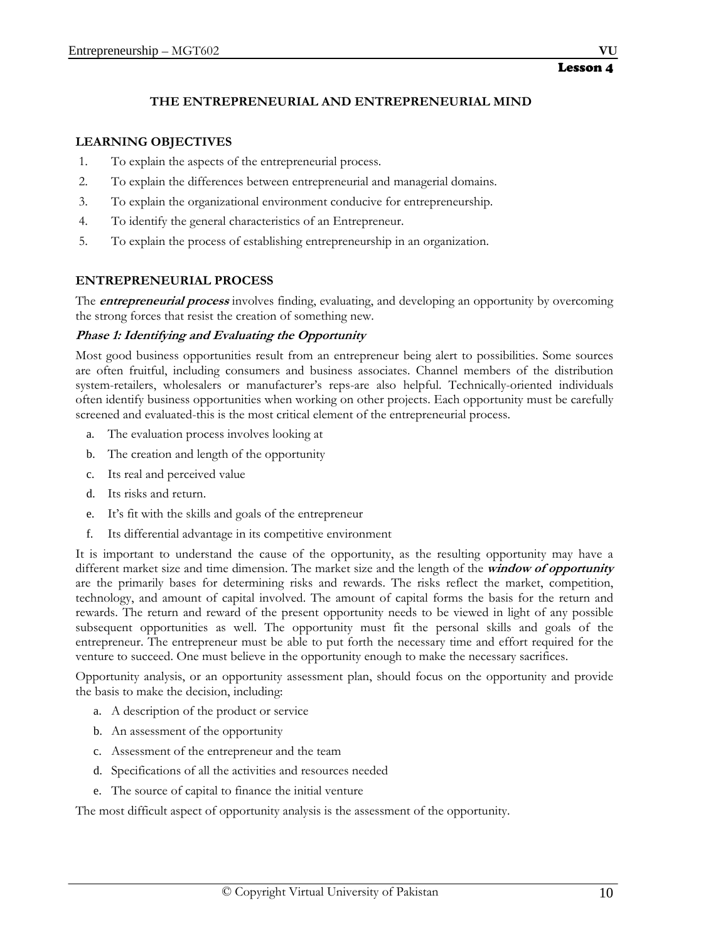# **THE ENTREPRENEURIAL AND ENTREPRENEURIAL MIND**

#### **LEARNING OBJECTIVES**

- 1. To explain the aspects of the entrepreneurial process.
- 2. To explain the differences between entrepreneurial and managerial domains.
- 3. To explain the organizational environment conducive for entrepreneurship.
- 4. To identify the general characteristics of an Entrepreneur.
- 5. To explain the process of establishing entrepreneurship in an organization.

# **ENTREPRENEURIAL PROCESS**

The **entrepreneurial process** involves finding, evaluating, and developing an opportunity by overcoming the strong forces that resist the creation of something new.

#### **Phase 1: Identifying and Evaluating the Opportunity**

Most good business opportunities result from an entrepreneur being alert to possibilities. Some sources are often fruitful, including consumers and business associates. Channel members of the distribution system-retailers, wholesalers or manufacturer's reps-are also helpful. Technically-oriented individuals often identify business opportunities when working on other projects. Each opportunity must be carefully screened and evaluated-this is the most critical element of the entrepreneurial process.

- a. The evaluation process involves looking at
- b. The creation and length of the opportunity
- c. Its real and perceived value
- d. Its risks and return.
- e. It's fit with the skills and goals of the entrepreneur
- f. Its differential advantage in its competitive environment

It is important to understand the cause of the opportunity, as the resulting opportunity may have a different market size and time dimension. The market size and the length of the **window of opportunity** are the primarily bases for determining risks and rewards. The risks reflect the market, competition, technology, and amount of capital involved. The amount of capital forms the basis for the return and rewards. The return and reward of the present opportunity needs to be viewed in light of any possible subsequent opportunities as well. The opportunity must fit the personal skills and goals of the entrepreneur. The entrepreneur must be able to put forth the necessary time and effort required for the venture to succeed. One must believe in the opportunity enough to make the necessary sacrifices.

Opportunity analysis, or an opportunity assessment plan, should focus on the opportunity and provide the basis to make the decision, including:

- a. A description of the product or service
- b. An assessment of the opportunity
- c. Assessment of the entrepreneur and the team
- d. Specifications of all the activities and resources needed
- e. The source of capital to finance the initial venture

The most difficult aspect of opportunity analysis is the assessment of the opportunity.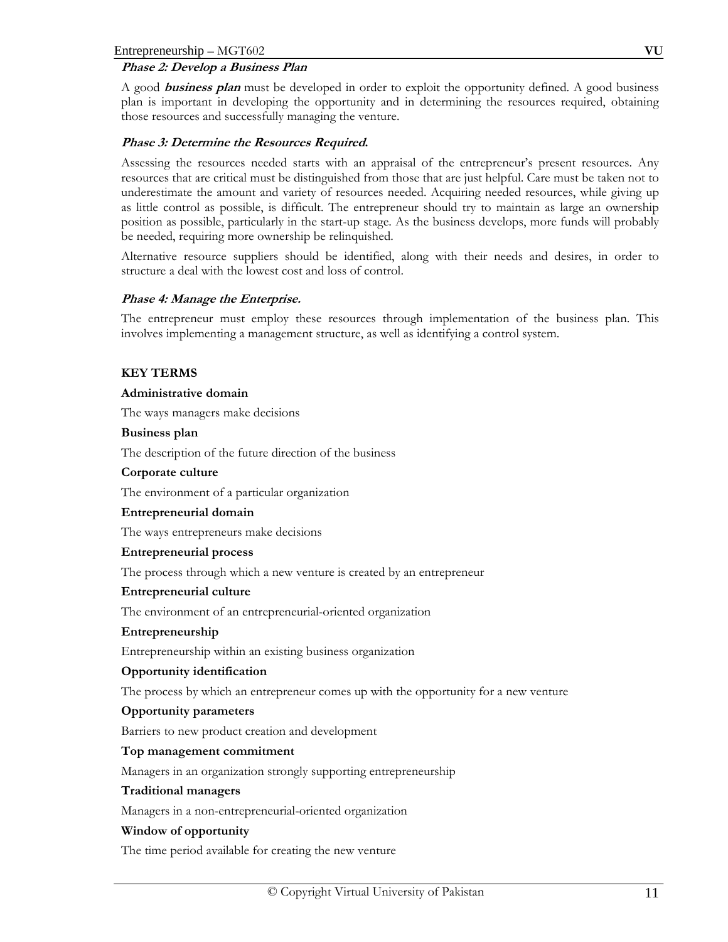# **Phase 2: Develop a Business Plan**

A good **business plan** must be developed in order to exploit the opportunity defined. A good business plan is important in developing the opportunity and in determining the resources required, obtaining those resources and successfully managing the venture.

# **Phase 3: Determine the Resources Required.**

Assessing the resources needed starts with an appraisal of the entrepreneur's present resources. Any resources that are critical must be distinguished from those that are just helpful. Care must be taken not to underestimate the amount and variety of resources needed. Acquiring needed resources, while giving up as little control as possible, is difficult. The entrepreneur should try to maintain as large an ownership position as possible, particularly in the start-up stage. As the business develops, more funds will probably be needed, requiring more ownership be relinquished.

Alternative resource suppliers should be identified, along with their needs and desires, in order to structure a deal with the lowest cost and loss of control.

# **Phase 4: Manage the Enterprise.**

The entrepreneur must employ these resources through implementation of the business plan. This involves implementing a management structure, as well as identifying a control system.

# **KEY TERMS**

#### **Administrative domain**

The ways managers make decisions

#### **Business plan**

The description of the future direction of the business

#### **Corporate culture**

The environment of a particular organization

#### **Entrepreneurial domain**

The ways entrepreneurs make decisions

#### **Entrepreneurial process**

The process through which a new venture is created by an entrepreneur

# **Entrepreneurial culture**

The environment of an entrepreneurial-oriented organization

#### **Entrepreneurship**

Entrepreneurship within an existing business organization

# **Opportunity identification**

The process by which an entrepreneur comes up with the opportunity for a new venture

# **Opportunity parameters**

Barriers to new product creation and development

# **Top management commitment**

Managers in an organization strongly supporting entrepreneurship

#### **Traditional managers**

Managers in a non-entrepreneurial-oriented organization

# **Window of opportunity**

The time period available for creating the new venture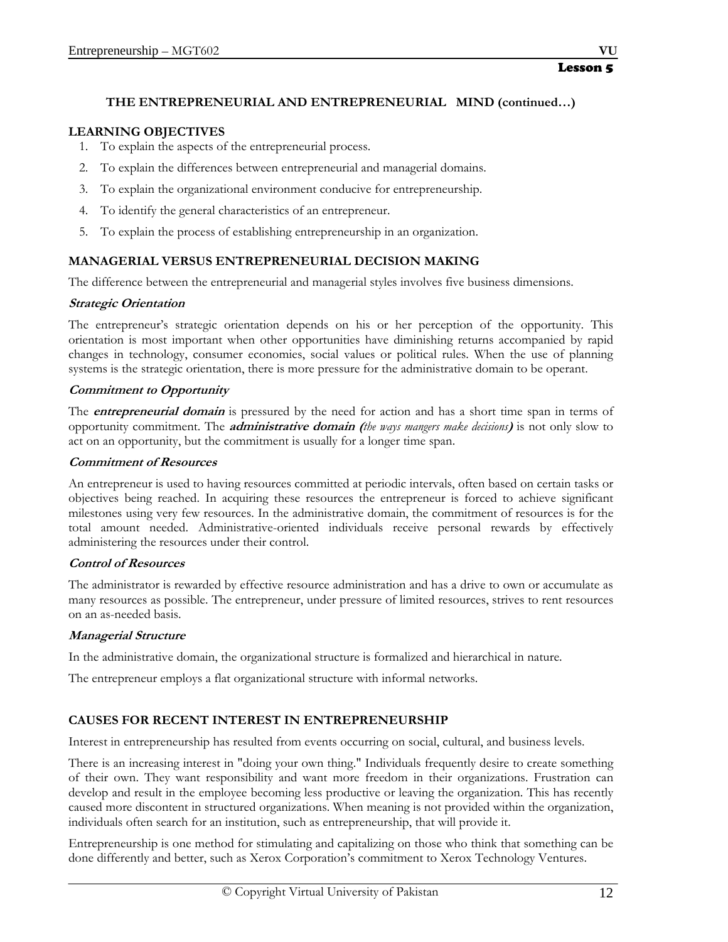# **THE ENTREPRENEURIAL AND ENTREPRENEURIAL MIND (continued…)**

# **LEARNING OBJECTIVES**

- 1. To explain the aspects of the entrepreneurial process.
- 2. To explain the differences between entrepreneurial and managerial domains.
- 3. To explain the organizational environment conducive for entrepreneurship.
- 4. To identify the general characteristics of an entrepreneur.
- 5. To explain the process of establishing entrepreneurship in an organization.

# **MANAGERIAL VERSUS ENTREPRENEURIAL DECISION MAKING**

The difference between the entrepreneurial and managerial styles involves five business dimensions.

# **Strategic Orientation**

The entrepreneur's strategic orientation depends on his or her perception of the opportunity. This orientation is most important when other opportunities have diminishing returns accompanied by rapid changes in technology, consumer economies, social values or political rules. When the use of planning systems is the strategic orientation, there is more pressure for the administrative domain to be operant.

# **Commitment to Opportunity**

The **entrepreneurial domain** is pressured by the need for action and has a short time span in terms of opportunity commitment. The **administrative domain (***the ways mangers make decisions***)** is not only slow to act on an opportunity, but the commitment is usually for a longer time span.

# **Commitment of Resources**

An entrepreneur is used to having resources committed at periodic intervals, often based on certain tasks or objectives being reached. In acquiring these resources the entrepreneur is forced to achieve significant milestones using very few resources. In the administrative domain, the commitment of resources is for the total amount needed. Administrative-oriented individuals receive personal rewards by effectively administering the resources under their control.

# **Control of Resources**

The administrator is rewarded by effective resource administration and has a drive to own or accumulate as many resources as possible. The entrepreneur, under pressure of limited resources, strives to rent resources on an as-needed basis.

# **Managerial Structure**

In the administrative domain, the organizational structure is formalized and hierarchical in nature.

The entrepreneur employs a flat organizational structure with informal networks.

# **CAUSES FOR RECENT INTEREST IN ENTREPRENEURSHIP**

Interest in entrepreneurship has resulted from events occurring on social, cultural, and business levels.

There is an increasing interest in "doing your own thing." Individuals frequently desire to create something of their own. They want responsibility and want more freedom in their organizations. Frustration can develop and result in the employee becoming less productive or leaving the organization. This has recently caused more discontent in structured organizations. When meaning is not provided within the organization, individuals often search for an institution, such as entrepreneurship, that will provide it.

Entrepreneurship is one method for stimulating and capitalizing on those who think that something can be done differently and better, such as Xerox Corporation's commitment to Xerox Technology Ventures.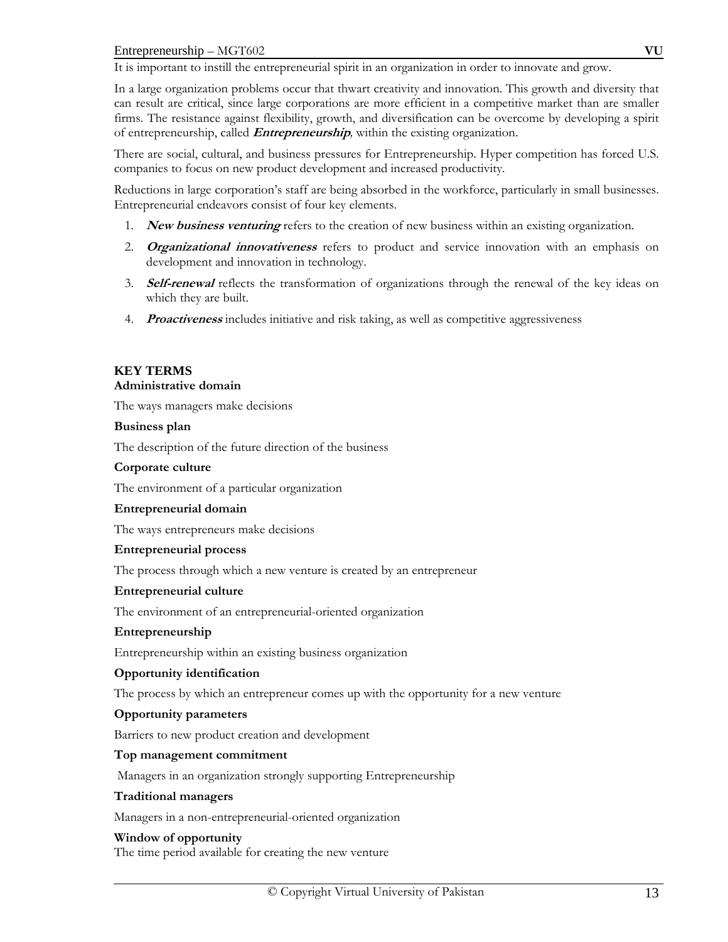It is important to instill the entrepreneurial spirit in an organization in order to innovate and grow.

In a large organization problems occur that thwart creativity and innovation. This growth and diversity that can result are critical, since large corporations are more efficient in a competitive market than are smaller firms. The resistance against flexibility, growth, and diversification can be overcome by developing a spirit of entrepreneurship, called **Entrepreneurship***,* within the existing organization.

There are social, cultural, and business pressures for Entrepreneurship. Hyper competition has forced U.S. companies to focus on new product development and increased productivity.

Reductions in large corporation's staff are being absorbed in the workforce, particularly in small businesses. Entrepreneurial endeavors consist of four key elements.

- 1. **New business venturing** refers to the creation of new business within an existing organization.
- 2. **Organizational innovativeness** refers to product and service innovation with an emphasis on development and innovation in technology.
- 3. **Self-renewal** reflects the transformation of organizations through the renewal of the key ideas on which they are built.
- 4. **Proactiveness** includes initiative and risk taking, as well as competitive aggressiveness

# **KEY TERMS**

## **Administrative domain**

The ways managers make decisions

#### **Business plan**

The description of the future direction of the business

# **Corporate culture**

The environment of a particular organization

#### **Entrepreneurial domain**

The ways entrepreneurs make decisions

#### **Entrepreneurial process**

The process through which a new venture is created by an entrepreneur

#### **Entrepreneurial culture**

The environment of an entrepreneurial-oriented organization

#### **Entrepreneurship**

Entrepreneurship within an existing business organization

# **Opportunity identification**

The process by which an entrepreneur comes up with the opportunity for a new venture

# **Opportunity parameters**

Barriers to new product creation and development

# **Top management commitment**

Managers in an organization strongly supporting Entrepreneurship

#### **Traditional managers**

Managers in a non-entrepreneurial-oriented organization

# **Window of opportunity**

The time period available for creating the new venture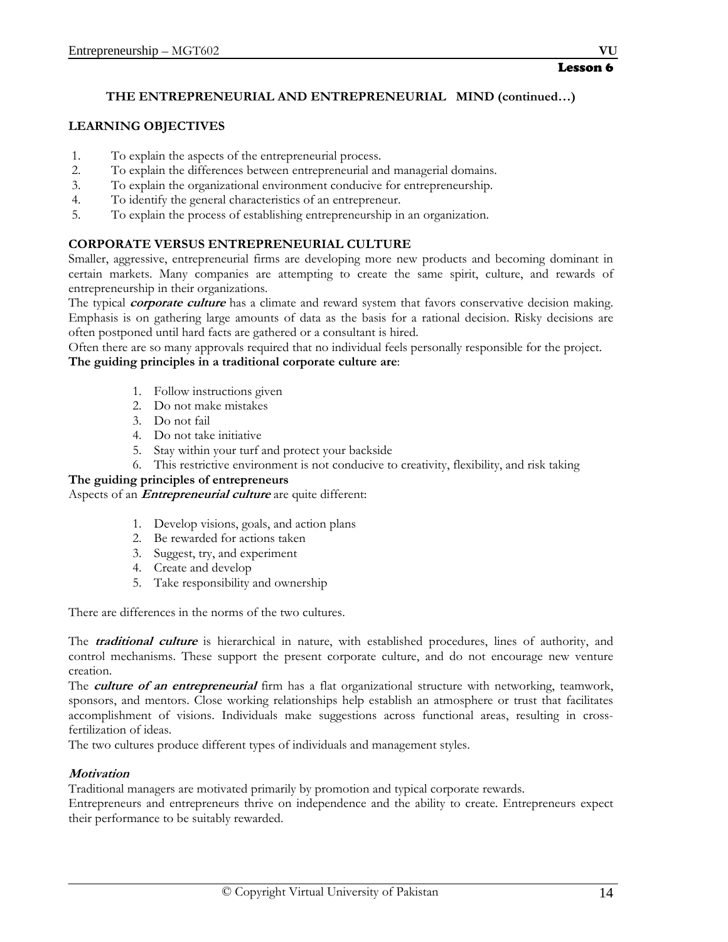# **THE ENTREPRENEURIAL AND ENTREPRENEURIAL MIND (continued…)**

# **LEARNING OBJECTIVES**

- 1. To explain the aspects of the entrepreneurial process.
- 2. To explain the differences between entrepreneurial and managerial domains.
- 3. To explain the organizational environment conducive for entrepreneurship.
- 4. To identify the general characteristics of an entrepreneur.
- 5. To explain the process of establishing entrepreneurship in an organization.

# **CORPORATE VERSUS ENTREPRENEURIAL CULTURE**

Smaller, aggressive, entrepreneurial firms are developing more new products and becoming dominant in certain markets. Many companies are attempting to create the same spirit, culture, and rewards of entrepreneurship in their organizations.

The typical **corporate culture** has a climate and reward system that favors conservative decision making. Emphasis is on gathering large amounts of data as the basis for a rational decision. Risky decisions are often postponed until hard facts are gathered or a consultant is hired.

Often there are so many approvals required that no individual feels personally responsible for the project. **The guiding principles in a traditional corporate culture are**:

- 1. Follow instructions given
- 2. Do not make mistakes
- 3. Do not fail
- 4. Do not take initiative
- 5. Stay within your turf and protect your backside
- 6. This restrictive environment is not conducive to creativity, flexibility, and risk taking

# **The guiding principles of entrepreneurs**

Aspects of an **Entrepreneurial culture** are quite different:

- 1. Develop visions, goals, and action plans
- 2. Be rewarded for actions taken
- 3. Suggest, try, and experiment
- 4. Create and develop
- 5. Take responsibility and ownership

There are differences in the norms of the two cultures.

The **traditional culture** is hierarchical in nature, with established procedures, lines of authority, and control mechanisms. These support the present corporate culture, and do not encourage new venture creation.

The *culture of an entrepreneurial* firm has a flat organizational structure with networking, teamwork, sponsors, and mentors. Close working relationships help establish an atmosphere or trust that facilitates accomplishment of visions. Individuals make suggestions across functional areas, resulting in crossfertilization of ideas.

The two cultures produce different types of individuals and management styles.

# **Motivation**

Traditional managers are motivated primarily by promotion and typical corporate rewards.

Entrepreneurs and entrepreneurs thrive on independence and the ability to create. Entrepreneurs expect their performance to be suitably rewarded.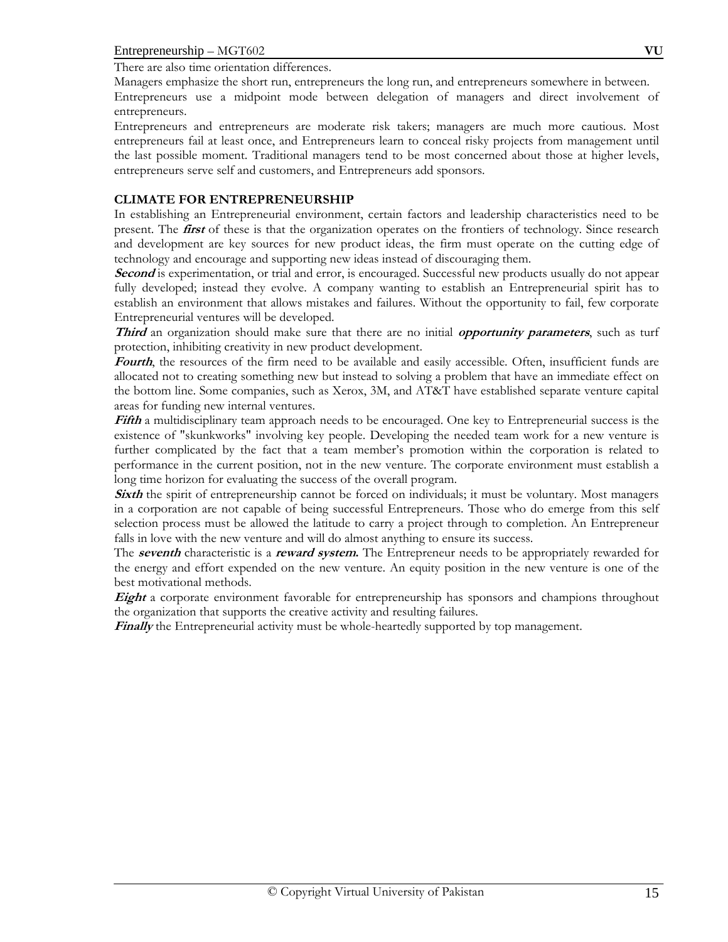There are also time orientation differences.

Managers emphasize the short run, entrepreneurs the long run, and entrepreneurs somewhere in between.

Entrepreneurs use a midpoint mode between delegation of managers and direct involvement of entrepreneurs.

Entrepreneurs and entrepreneurs are moderate risk takers; managers are much more cautious. Most entrepreneurs fail at least once, and Entrepreneurs learn to conceal risky projects from management until the last possible moment. Traditional managers tend to be most concerned about those at higher levels, entrepreneurs serve self and customers, and Entrepreneurs add sponsors.

#### **CLIMATE FOR ENTREPRENEURSHIP**

In establishing an Entrepreneurial environment, certain factors and leadership characteristics need to be present. The **first** of these is that the organization operates on the frontiers of technology. Since research and development are key sources for new product ideas, the firm must operate on the cutting edge of technology and encourage and supporting new ideas instead of discouraging them.

**Second** is experimentation, or trial and error, is encouraged. Successful new products usually do not appear fully developed; instead they evolve. A company wanting to establish an Entrepreneurial spirit has to establish an environment that allows mistakes and failures. Without the opportunity to fail, few corporate Entrepreneurial ventures will be developed.

**Third** an organization should make sure that there are no initial **opportunity parameters**, such as turf protection, inhibiting creativity in new product development.

**Fourth**, the resources of the firm need to be available and easily accessible. Often, insufficient funds are allocated not to creating something new but instead to solving a problem that have an immediate effect on the bottom line. Some companies, such as Xerox, 3M, and AT&T have established separate venture capital areas for funding new internal ventures.

**Fifth** a multidisciplinary team approach needs to be encouraged. One key to Entrepreneurial success is the existence of "skunkworks" involving key people. Developing the needed team work for a new venture is further complicated by the fact that a team member's promotion within the corporation is related to performance in the current position, not in the new venture. The corporate environment must establish a long time horizon for evaluating the success of the overall program.

**Sixth** the spirit of entrepreneurship cannot be forced on individuals; it must be voluntary. Most managers in a corporation are not capable of being successful Entrepreneurs. Those who do emerge from this self selection process must be allowed the latitude to carry a project through to completion. An Entrepreneur falls in love with the new venture and will do almost anything to ensure its success.

The **seventh** characteristic is a **reward system.** The Entrepreneur needs to be appropriately rewarded for the energy and effort expended on the new venture. An equity position in the new venture is one of the best motivational methods.

**Eight** a corporate environment favorable for entrepreneurship has sponsors and champions throughout the organization that supports the creative activity and resulting failures.

**Finally** the Entrepreneurial activity must be whole-heartedly supported by top management.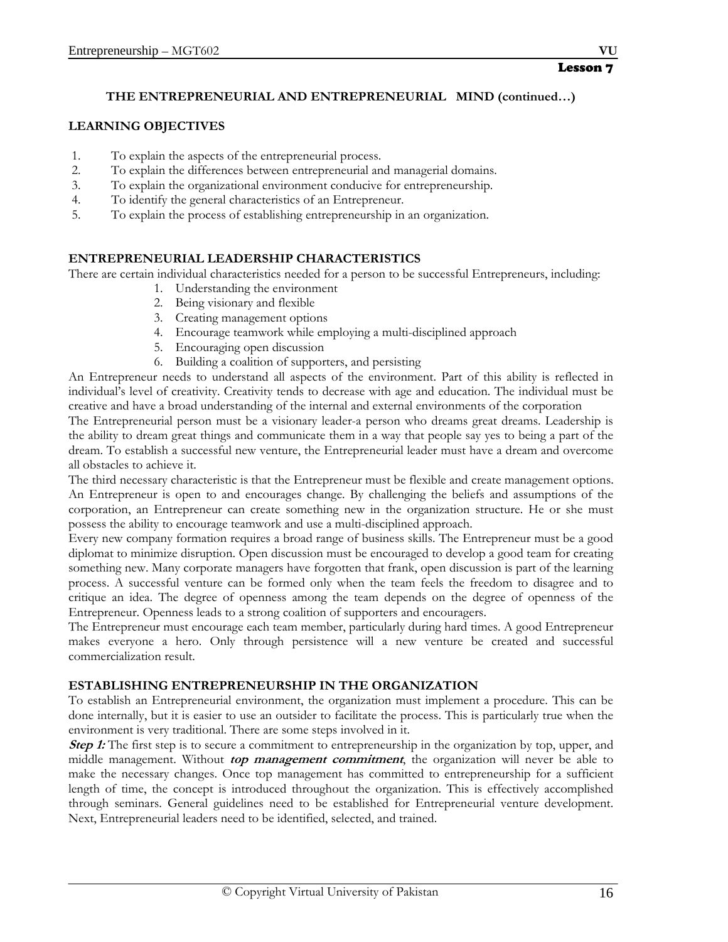# **THE ENTREPRENEURIAL AND ENTREPRENEURIAL MIND (continued…)**

# **LEARNING OBJECTIVES**

- 1. To explain the aspects of the entrepreneurial process.
- 2. To explain the differences between entrepreneurial and managerial domains.
- 3. To explain the organizational environment conducive for entrepreneurship.
- 4. To identify the general characteristics of an Entrepreneur.
- 5. To explain the process of establishing entrepreneurship in an organization.

# **ENTREPRENEURIAL LEADERSHIP CHARACTERISTICS**

There are certain individual characteristics needed for a person to be successful Entrepreneurs, including:

- 1. Understanding the environment
- 2. Being visionary and flexible
- 3. Creating management options
- 4. Encourage teamwork while employing a multi-disciplined approach
- 5. Encouraging open discussion
- 6. Building a coalition of supporters, and persisting

An Entrepreneur needs to understand all aspects of the environment. Part of this ability is reflected in individual's level of creativity. Creativity tends to decrease with age and education. The individual must be creative and have a broad understanding of the internal and external environments of the corporation

The Entrepreneurial person must be a visionary leader-a person who dreams great dreams. Leadership is the ability to dream great things and communicate them in a way that people say yes to being a part of the dream. To establish a successful new venture, the Entrepreneurial leader must have a dream and overcome all obstacles to achieve it.

The third necessary characteristic is that the Entrepreneur must be flexible and create management options. An Entrepreneur is open to and encourages change. By challenging the beliefs and assumptions of the corporation, an Entrepreneur can create something new in the organization structure. He or she must possess the ability to encourage teamwork and use a multi-disciplined approach.

Every new company formation requires a broad range of business skills. The Entrepreneur must be a good diplomat to minimize disruption. Open discussion must be encouraged to develop a good team for creating something new. Many corporate managers have forgotten that frank, open discussion is part of the learning process. A successful venture can be formed only when the team feels the freedom to disagree and to critique an idea. The degree of openness among the team depends on the degree of openness of the Entrepreneur. Openness leads to a strong coalition of supporters and encouragers.

The Entrepreneur must encourage each team member, particularly during hard times. A good Entrepreneur makes everyone a hero. Only through persistence will a new venture be created and successful commercialization result.

# **ESTABLISHING ENTREPRENEURSHIP IN THE ORGANIZATION**

To establish an Entrepreneurial environment, the organization must implement a procedure. This can be done internally, but it is easier to use an outsider to facilitate the process. This is particularly true when the environment is very traditional. There are some steps involved in it.

**Step 1:** The first step is to secure a commitment to entrepreneurship in the organization by top, upper, and middle management. Without **top management commitment**, the organization will never be able to make the necessary changes. Once top management has committed to entrepreneurship for a sufficient length of time, the concept is introduced throughout the organization. This is effectively accomplished through seminars. General guidelines need to be established for Entrepreneurial venture development. Next, Entrepreneurial leaders need to be identified, selected, and trained.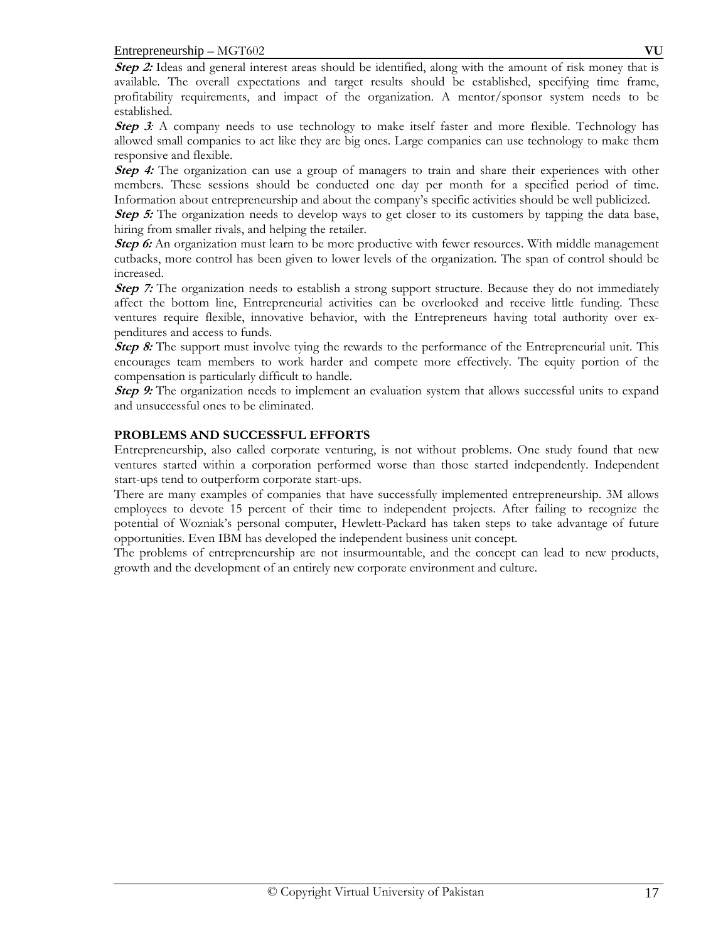**Step 2:** Ideas and general interest areas should be identified, along with the amount of risk money that is available. The overall expectations and target results should be established, specifying time frame, profitability requirements, and impact of the organization. A mentor/sponsor system needs to be established.

**Step 3**: A company needs to use technology to make itself faster and more flexible. Technology has allowed small companies to act like they are big ones. Large companies can use technology to make them responsive and flexible.

Step 4: The organization can use a group of managers to train and share their experiences with other members. These sessions should be conducted one day per month for a specified period of time. Information about entrepreneurship and about the company's specific activities should be well publicized.

**Step 5:** The organization needs to develop ways to get closer to its customers by tapping the data base, hiring from smaller rivals, and helping the retailer.

**Step 6:** An organization must learn to be more productive with fewer resources. With middle management cutbacks, more control has been given to lower levels of the organization. The span of control should be increased.

**Step 7:** The organization needs to establish a strong support structure. Because they do not immediately affect the bottom line, Entrepreneurial activities can be overlooked and receive little funding. These ventures require flexible, innovative behavior, with the Entrepreneurs having total authority over expenditures and access to funds.

**Step 8:** The support must involve tying the rewards to the performance of the Entrepreneurial unit. This encourages team members to work harder and compete more effectively. The equity portion of the compensation is particularly difficult to handle.

**Step 9:** The organization needs to implement an evaluation system that allows successful units to expand and unsuccessful ones to be eliminated.

# **PROBLEMS AND SUCCESSFUL EFFORTS**

Entrepreneurship, also called corporate venturing, is not without problems. One study found that new ventures started within a corporation performed worse than those started independently. Independent start-ups tend to outperform corporate start-ups.

There are many examples of companies that have successfully implemented entrepreneurship. 3M allows employees to devote 15 percent of their time to independent projects. After failing to recognize the potential of Wozniak's personal computer, Hewlett-Packard has taken steps to take advantage of future opportunities. Even IBM has developed the independent business unit concept.

The problems of entrepreneurship are not insurmountable, and the concept can lead to new products, growth and the development of an entirely new corporate environment and culture.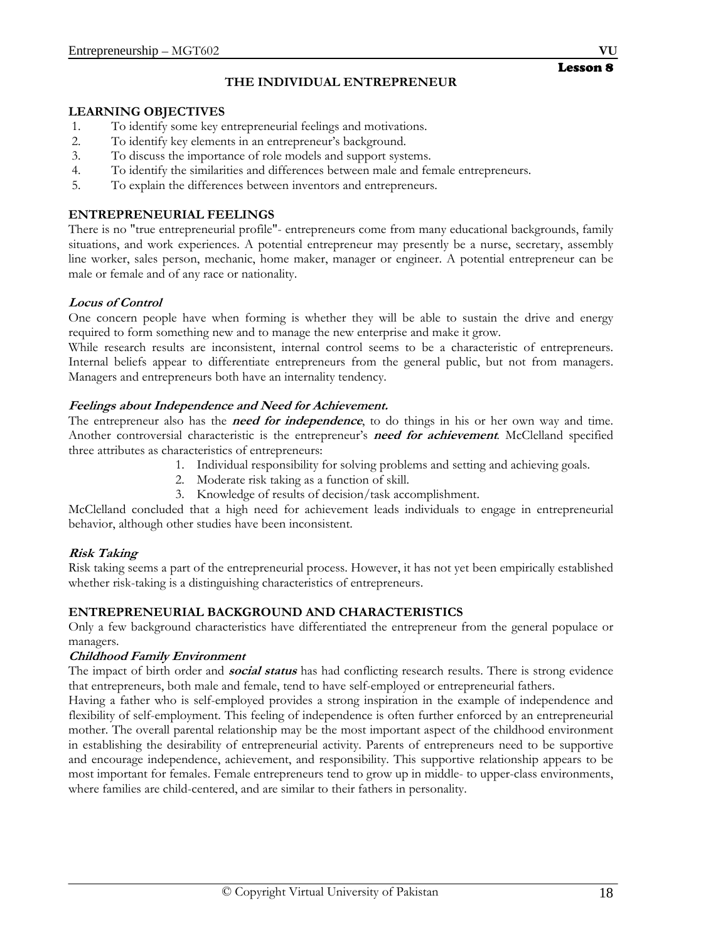# **THE INDIVIDUAL ENTREPRENEUR**

#### **LEARNING OBJECTIVES**

- 1. To identify some key entrepreneurial feelings and motivations.
- 2. To identify key elements in an entrepreneur's background.
- 3. To discuss the importance of role models and support systems.
- 4. To identify the similarities and differences between male and female entrepreneurs.
- 5. To explain the differences between inventors and entrepreneurs.

# **ENTREPRENEURIAL FEELINGS**

There is no "true entrepreneurial profile"- entrepreneurs come from many educational backgrounds, family situations, and work experiences. A potential entrepreneur may presently be a nurse, secretary, assembly line worker, sales person, mechanic, home maker, manager or engineer. A potential entrepreneur can be male or female and of any race or nationality.

# **Locus of Control**

One concern people have when forming is whether they will be able to sustain the drive and energy required to form something new and to manage the new enterprise and make it grow.

While research results are inconsistent, internal control seems to be a characteristic of entrepreneurs. Internal beliefs appear to differentiate entrepreneurs from the general public, but not from managers. Managers and entrepreneurs both have an internality tendency.

# **Feelings about Independence and Need for Achievement.**

The entrepreneur also has the **need for independence**, to do things in his or her own way and time. Another controversial characteristic is the entrepreneur's **need for achievement***.* McClelland specified three attributes as characteristics of entrepreneurs:

- 1. Individual responsibility for solving problems and setting and achieving goals.
- 2. Moderate risk taking as a function of skill.
- 3. Knowledge of results of decision/task accomplishment.

McClelland concluded that a high need for achievement leads individuals to engage in entrepreneurial behavior, although other studies have been inconsistent.

# **Risk Taking**

Risk taking seems a part of the entrepreneurial process. However, it has not yet been empirically established whether risk-taking is a distinguishing characteristics of entrepreneurs.

# **ENTREPRENEURIAL BACKGROUND AND CHARACTERISTICS**

Only a few background characteristics have differentiated the entrepreneur from the general populace or managers.

# **Childhood Family Environment**

The impact of birth order and **social status** has had conflicting research results. There is strong evidence that entrepreneurs, both male and female, tend to have self-employed or entrepreneurial fathers.

Having a father who is self-employed provides a strong inspiration in the example of independence and flexibility of self-employment. This feeling of independence is often further enforced by an entrepreneurial mother. The overall parental relationship may be the most important aspect of the childhood environment in establishing the desirability of entrepreneurial activity. Parents of entrepreneurs need to be supportive and encourage independence, achievement, and responsibility. This supportive relationship appears to be most important for females. Female entrepreneurs tend to grow up in middle- to upper-class environments, where families are child-centered, and are similar to their fathers in personality.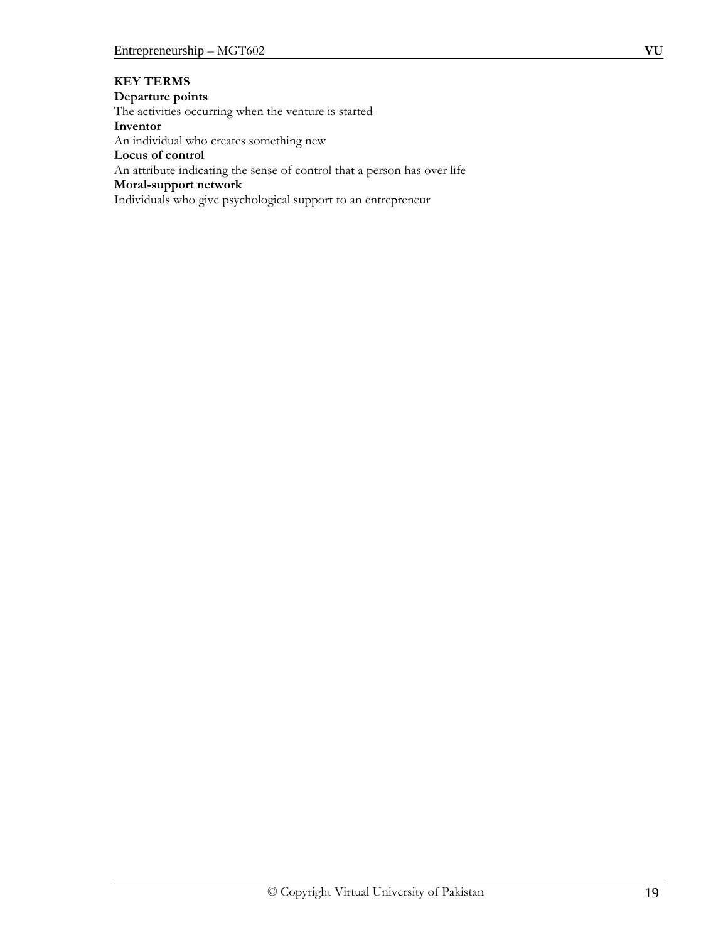# **KEY TERMS**

#### **Departure points**

The activities occurring when the venture is started

**Inventor** An individual who creates something new

# **Locus of control**

An attribute indicating the sense of control that a person has over life

#### **Moral-support network**

Individuals who give psychological support to an entrepreneur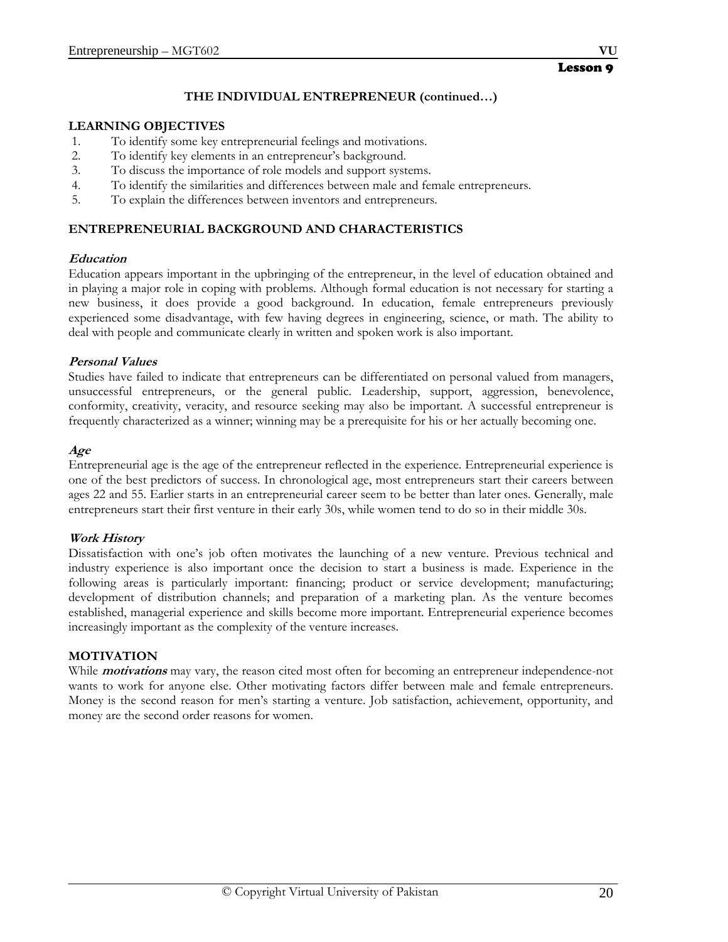# **THE INDIVIDUAL ENTREPRENEUR (continued…)**

#### **LEARNING OBJECTIVES**

- 1. To identify some key entrepreneurial feelings and motivations.
- 2. To identify key elements in an entrepreneur's background.
- 3. To discuss the importance of role models and support systems.
- 4. To identify the similarities and differences between male and female entrepreneurs.
- 5. To explain the differences between inventors and entrepreneurs.

# **ENTREPRENEURIAL BACKGROUND AND CHARACTERISTICS**

#### **Education**

Education appears important in the upbringing of the entrepreneur, in the level of education obtained and in playing a major role in coping with problems. Although formal education is not necessary for starting a new business, it does provide a good background. In education, female entrepreneurs previously experienced some disadvantage, with few having degrees in engineering, science, or math. The ability to deal with people and communicate clearly in written and spoken work is also important.

# **Personal Values**

Studies have failed to indicate that entrepreneurs can be differentiated on personal valued from managers, unsuccessful entrepreneurs, or the general public. Leadership, support, aggression, benevolence, conformity, creativity, veracity, and resource seeking may also be important. A successful entrepreneur is frequently characterized as a winner; winning may be a prerequisite for his or her actually becoming one.

#### **Age**

Entrepreneurial age is the age of the entrepreneur reflected in the experience. Entrepreneurial experience is one of the best predictors of success. In chronological age, most entrepreneurs start their careers between ages 22 and 55. Earlier starts in an entrepreneurial career seem to be better than later ones. Generally, male entrepreneurs start their first venture in their early 30s, while women tend to do so in their middle 30s.

# **Work History**

Dissatisfaction with one's job often motivates the launching of a new venture. Previous technical and industry experience is also important once the decision to start a business is made. Experience in the following areas is particularly important: financing; product or service development; manufacturing; development of distribution channels; and preparation of a marketing plan. As the venture becomes established, managerial experience and skills become more important. Entrepreneurial experience becomes increasingly important as the complexity of the venture increases.

# **MOTIVATION**

While **motivations** may vary, the reason cited most often for becoming an entrepreneur independence-not wants to work for anyone else. Other motivating factors differ between male and female entrepreneurs. Money is the second reason for men's starting a venture. Job satisfaction, achievement, opportunity, and money are the second order reasons for women.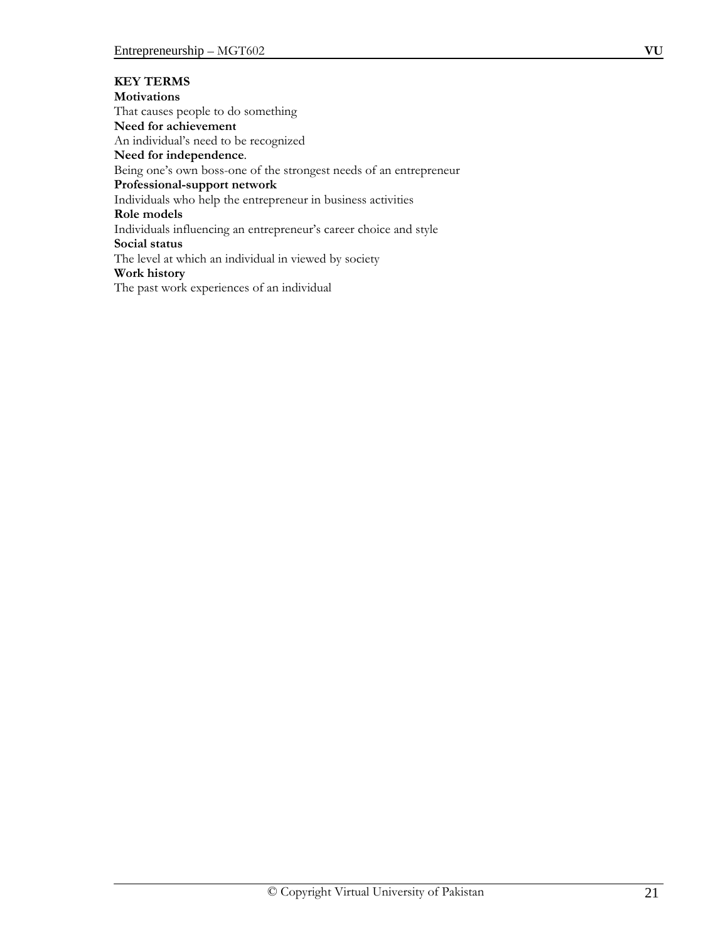**KEY TERMS Motivations** That causes people to do something **Need for achievement** An individual's need to be recognized **Need for independence**. Being one's own boss-one of the strongest needs of an entrepreneur **Professional-support network**  Individuals who help the entrepreneur in business activities **Role models** Individuals influencing an entrepreneur's career choice and style **Social status** The level at which an individual in viewed by society **Work history** The past work experiences of an individual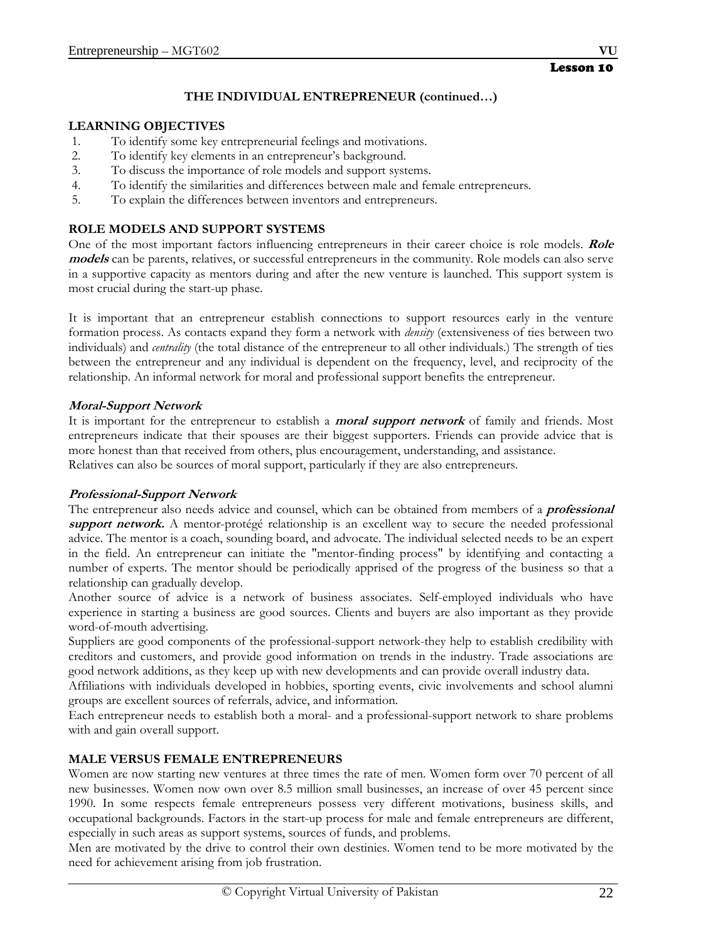# **THE INDIVIDUAL ENTREPRENEUR (continued…)**

# **LEARNING OBJECTIVES**

- 1. To identify some key entrepreneurial feelings and motivations.
- 2. To identify key elements in an entrepreneur's background.
- 3. To discuss the importance of role models and support systems.
- 4. To identify the similarities and differences between male and female entrepreneurs.
- 5. To explain the differences between inventors and entrepreneurs.

# **ROLE MODELS AND SUPPORT SYSTEMS**

One of the most important factors influencing entrepreneurs in their career choice is role models. **Role models** can be parents, relatives, or successful entrepreneurs in the community. Role models can also serve in a supportive capacity as mentors during and after the new venture is launched. This support system is most crucial during the start-up phase.

It is important that an entrepreneur establish connections to support resources early in the venture formation process. As contacts expand they form a network with *density* (extensiveness of ties between two individuals) and *centrality* (the total distance of the entrepreneur to all other individuals.) The strength of ties between the entrepreneur and any individual is dependent on the frequency, level, and reciprocity of the relationship. An informal network for moral and professional support benefits the entrepreneur.

# **Moral-Support Network**

It is important for the entrepreneur to establish a **moral support network** of family and friends. Most entrepreneurs indicate that their spouses are their biggest supporters. Friends can provide advice that is more honest than that received from others, plus encouragement, understanding, and assistance. Relatives can also be sources of moral support, particularly if they are also entrepreneurs.

# **Professional-Support Network**

The entrepreneur also needs advice and counsel, which can be obtained from members of a **professional support network.** A mentor-protégé relationship is an excellent way to secure the needed professional advice. The mentor is a coach, sounding board, and advocate. The individual selected needs to be an expert in the field. An entrepreneur can initiate the "mentor-finding process" by identifying and contacting a number of experts. The mentor should be periodically apprised of the progress of the business so that a relationship can gradually develop.

Another source of advice is a network of business associates. Self-employed individuals who have experience in starting a business are good sources. Clients and buyers are also important as they provide word-of-mouth advertising.

Suppliers are good components of the professional-support network-they help to establish credibility with creditors and customers, and provide good information on trends in the industry. Trade associations are good network additions, as they keep up with new developments and can provide overall industry data.

Affiliations with individuals developed in hobbies, sporting events, civic involvements and school alumni groups are excellent sources of referrals, advice, and information.

Each entrepreneur needs to establish both a moral- and a professional-support network to share problems with and gain overall support.

# **MALE VERSUS FEMALE ENTREPRENEURS**

Women are now starting new ventures at three times the rate of men. Women form over 70 percent of all new businesses. Women now own over 8.5 million small businesses, an increase of over 45 percent since 1990. In some respects female entrepreneurs possess very different motivations, business skills, and occupational backgrounds. Factors in the start-up process for male and female entrepreneurs are different, especially in such areas as support systems, sources of funds, and problems.

Men are motivated by the drive to control their own destinies. Women tend to be more motivated by the need for achievement arising from job frustration.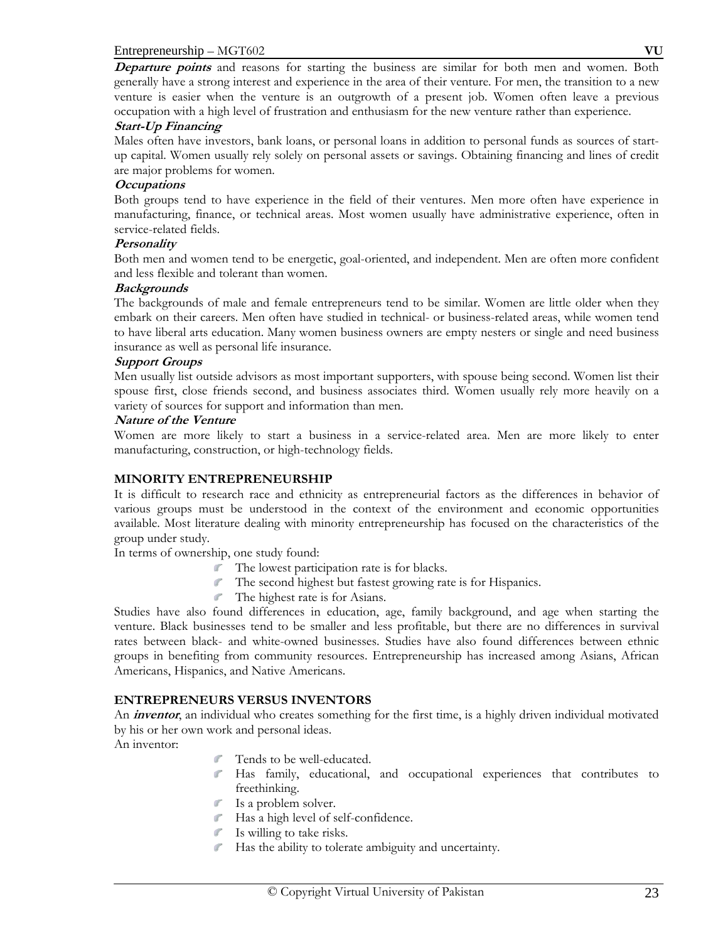**Departure points** and reasons for starting the business are similar for both men and women. Both generally have a strong interest and experience in the area of their venture. For men, the transition to a new venture is easier when the venture is an outgrowth of a present job. Women often leave a previous occupation with a high level of frustration and enthusiasm for the new venture rather than experience.

#### **Start-Up Financing**

Males often have investors, bank loans, or personal loans in addition to personal funds as sources of startup capital. Women usually rely solely on personal assets or savings. Obtaining financing and lines of credit are major problems for women.

#### **Occupations**

Both groups tend to have experience in the field of their ventures. Men more often have experience in manufacturing, finance, or technical areas. Most women usually have administrative experience, often in service-related fields.

#### **Personality**

Both men and women tend to be energetic, goal-oriented, and independent. Men are often more confident and less flexible and tolerant than women.

#### **Backgrounds**

The backgrounds of male and female entrepreneurs tend to be similar. Women are little older when they embark on their careers. Men often have studied in technical- or business-related areas, while women tend to have liberal arts education. Many women business owners are empty nesters or single and need business insurance as well as personal life insurance.

#### **Support Groups**

Men usually list outside advisors as most important supporters, with spouse being second. Women list their spouse first, close friends second, and business associates third. Women usually rely more heavily on a variety of sources for support and information than men.

#### **Nature of the Venture**

Women are more likely to start a business in a service-related area. Men are more likely to enter manufacturing, construction, or high-technology fields.

# **MINORITY ENTREPRENEURSHIP**

It is difficult to research race and ethnicity as entrepreneurial factors as the differences in behavior of various groups must be understood in the context of the environment and economic opportunities available. Most literature dealing with minority entrepreneurship has focused on the characteristics of the group under study.

In terms of ownership, one study found:

- The lowest participation rate is for blacks.
- The second highest but fastest growing rate is for Hispanics.
- The highest rate is for Asians.

Studies have also found differences in education, age, family background, and age when starting the venture. Black businesses tend to be smaller and less profitable, but there are no differences in survival rates between black- and white-owned businesses. Studies have also found differences between ethnic groups in benefiting from community resources. Entrepreneurship has increased among Asians, African Americans, Hispanics, and Native Americans.

# **ENTREPRENEURS VERSUS INVENTORS**

An *inventor*, an individual who creates something for the first time, is a highly driven individual motivated by his or her own work and personal ideas.

An inventor:

- Tends to be well-educated.
- Has family, educational, and occupational experiences that contributes to freethinking.
- Is a problem solver.
- Has a high level of self-confidence.
- Is willing to take risks.
- Has the ability to tolerate ambiguity and uncertainty.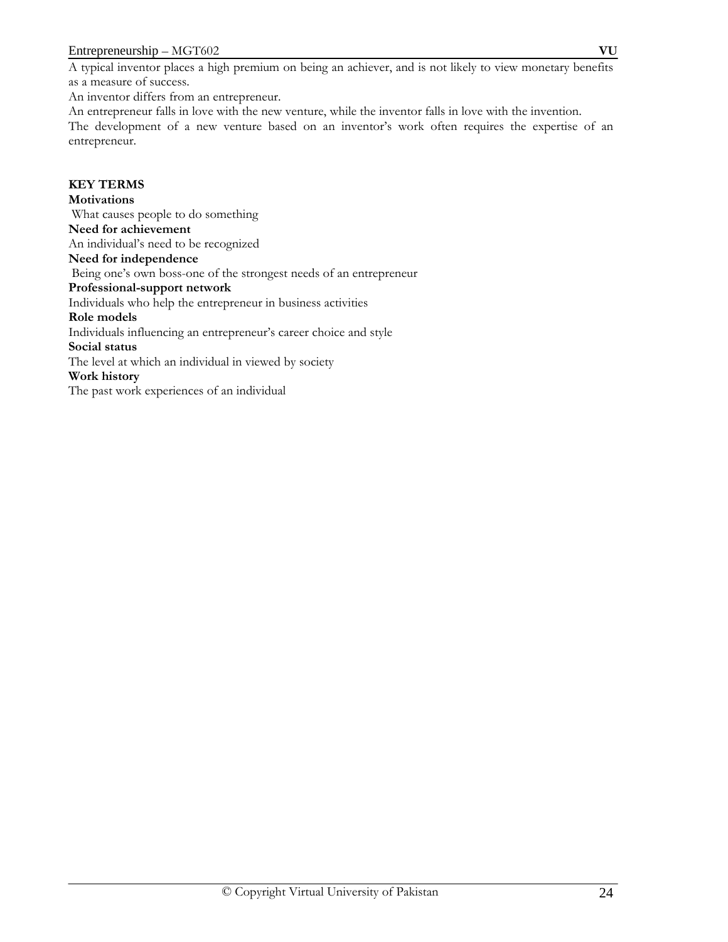An inventor differs from an entrepreneur.

An entrepreneur falls in love with the new venture, while the inventor falls in love with the invention. The development of a new venture based on an inventor's work often requires the expertise of an entrepreneur.

# **KEY TERMS**

# **Motivations**

 What causes people to do something **Need for achievement** An individual's need to be recognized **Need for independence** Being one's own boss-one of the strongest needs of an entrepreneur **Professional-support network** Individuals who help the entrepreneur in business activities **Role models** Individuals influencing an entrepreneur's career choice and style **Social status** The level at which an individual in viewed by society **Work history** 

The past work experiences of an individual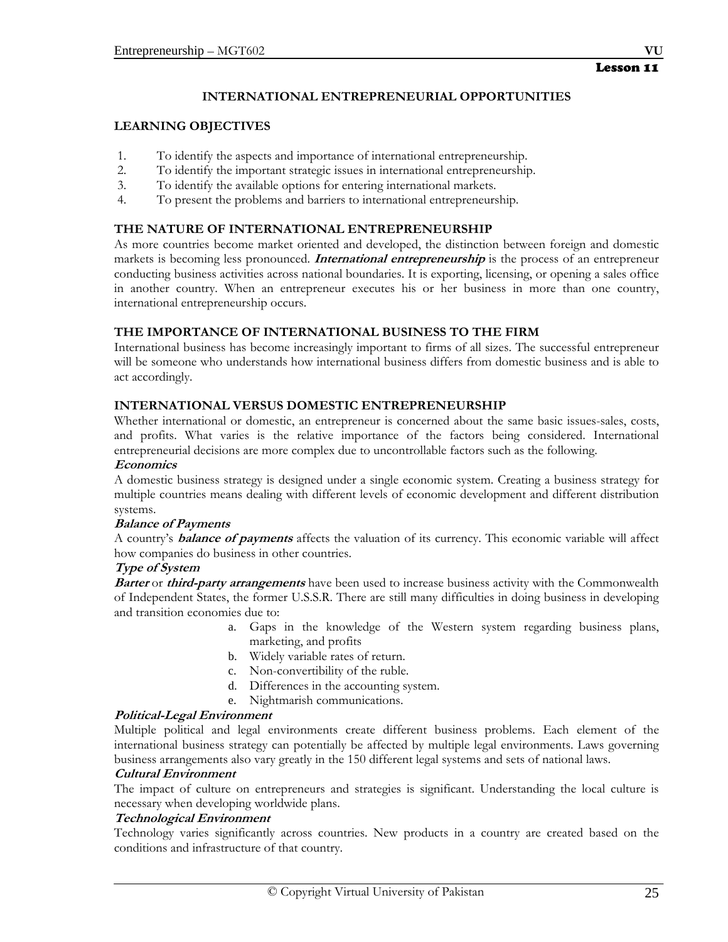## **INTERNATIONAL ENTREPRENEURIAL OPPORTUNITIES**

#### **LEARNING OBJECTIVES**

- 1. To identify the aspects and importance of international entrepreneurship.
- 2. To identify the important strategic issues in international entrepreneurship.
- 3. To identify the available options for entering international markets.
- 4. To present the problems and barriers to international entrepreneurship.

# **THE NATURE OF INTERNATIONAL ENTREPRENEURSHIP**

As more countries become market oriented and developed, the distinction between foreign and domestic markets is becoming less pronounced. **International entrepreneurship** is the process of an entrepreneur conducting business activities across national boundaries. It is exporting, licensing, or opening a sales office in another country. When an entrepreneur executes his or her business in more than one country, international entrepreneurship occurs.

# **THE IMPORTANCE OF INTERNATIONAL BUSINESS TO THE FIRM**

International business has become increasingly important to firms of all sizes. The successful entrepreneur will be someone who understands how international business differs from domestic business and is able to act accordingly.

#### **INTERNATIONAL VERSUS DOMESTIC ENTREPRENEURSHIP**

Whether international or domestic, an entrepreneur is concerned about the same basic issues-sales, costs, and profits. What varies is the relative importance of the factors being considered. International entrepreneurial decisions are more complex due to uncontrollable factors such as the following.

#### **Economics**

A domestic business strategy is designed under a single economic system. Creating a business strategy for multiple countries means dealing with different levels of economic development and different distribution systems.

#### **Balance of Payments**

A country's **balance of payments** affects the valuation of its currency. This economic variable will affect how companies do business in other countries.

#### **Type of System**

**Barter** or **third-party arrangements** have been used to increase business activity with the Commonwealth of Independent States, the former U.S.S.R. There are still many difficulties in doing business in developing and transition economies due to:

- a. Gaps in the knowledge of the Western system regarding business plans, marketing, and profits
- b. Widely variable rates of return.
- c. Non-convertibility of the ruble.
- d. Differences in the accounting system.
- e. Nightmarish communications.

#### **Political-Legal Environment**

Multiple political and legal environments create different business problems. Each element of the international business strategy can potentially be affected by multiple legal environments. Laws governing business arrangements also vary greatly in the 150 different legal systems and sets of national laws.

#### **Cultural Environment**

The impact of culture on entrepreneurs and strategies is significant. Understanding the local culture is necessary when developing worldwide plans.

# **Technological Environment**

Technology varies significantly across countries. New products in a country are created based on the conditions and infrastructure of that country.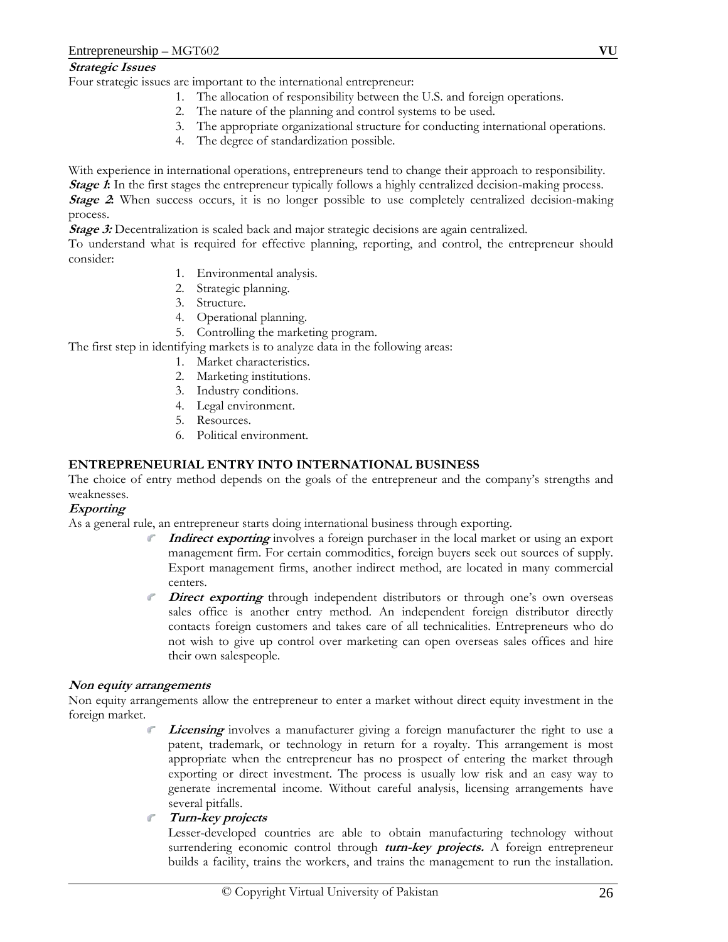#### **Strategic Issues**

Four strategic issues are important to the international entrepreneur:

- 1. The allocation of responsibility between the U.S. and foreign operations.
- 2. The nature of the planning and control systems to be used.
- 3. The appropriate organizational structure for conducting international operations.
- 4. The degree of standardization possible.

With experience in international operations, entrepreneurs tend to change their approach to responsibility.

*Stage 1***:** In the first stages the entrepreneur typically follows a highly centralized decision-making process.

*Stage 2***:** When success occurs, it is no longer possible to use completely centralized decision-making process.

*Stage 3:* Decentralization is scaled back and major strategic decisions are again centralized.

To understand what is required for effective planning, reporting, and control, the entrepreneur should consider:

- 1. Environmental analysis.
- 2. Strategic planning.
- 3. Structure.
- 4. Operational planning.
- 5. Controlling the marketing program.

The first step in identifying markets is to analyze data in the following areas:

- 1. Market characteristics.
- 2. Marketing institutions.
- 3. Industry conditions.
- 4. Legal environment.
- 5. Resources.
- 6. Political environment.

# **ENTREPRENEURIAL ENTRY INTO INTERNATIONAL BUSINESS**

The choice of entry method depends on the goals of the entrepreneur and the company's strengths and weaknesses.

# **Exporting**

As a general rule, an entrepreneur starts doing international business through exporting.

- **Indirect exporting** involves a foreign purchaser in the local market or using an export management firm. For certain commodities, foreign buyers seek out sources of supply. Export management firms, another indirect method, are located in many commercial centers.
- **Direct exporting** through independent distributors or through one's own overseas sales office is another entry method. An independent foreign distributor directly contacts foreign customers and takes care of all technicalities. Entrepreneurs who do not wish to give up control over marketing can open overseas sales offices and hire their own salespeople.

#### **Non equity arrangements**

Non equity arrangements allow the entrepreneur to enter a market without direct equity investment in the foreign market.

> **Licensing** involves a manufacturer giving a foreign manufacturer the right to use a patent, trademark, or technology in return for a royalty. This arrangement is most appropriate when the entrepreneur has no prospect of entering the market through exporting or direct investment. The process is usually low risk and an easy way to generate incremental income. Without careful analysis, licensing arrangements have several pitfalls.

# **Turn-key projects**

Lesser-developed countries are able to obtain manufacturing technology without surrendering economic control through **turn-key projects.** A foreign entrepreneur builds a facility, trains the workers, and trains the management to run the installation.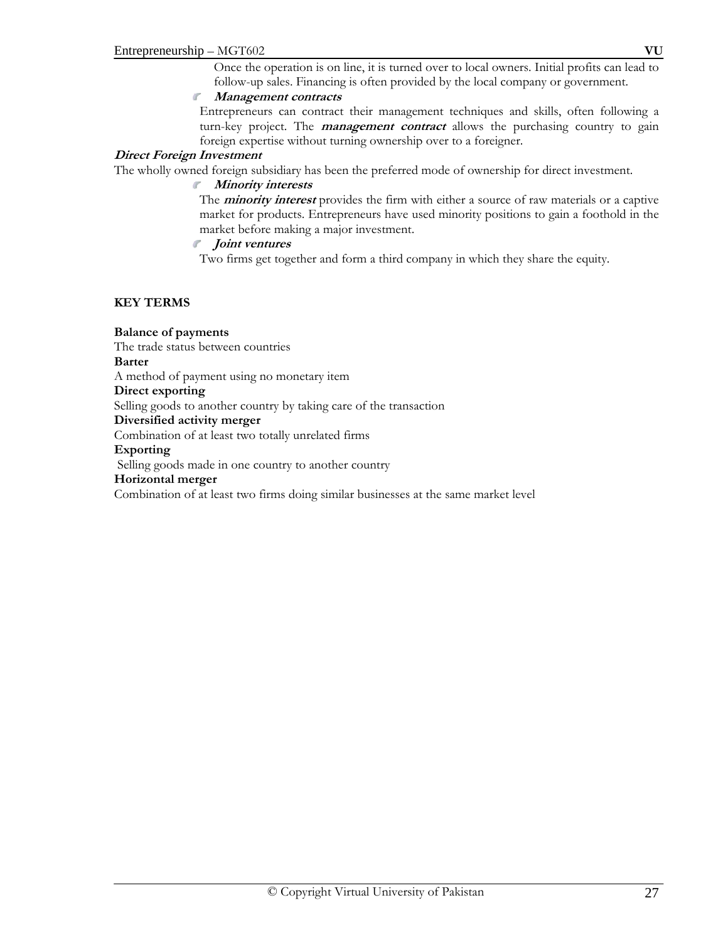#### **Management contracts**

Entrepreneurs can contract their management techniques and skills, often following a turn-key project. The **management contract** allows the purchasing country to gain foreign expertise without turning ownership over to a foreigner.

#### **Direct Foreign Investment**

The wholly owned foreign subsidiary has been the preferred mode of ownership for direct investment.

#### **Minority interests**

The **minority interest** provides the firm with either a source of raw materials or a captive market for products. Entrepreneurs have used minority positions to gain a foothold in the market before making a major investment.

#### **Joint ventures**

Two firms get together and form a third company in which they share the equity.

# **KEY TERMS**

# **Balance of payments**

The trade status between countries

#### **Barter**

A method of payment using no monetary item

**Direct exporting** 

Selling goods to another country by taking care of the transaction

#### **Diversified activity merger**

Combination of at least two totally unrelated firms

#### **Exporting**

Selling goods made in one country to another country

#### **Horizontal merger**

Combination of at least two firms doing similar businesses at the same market level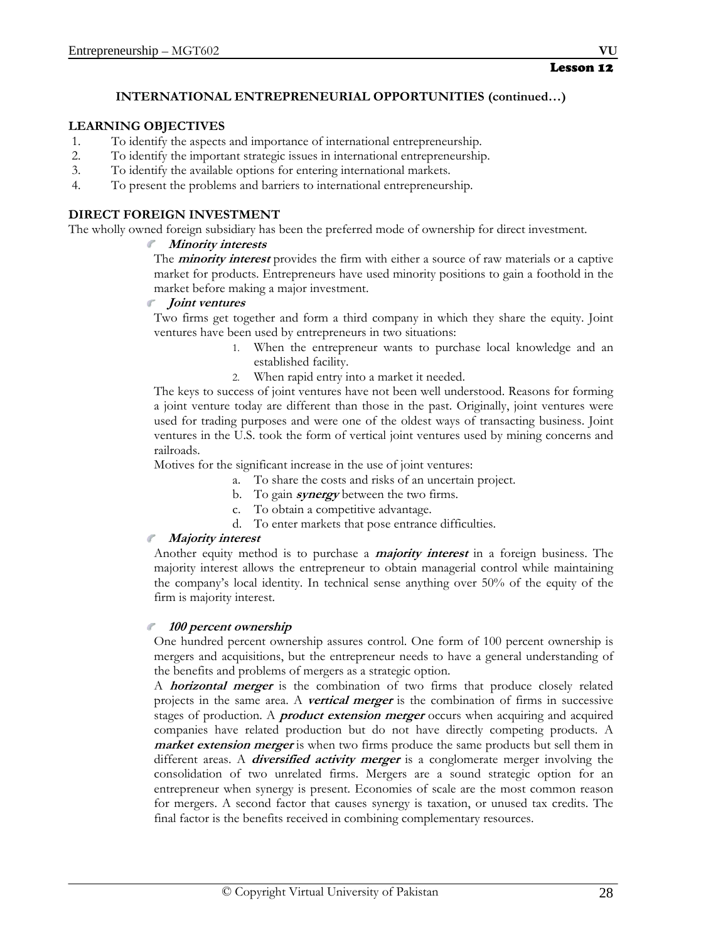# **INTERNATIONAL ENTREPRENEURIAL OPPORTUNITIES (continued…)**

# **LEARNING OBJECTIVES**

- 1. To identify the aspects and importance of international entrepreneurship.
- 2. To identify the important strategic issues in international entrepreneurship.
- 3. To identify the available options for entering international markets.
- 4. To present the problems and barriers to international entrepreneurship.

# **DIRECT FOREIGN INVESTMENT**

The wholly owned foreign subsidiary has been the preferred mode of ownership for direct investment.

# **Minority interests**

The **minority interest** provides the firm with either a source of raw materials or a captive market for products. Entrepreneurs have used minority positions to gain a foothold in the market before making a major investment.

#### **Joint ventures**

Two firms get together and form a third company in which they share the equity. Joint ventures have been used by entrepreneurs in two situations:

- 1. When the entrepreneur wants to purchase local knowledge and an established facility.
- 2. When rapid entry into a market it needed.

The keys to success of joint ventures have not been well understood. Reasons for forming a joint venture today are different than those in the past. Originally, joint ventures were used for trading purposes and were one of the oldest ways of transacting business. Joint ventures in the U.S. took the form of vertical joint ventures used by mining concerns and railroads.

Motives for the significant increase in the use of joint ventures:

- a. To share the costs and risks of an uncertain project.
- b. To gain **synergy** between the two firms.
- c. To obtain a competitive advantage.
- d. To enter markets that pose entrance difficulties.

#### **Majority interest**   $\mathcal{A}^{\mathcal{C}}$

Another equity method is to purchase a **majority interest** in a foreign business. The majority interest allows the entrepreneur to obtain managerial control while maintaining the company's local identity. In technical sense anything over 50% of the equity of the firm is majority interest.

# **100 percent ownership**

One hundred percent ownership assures control. One form of 100 percent ownership is mergers and acquisitions, but the entrepreneur needs to have a general understanding of the benefits and problems of mergers as a strategic option.

A **horizontal merger** is the combination of two firms that produce closely related projects in the same area. A **vertical merger** is the combination of firms in successive stages of production. A **product extension merger** occurs when acquiring and acquired companies have related production but do not have directly competing products. A **market extension merger** is when two firms produce the same products but sell them in different areas. A **diversified activity merger** is a conglomerate merger involving the consolidation of two unrelated firms. Mergers are a sound strategic option for an entrepreneur when synergy is present. Economies of scale are the most common reason for mergers. A second factor that causes synergy is taxation, or unused tax credits. The final factor is the benefits received in combining complementary resources.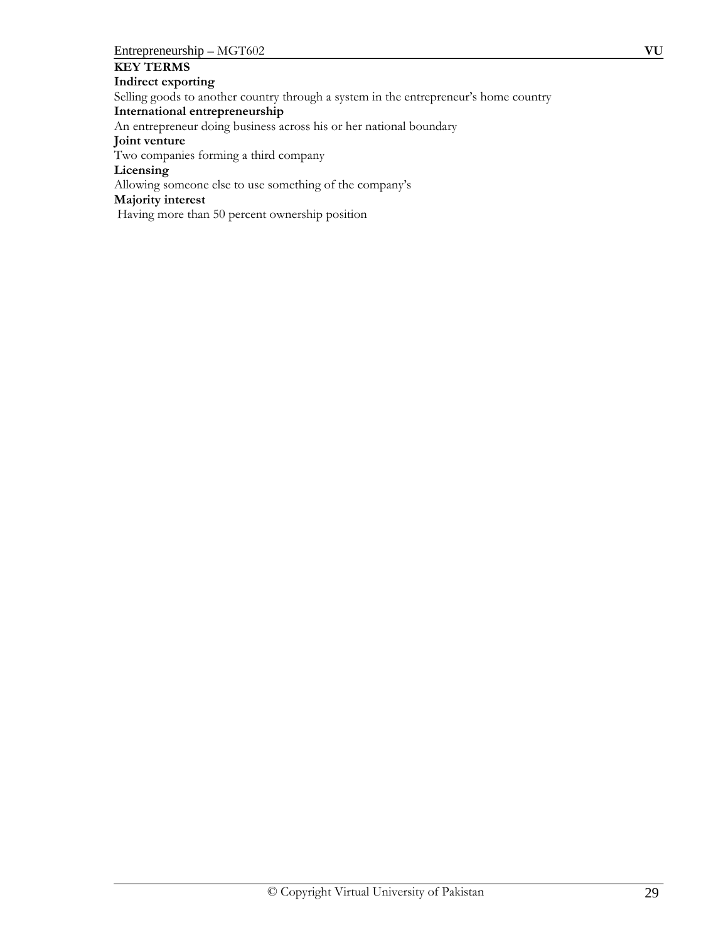# **KEY TERMS**

**Indirect exporting** Selling goods to another country through a system in the entrepreneur's home country **International entrepreneurship**  An entrepreneur doing business across his or her national boundary **Joint venture**  Two companies forming a third company **Licensing** Allowing someone else to use something of the company's **Majority interest** Having more than 50 percent ownership position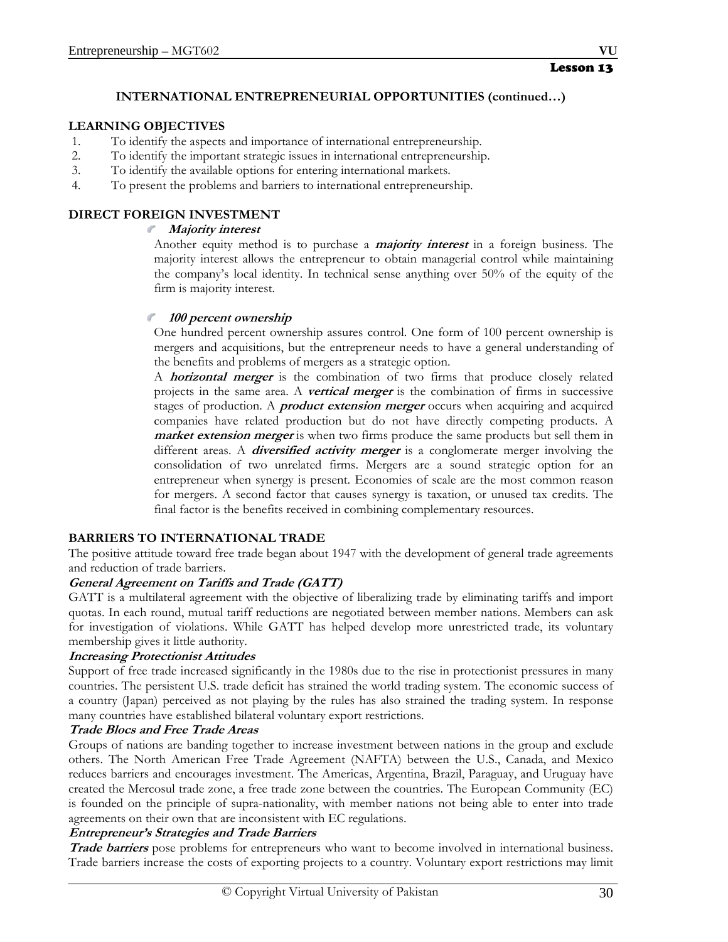# **INTERNATIONAL ENTREPRENEURIAL OPPORTUNITIES (continued…)**

# **LEARNING OBJECTIVES**

- 1. To identify the aspects and importance of international entrepreneurship.
- 2. To identify the important strategic issues in international entrepreneurship.
- 3. To identify the available options for entering international markets.
- 4. To present the problems and barriers to international entrepreneurship.

# **DIRECT FOREIGN INVESTMENT**

# **Majority interest**

Another equity method is to purchase a **majority interest** in a foreign business. The majority interest allows the entrepreneur to obtain managerial control while maintaining the company's local identity. In technical sense anything over 50% of the equity of the firm is majority interest.

# **100 percent ownership**

One hundred percent ownership assures control. One form of 100 percent ownership is mergers and acquisitions, but the entrepreneur needs to have a general understanding of the benefits and problems of mergers as a strategic option.

A **horizontal merger** is the combination of two firms that produce closely related projects in the same area. A **vertical merger** is the combination of firms in successive stages of production. A **product extension merger** occurs when acquiring and acquired companies have related production but do not have directly competing products. A **market extension merger** is when two firms produce the same products but sell them in different areas. A **diversified activity merger** is a conglomerate merger involving the consolidation of two unrelated firms. Mergers are a sound strategic option for an entrepreneur when synergy is present. Economies of scale are the most common reason for mergers. A second factor that causes synergy is taxation, or unused tax credits. The final factor is the benefits received in combining complementary resources.

# **BARRIERS TO INTERNATIONAL TRADE**

The positive attitude toward free trade began about 1947 with the development of general trade agreements and reduction of trade barriers.

# **General Agreement on Tariffs and Trade (GATT)**

GATT is a multilateral agreement with the objective of liberalizing trade by eliminating tariffs and import quotas. In each round, mutual tariff reductions are negotiated between member nations. Members can ask for investigation of violations. While GATT has helped develop more unrestricted trade, its voluntary membership gives it little authority.

# **Increasing Protectionist Attitudes**

Support of free trade increased significantly in the 1980s due to the rise in protectionist pressures in many countries. The persistent U.S. trade deficit has strained the world trading system. The economic success of a country (Japan) perceived as not playing by the rules has also strained the trading system. In response many countries have established bilateral voluntary export restrictions.

# **Trade Blocs and Free Trade Areas**

Groups of nations are banding together to increase investment between nations in the group and exclude others. The North American Free Trade Agreement (NAFTA) between the U.S., Canada, and Mexico reduces barriers and encourages investment. The Americas, Argentina, Brazil, Paraguay, and Uruguay have created the Mercosul trade zone, a free trade zone between the countries. The European Community (EC) is founded on the principle of supra-nationality, with member nations not being able to enter into trade agreements on their own that are inconsistent with EC regulations.

# **Entrepreneur's Strategies and Trade Barriers**

**Trade barriers** pose problems for entrepreneurs who want to become involved in international business. Trade barriers increase the costs of exporting projects to a country. Voluntary export restrictions may limit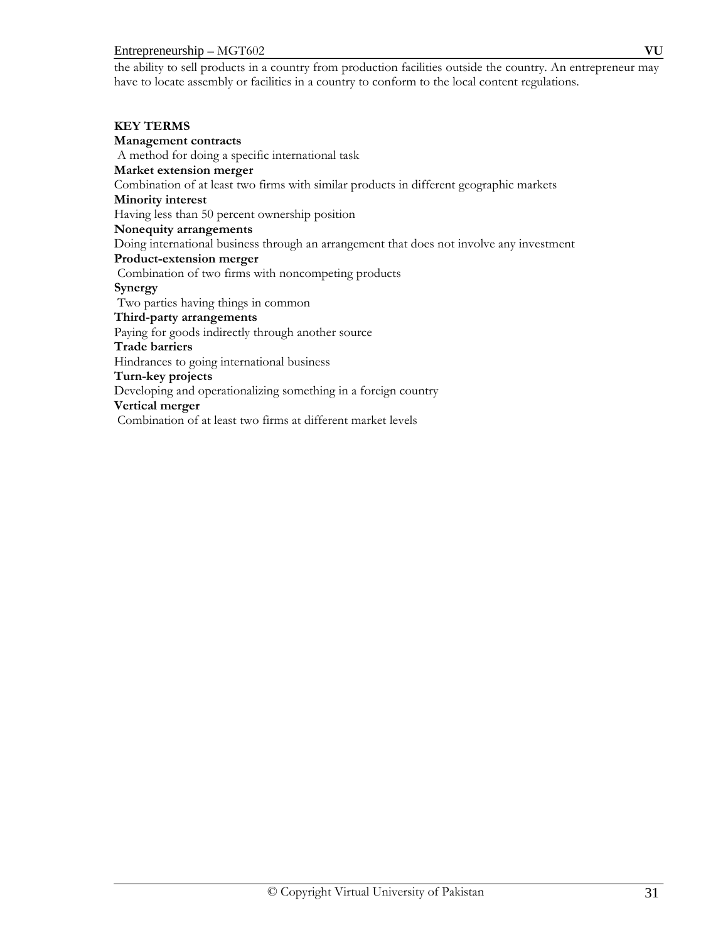#### Entrepreneurship – MGT602 **VU**

the ability to sell products in a country from production facilities outside the country. An entrepreneur may have to locate assembly or facilities in a country to conform to the local content regulations.

#### **KEY TERMS**

**Management contracts**  A method for doing a specific international task **Market extension merger**  Combination of at least two firms with similar products in different geographic markets **Minority interest**  Having less than 50 percent ownership position **Nonequity arrangements**  Doing international business through an arrangement that does not involve any investment **Product-extension merger**  Combination of two firms with noncompeting products **Synergy** Two parties having things in common **Third-party arrangements**  Paying for goods indirectly through another source **Trade barriers** Hindrances to going international business **Turn-key projects** Developing and operationalizing something in a foreign country **Vertical merger** Combination of at least two firms at different market levels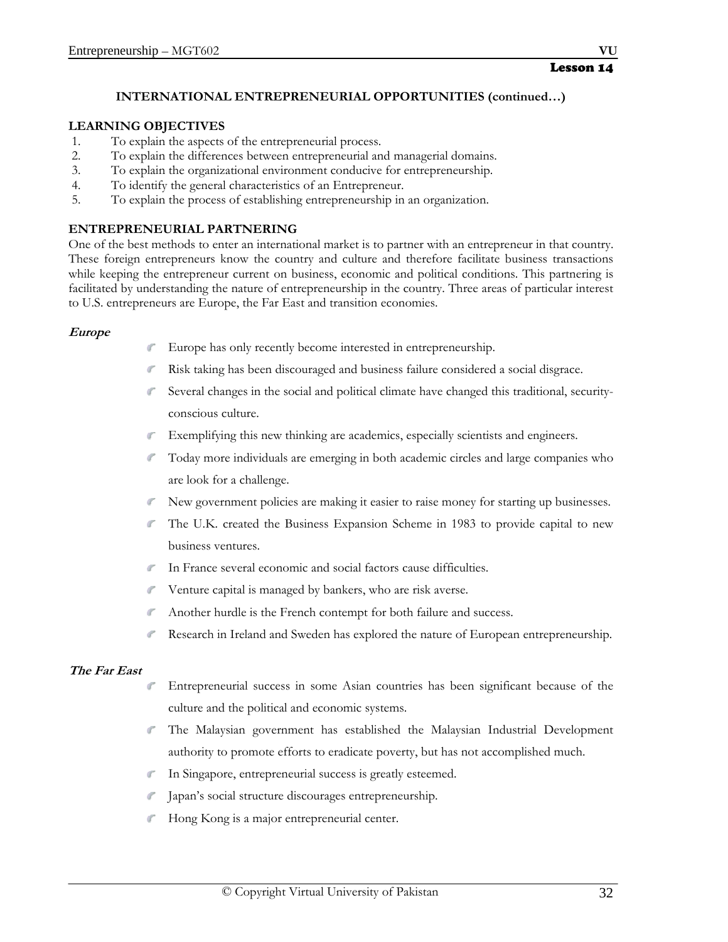# **INTERNATIONAL ENTREPRENEURIAL OPPORTUNITIES (continued…)**

# **LEARNING OBJECTIVES**

- 1. To explain the aspects of the entrepreneurial process.
- 2. To explain the differences between entrepreneurial and managerial domains.
- 3. To explain the organizational environment conducive for entrepreneurship.
- 4. To identify the general characteristics of an Entrepreneur.
- 5. To explain the process of establishing entrepreneurship in an organization.

# **ENTREPRENEURIAL PARTNERING**

One of the best methods to enter an international market is to partner with an entrepreneur in that country. These foreign entrepreneurs know the country and culture and therefore facilitate business transactions while keeping the entrepreneur current on business, economic and political conditions. This partnering is facilitated by understanding the nature of entrepreneurship in the country. Three areas of particular interest to U.S. entrepreneurs are Europe, the Far East and transition economies.

# **Europe**

- Europe has only recently become interested in entrepreneurship.
- Risk taking has been discouraged and business failure considered a social disgrace.
- Several changes in the social and political climate have changed this traditional, securityconscious culture.
- Exemplifying this new thinking are academics, especially scientists and engineers.
- Today more individuals are emerging in both academic circles and large companies who are look for a challenge.
- New government policies are making it easier to raise money for starting up businesses.
- The U.K. created the Business Expansion Scheme in 1983 to provide capital to new business ventures.
- In France several economic and social factors cause difficulties.
- Venture capital is managed by bankers, who are risk averse.
- Another hurdle is the French contempt for both failure and success.
- Research in Ireland and Sweden has explored the nature of European entrepreneurship.

# **The Far East**

- Entrepreneurial success in some Asian countries has been significant because of the culture and the political and economic systems.
- The Malaysian government has established the Malaysian Industrial Development authority to promote efforts to eradicate poverty, but has not accomplished much.
- In Singapore, entrepreneurial success is greatly esteemed.
- Japan's social structure discourages entrepreneurship.
- Hong Kong is a major entrepreneurial center.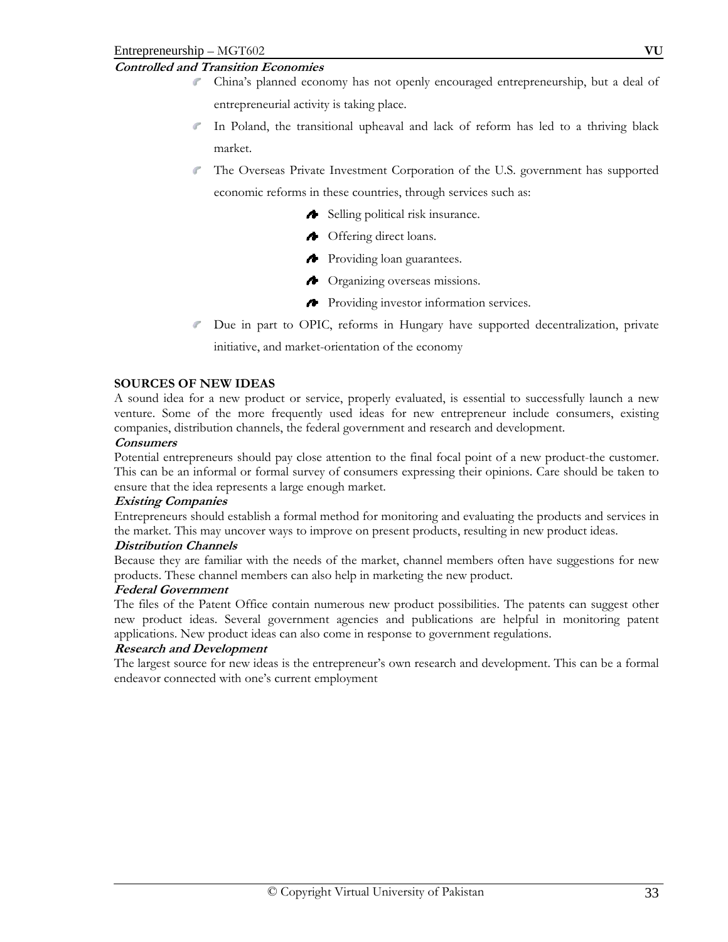# **Controlled and Transition Economies**

- China's planned economy has not openly encouraged entrepreneurship, but a deal of entrepreneurial activity is taking place.
- In Poland, the transitional upheaval and lack of reform has led to a thriving black market.
- The Overseas Private Investment Corporation of the U.S. government has supported economic reforms in these countries, through services such as:
	- Selling political risk insurance.
	- Offering direct loans.
	- **Providing loan guarantees.**
	- **A** Organizing overseas missions.
	- Providing investor information services.
- Due in part to OPIC, reforms in Hungary have supported decentralization, private initiative, and market-orientation of the economy

#### **SOURCES OF NEW IDEAS**

A sound idea for a new product or service, properly evaluated, is essential to successfully launch a new venture. Some of the more frequently used ideas for new entrepreneur include consumers, existing companies, distribution channels, the federal government and research and development.

#### **Consumers**

Potential entrepreneurs should pay close attention to the final focal point of a new product-the customer. This can be an informal or formal survey of consumers expressing their opinions. Care should be taken to ensure that the idea represents a large enough market.

#### **Existing Companies**

Entrepreneurs should establish a formal method for monitoring and evaluating the products and services in the market. This may uncover ways to improve on present products, resulting in new product ideas.

# **Distribution Channels**

Because they are familiar with the needs of the market, channel members often have suggestions for new products. These channel members can also help in marketing the new product.

#### **Federal Government**

The files of the Patent Office contain numerous new product possibilities. The patents can suggest other new product ideas. Several government agencies and publications are helpful in monitoring patent applications. New product ideas can also come in response to government regulations.

#### **Research and Development**

The largest source for new ideas is the entrepreneur's own research and development. This can be a formal endeavor connected with one's current employment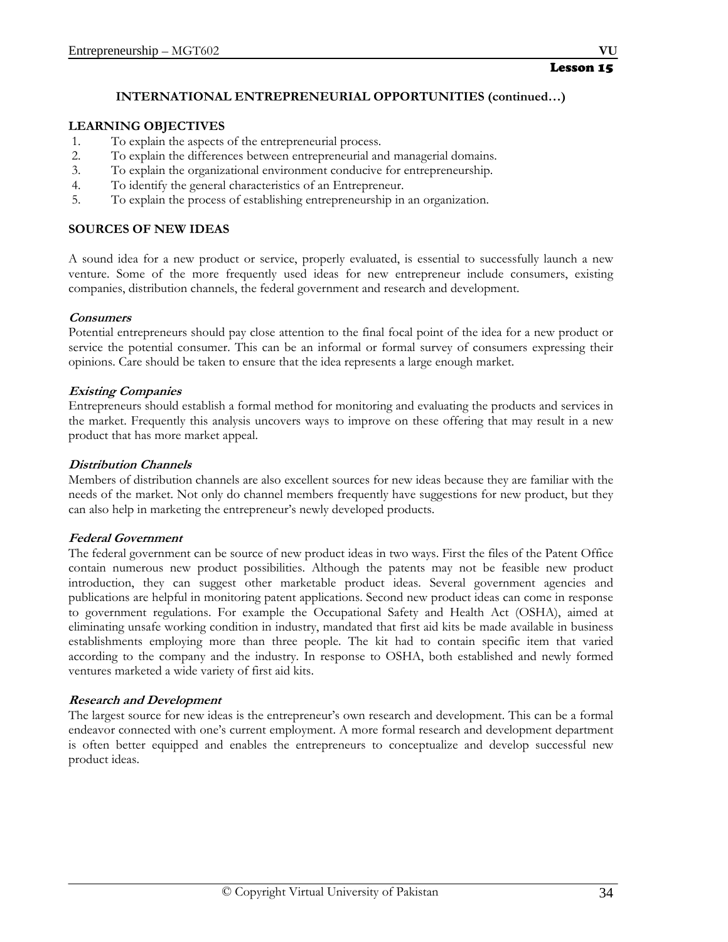# **INTERNATIONAL ENTREPRENEURIAL OPPORTUNITIES (continued…)**

# **LEARNING OBJECTIVES**

- 1. To explain the aspects of the entrepreneurial process.
- 2. To explain the differences between entrepreneurial and managerial domains.
- 3. To explain the organizational environment conducive for entrepreneurship.
- 4. To identify the general characteristics of an Entrepreneur.
- 5. To explain the process of establishing entrepreneurship in an organization.

# **SOURCES OF NEW IDEAS**

A sound idea for a new product or service, properly evaluated, is essential to successfully launch a new venture. Some of the more frequently used ideas for new entrepreneur include consumers, existing companies, distribution channels, the federal government and research and development.

#### **Consumers**

Potential entrepreneurs should pay close attention to the final focal point of the idea for a new product or service the potential consumer. This can be an informal or formal survey of consumers expressing their opinions. Care should be taken to ensure that the idea represents a large enough market.

#### **Existing Companies**

Entrepreneurs should establish a formal method for monitoring and evaluating the products and services in the market. Frequently this analysis uncovers ways to improve on these offering that may result in a new product that has more market appeal.

#### **Distribution Channels**

Members of distribution channels are also excellent sources for new ideas because they are familiar with the needs of the market. Not only do channel members frequently have suggestions for new product, but they can also help in marketing the entrepreneur's newly developed products.

# **Federal Government**

The federal government can be source of new product ideas in two ways. First the files of the Patent Office contain numerous new product possibilities. Although the patents may not be feasible new product introduction, they can suggest other marketable product ideas. Several government agencies and publications are helpful in monitoring patent applications. Second new product ideas can come in response to government regulations. For example the Occupational Safety and Health Act (OSHA), aimed at eliminating unsafe working condition in industry, mandated that first aid kits be made available in business establishments employing more than three people. The kit had to contain specific item that varied according to the company and the industry. In response to OSHA, both established and newly formed ventures marketed a wide variety of first aid kits.

# **Research and Development**

The largest source for new ideas is the entrepreneur's own research and development. This can be a formal endeavor connected with one's current employment. A more formal research and development department is often better equipped and enables the entrepreneurs to conceptualize and develop successful new product ideas.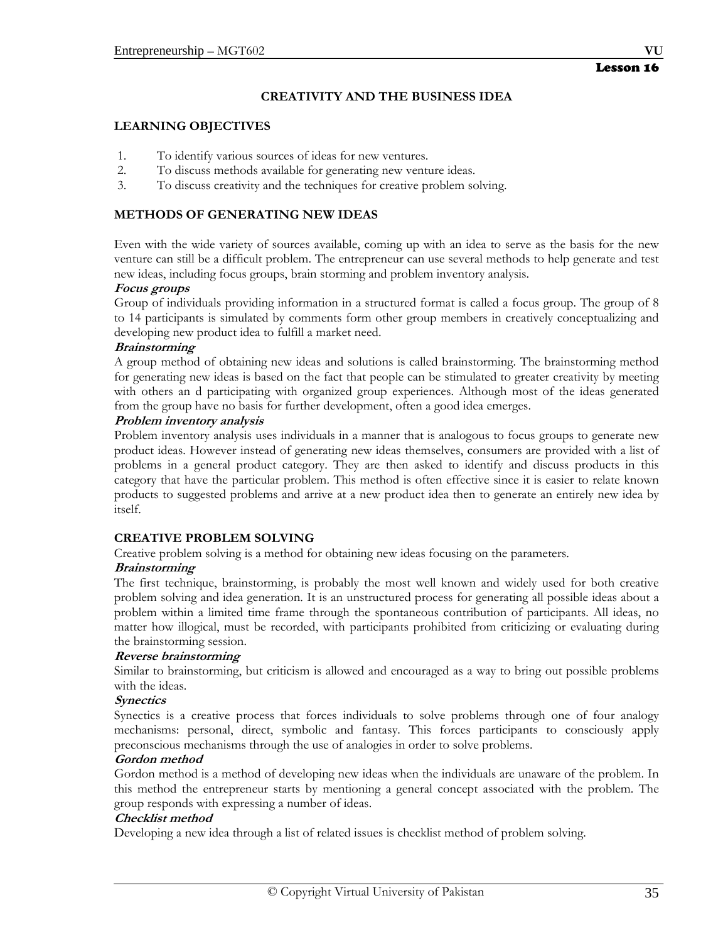# **CREATIVITY AND THE BUSINESS IDEA**

#### **LEARNING OBJECTIVES**

- 1. To identify various sources of ideas for new ventures.
- 2. To discuss methods available for generating new venture ideas.
- 3. To discuss creativity and the techniques for creative problem solving.

## **METHODS OF GENERATING NEW IDEAS**

Even with the wide variety of sources available, coming up with an idea to serve as the basis for the new venture can still be a difficult problem. The entrepreneur can use several methods to help generate and test new ideas, including focus groups, brain storming and problem inventory analysis.

#### **Focus groups**

Group of individuals providing information in a structured format is called a focus group. The group of 8 to 14 participants is simulated by comments form other group members in creatively conceptualizing and developing new product idea to fulfill a market need.

#### **Brainstorming**

A group method of obtaining new ideas and solutions is called brainstorming. The brainstorming method for generating new ideas is based on the fact that people can be stimulated to greater creativity by meeting with others an d participating with organized group experiences. Although most of the ideas generated from the group have no basis for further development, often a good idea emerges.

#### **Problem inventory analysis**

Problem inventory analysis uses individuals in a manner that is analogous to focus groups to generate new product ideas. However instead of generating new ideas themselves, consumers are provided with a list of problems in a general product category. They are then asked to identify and discuss products in this category that have the particular problem. This method is often effective since it is easier to relate known products to suggested problems and arrive at a new product idea then to generate an entirely new idea by itself.

## **CREATIVE PROBLEM SOLVING**

Creative problem solving is a method for obtaining new ideas focusing on the parameters.

#### **Brainstorming**

The first technique, brainstorming, is probably the most well known and widely used for both creative problem solving and idea generation. It is an unstructured process for generating all possible ideas about a problem within a limited time frame through the spontaneous contribution of participants. All ideas, no matter how illogical, must be recorded, with participants prohibited from criticizing or evaluating during the brainstorming session.

## **Reverse brainstorming**

Similar to brainstorming, but criticism is allowed and encouraged as a way to bring out possible problems with the ideas.

## **Synectics**

Synectics is a creative process that forces individuals to solve problems through one of four analogy mechanisms: personal, direct, symbolic and fantasy. This forces participants to consciously apply preconscious mechanisms through the use of analogies in order to solve problems.

#### **Gordon method**

Gordon method is a method of developing new ideas when the individuals are unaware of the problem. In this method the entrepreneur starts by mentioning a general concept associated with the problem. The group responds with expressing a number of ideas.

## **Checklist method**

Developing a new idea through a list of related issues is checklist method of problem solving.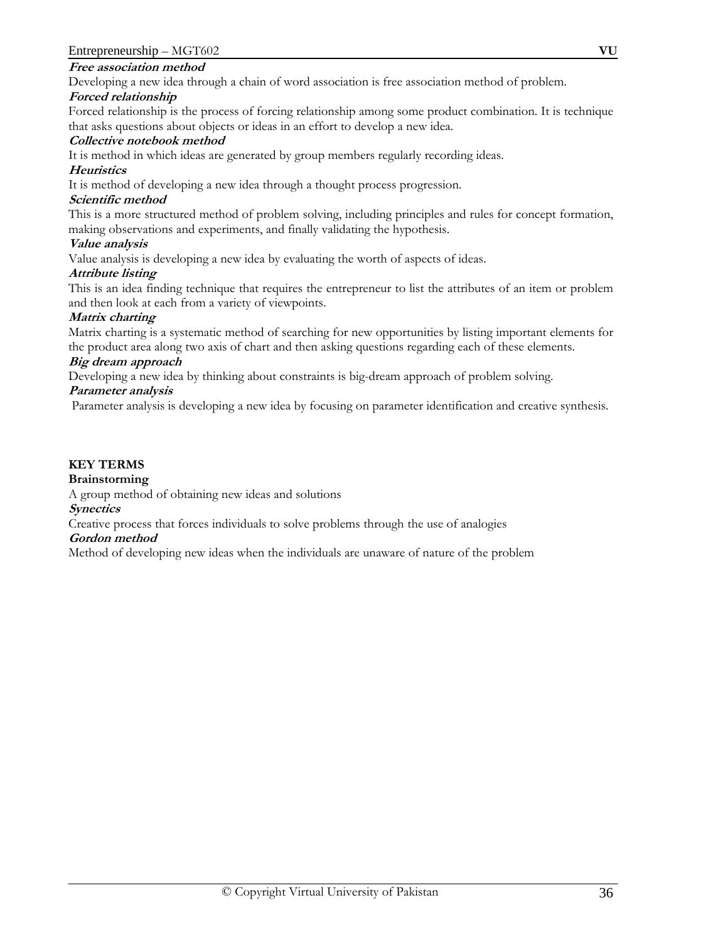#### **Free association method**

Developing a new idea through a chain of word association is free association method of problem.

#### **Forced relationship**

Forced relationship is the process of forcing relationship among some product combination. It is technique that asks questions about objects or ideas in an effort to develop a new idea.

#### **Collective notebook method**

It is method in which ideas are generated by group members regularly recording ideas.

#### **Heuristics**

It is method of developing a new idea through a thought process progression.

#### **Scientific method**

This is a more structured method of problem solving, including principles and rules for concept formation, making observations and experiments, and finally validating the hypothesis.

#### **Value analysis**

Value analysis is developing a new idea by evaluating the worth of aspects of ideas.

#### **Attribute listing**

This is an idea finding technique that requires the entrepreneur to list the attributes of an item or problem and then look at each from a variety of viewpoints.

#### **Matrix charting**

Matrix charting is a systematic method of searching for new opportunities by listing important elements for the product area along two axis of chart and then asking questions regarding each of these elements.

#### **Big dream approach**

Developing a new idea by thinking about constraints is big-dream approach of problem solving.

#### **Parameter analysis**

Parameter analysis is developing a new idea by focusing on parameter identification and creative synthesis.

#### **KEY TERMS**

#### **Brainstorming**

A group method of obtaining new ideas and solutions

#### **Synectics**

Creative process that forces individuals to solve problems through the use of analogies

# **Gordon method**

Method of developing new ideas when the individuals are unaware of nature of the problem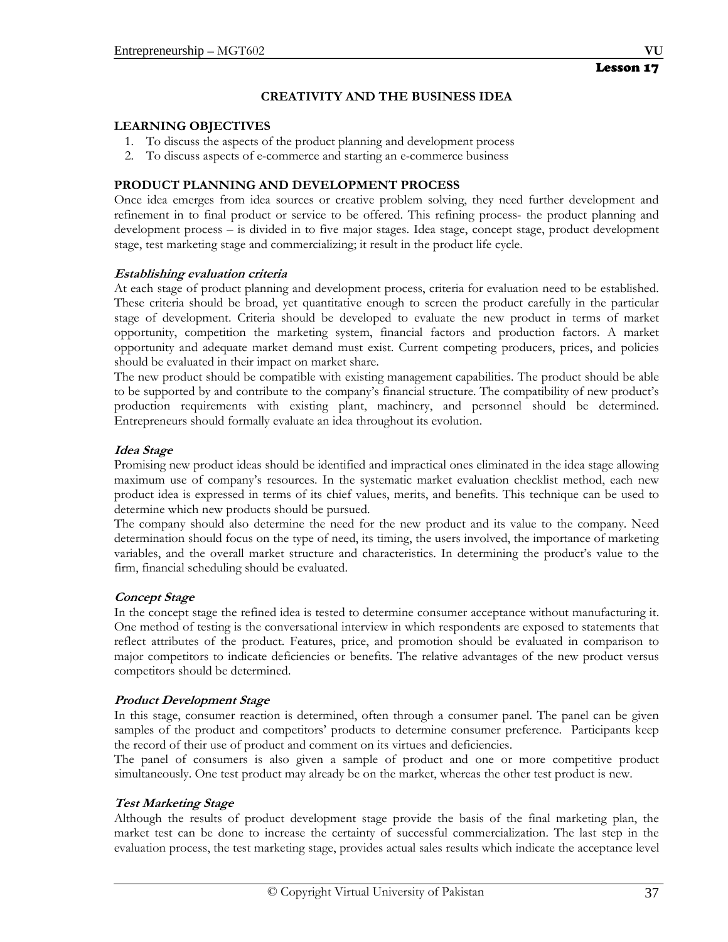# **CREATIVITY AND THE BUSINESS IDEA**

## **LEARNING OBJECTIVES**

- 1. To discuss the aspects of the product planning and development process
- 2. To discuss aspects of e-commerce and starting an e-commerce business

# **PRODUCT PLANNING AND DEVELOPMENT PROCESS**

Once idea emerges from idea sources or creative problem solving, they need further development and refinement in to final product or service to be offered. This refining process- the product planning and development process – is divided in to five major stages. Idea stage, concept stage, product development stage, test marketing stage and commercializing; it result in the product life cycle.

## **Establishing evaluation criteria**

At each stage of product planning and development process, criteria for evaluation need to be established. These criteria should be broad, yet quantitative enough to screen the product carefully in the particular stage of development. Criteria should be developed to evaluate the new product in terms of market opportunity, competition the marketing system, financial factors and production factors. A market opportunity and adequate market demand must exist. Current competing producers, prices, and policies should be evaluated in their impact on market share.

The new product should be compatible with existing management capabilities. The product should be able to be supported by and contribute to the company's financial structure. The compatibility of new product's production requirements with existing plant, machinery, and personnel should be determined. Entrepreneurs should formally evaluate an idea throughout its evolution.

# **Idea Stage**

Promising new product ideas should be identified and impractical ones eliminated in the idea stage allowing maximum use of company's resources. In the systematic market evaluation checklist method, each new product idea is expressed in terms of its chief values, merits, and benefits. This technique can be used to determine which new products should be pursued.

The company should also determine the need for the new product and its value to the company. Need determination should focus on the type of need, its timing, the users involved, the importance of marketing variables, and the overall market structure and characteristics. In determining the product's value to the firm, financial scheduling should be evaluated.

# **Concept Stage**

In the concept stage the refined idea is tested to determine consumer acceptance without manufacturing it. One method of testing is the conversational interview in which respondents are exposed to statements that reflect attributes of the product. Features, price, and promotion should be evaluated in comparison to major competitors to indicate deficiencies or benefits. The relative advantages of the new product versus competitors should be determined.

# **Product Development Stage**

In this stage, consumer reaction is determined, often through a consumer panel. The panel can be given samples of the product and competitors' products to determine consumer preference. Participants keep the record of their use of product and comment on its virtues and deficiencies.

The panel of consumers is also given a sample of product and one or more competitive product simultaneously. One test product may already be on the market, whereas the other test product is new.

# **Test Marketing Stage**

Although the results of product development stage provide the basis of the final marketing plan, the market test can be done to increase the certainty of successful commercialization. The last step in the evaluation process, the test marketing stage, provides actual sales results which indicate the acceptance level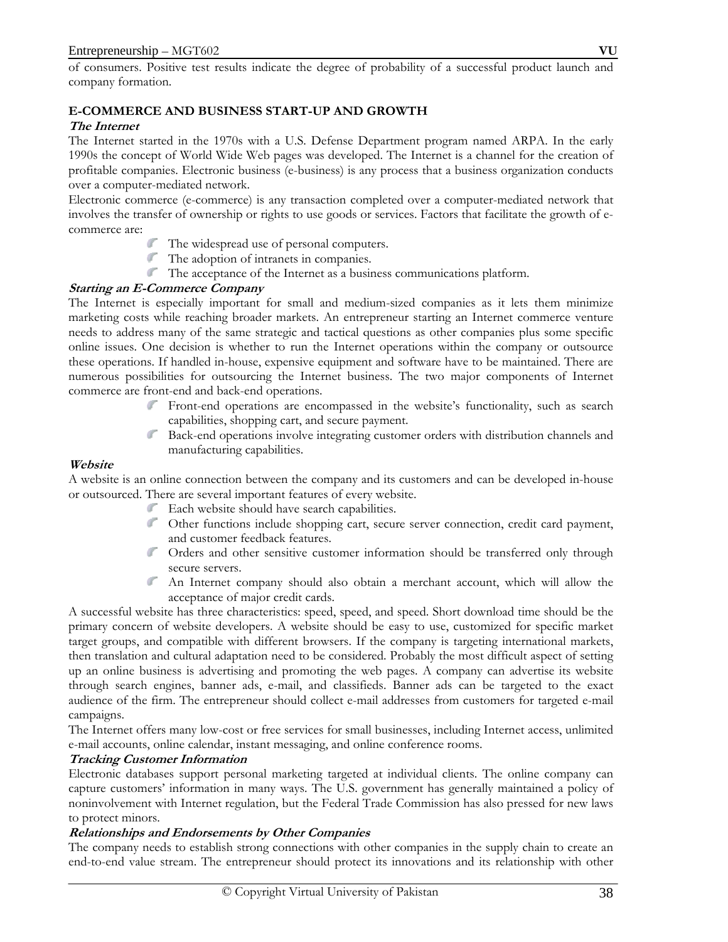of consumers. Positive test results indicate the degree of probability of a successful product launch and company formation.

# **E-COMMERCE AND BUSINESS START-UP AND GROWTH**

## **The Internet**

The Internet started in the 1970s with a U.S. Defense Department program named ARPA. In the early 1990s the concept of World Wide Web pages was developed. The Internet is a channel for the creation of profitable companies. Electronic business (e-business) is any process that a business organization conducts over a computer-mediated network.

Electronic commerce (e-commerce) is any transaction completed over a computer-mediated network that involves the transfer of ownership or rights to use goods or services. Factors that facilitate the growth of ecommerce are:

- The widespread use of personal computers.
- The adoption of intranets in companies.
- The acceptance of the Internet as a business communications platform.

## **Starting an E-Commerce Company**

The Internet is especially important for small and medium-sized companies as it lets them minimize marketing costs while reaching broader markets. An entrepreneur starting an Internet commerce venture needs to address many of the same strategic and tactical questions as other companies plus some specific online issues. One decision is whether to run the Internet operations within the company or outsource these operations. If handled in-house, expensive equipment and software have to be maintained. There are numerous possibilities for outsourcing the Internet business. The two major components of Internet commerce are front-end and back-end operations.

- Front-end operations are encompassed in the website's functionality, such as search capabilities, shopping cart, and secure payment.
- Back-end operations involve integrating customer orders with distribution channels and manufacturing capabilities.

## **Website**

A website is an online connection between the company and its customers and can be developed in-house or outsourced. There are several important features of every website.

- Each website should have search capabilities.
- Other functions include shopping cart, secure server connection, credit card payment, and customer feedback features.
- Orders and other sensitive customer information should be transferred only through secure servers.
- An Internet company should also obtain a merchant account, which will allow the acceptance of major credit cards.

A successful website has three characteristics: speed, speed, and speed. Short download time should be the primary concern of website developers. A website should be easy to use, customized for specific market target groups, and compatible with different browsers. If the company is targeting international markets, then translation and cultural adaptation need to be considered. Probably the most difficult aspect of setting up an online business is advertising and promoting the web pages. A company can advertise its website through search engines, banner ads, e-mail, and classifieds. Banner ads can be targeted to the exact audience of the firm. The entrepreneur should collect e-mail addresses from customers for targeted e-mail campaigns.

The Internet offers many low-cost or free services for small businesses, including Internet access, unlimited e-mail accounts, online calendar, instant messaging, and online conference rooms.

# **Tracking Customer Information**

Electronic databases support personal marketing targeted at individual clients. The online company can capture customers' information in many ways. The U.S. government has generally maintained a policy of noninvolvement with Internet regulation, but the Federal Trade Commission has also pressed for new laws to protect minors.

# **Relationships and Endorsements by Other Companies**

The company needs to establish strong connections with other companies in the supply chain to create an end-to-end value stream. The entrepreneur should protect its innovations and its relationship with other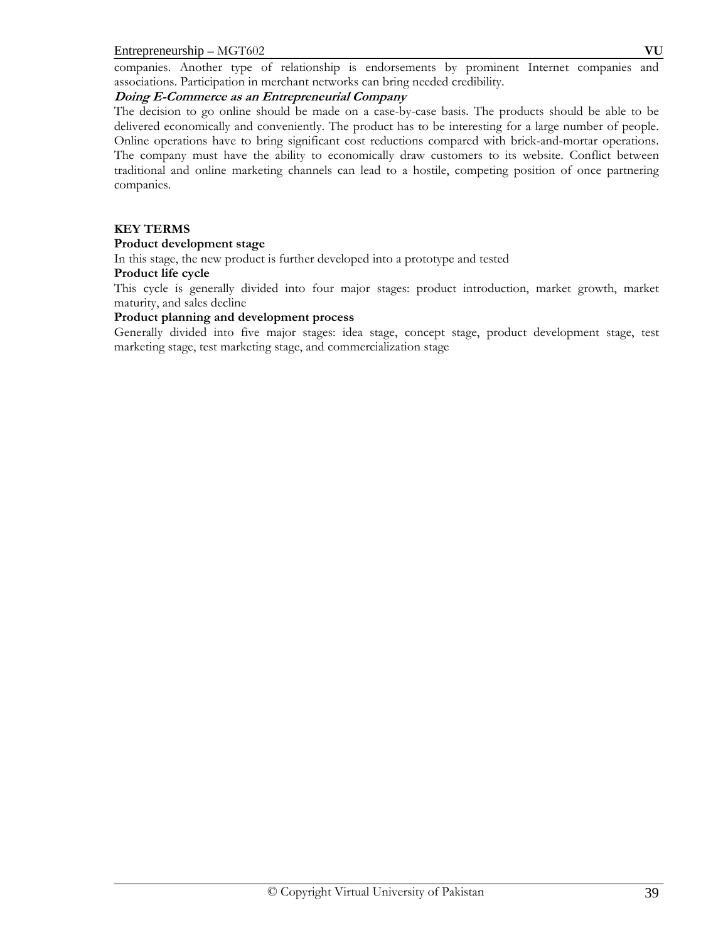#### Entrepreneurship – MGT602 **VU**

companies. Another type of relationship is endorsements by prominent Internet companies and associations. Participation in merchant networks can bring needed credibility.

## **Doing E-Commerce as an Entrepreneurial Company**

The decision to go online should be made on a case-by-case basis. The products should be able to be delivered economically and conveniently. The product has to be interesting for a large number of people. Online operations have to bring significant cost reductions compared with brick-and-mortar operations. The company must have the ability to economically draw customers to its website. Conflict between traditional and online marketing channels can lead to a hostile, competing position of once partnering companies.

#### **KEY TERMS**

#### **Product development stage**

In this stage, the new product is further developed into a prototype and tested

#### **Product life cycle**

This cycle is generally divided into four major stages: product introduction, market growth, market maturity, and sales decline

#### **Product planning and development process**

Generally divided into five major stages: idea stage, concept stage, product development stage, test marketing stage, test marketing stage, and commercialization stage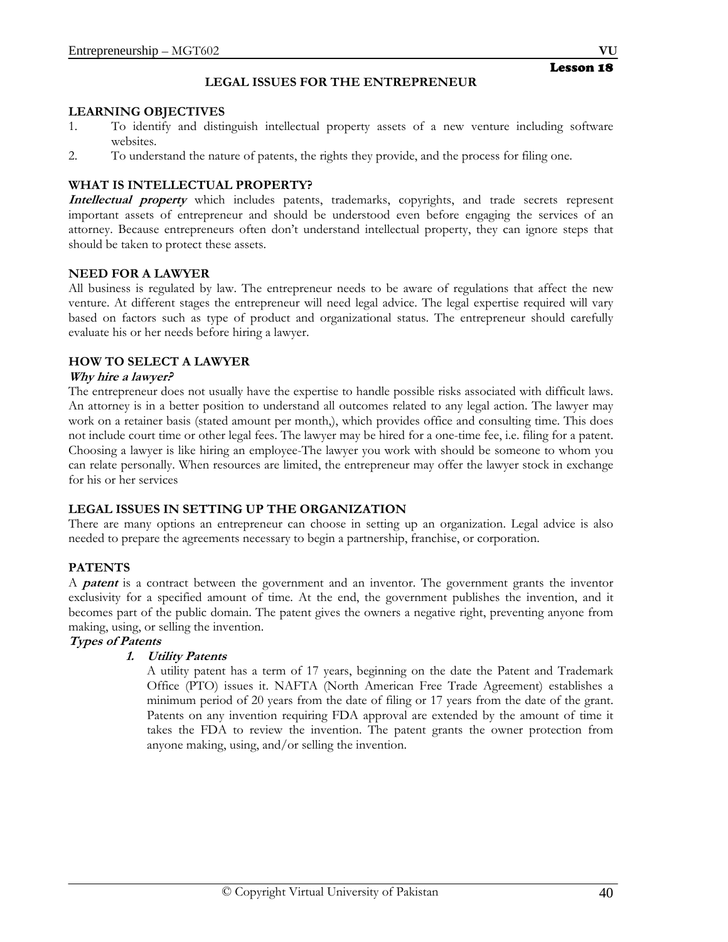## **LEGAL ISSUES FOR THE ENTREPRENEUR**

#### **LEARNING OBJECTIVES**

- 1. To identify and distinguish intellectual property assets of a new venture including software websites.
- 2. To understand the nature of patents, the rights they provide, and the process for filing one.

## **WHAT IS INTELLECTUAL PROPERTY?**

**Intellectual property** which includes patents, trademarks, copyrights, and trade secrets represent important assets of entrepreneur and should be understood even before engaging the services of an attorney. Because entrepreneurs often don't understand intellectual property, they can ignore steps that should be taken to protect these assets.

#### **NEED FOR A LAWYER**

All business is regulated by law. The entrepreneur needs to be aware of regulations that affect the new venture. At different stages the entrepreneur will need legal advice. The legal expertise required will vary based on factors such as type of product and organizational status. The entrepreneur should carefully evaluate his or her needs before hiring a lawyer.

## **HOW TO SELECT A LAWYER**

#### **Why hire a lawyer?**

The entrepreneur does not usually have the expertise to handle possible risks associated with difficult laws. An attorney is in a better position to understand all outcomes related to any legal action. The lawyer may work on a retainer basis (stated amount per month,), which provides office and consulting time. This does not include court time or other legal fees. The lawyer may be hired for a one-time fee, i.e. filing for a patent. Choosing a lawyer is like hiring an employee-The lawyer you work with should be someone to whom you can relate personally. When resources are limited, the entrepreneur may offer the lawyer stock in exchange for his or her services

## **LEGAL ISSUES IN SETTING UP THE ORGANIZATION**

There are many options an entrepreneur can choose in setting up an organization. Legal advice is also needed to prepare the agreements necessary to begin a partnership, franchise, or corporation.

## **PATENTS**

A **patent** is a contract between the government and an inventor. The government grants the inventor exclusivity for a specified amount of time. At the end, the government publishes the invention, and it becomes part of the public domain. The patent gives the owners a negative right, preventing anyone from making, using, or selling the invention.

# **Types of Patents**

## **1. Utility Patents**

A utility patent has a term of 17 years, beginning on the date the Patent and Trademark Office (PTO) issues it. NAFTA (North American Free Trade Agreement) establishes a minimum period of 20 years from the date of filing or 17 years from the date of the grant. Patents on any invention requiring FDA approval are extended by the amount of time it takes the FDA to review the invention. The patent grants the owner protection from anyone making, using, and/or selling the invention.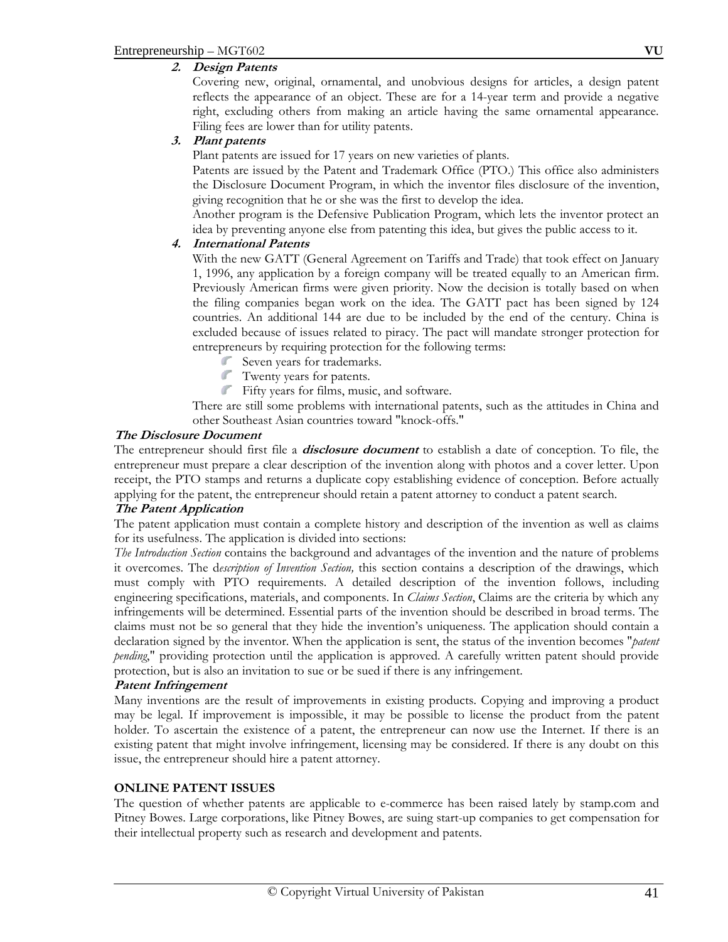## **2. Design Patents**

Covering new, original, ornamental, and unobvious designs for articles, a design patent reflects the appearance of an object. These are for a 14-year term and provide a negative right, excluding others from making an article having the same ornamental appearance. Filing fees are lower than for utility patents.

## **3. Plant patents**

Plant patents are issued for 17 years on new varieties of plants.

Patents are issued by the Patent and Trademark Office (PTO.) This office also administers the Disclosure Document Program, in which the inventor files disclosure of the invention, giving recognition that he or she was the first to develop the idea.

Another program is the Defensive Publication Program, which lets the inventor protect an idea by preventing anyone else from patenting this idea, but gives the public access to it.

## **4. International Patents**

With the new GATT (General Agreement on Tariffs and Trade) that took effect on January 1, 1996, any application by a foreign company will be treated equally to an American firm. Previously American firms were given priority. Now the decision is totally based on when the filing companies began work on the idea. The GATT pact has been signed by 124 countries. An additional 144 are due to be included by the end of the century. China is excluded because of issues related to piracy. The pact will mandate stronger protection for entrepreneurs by requiring protection for the following terms:

- Seven years for trademarks.
- Twenty years for patents.
- Fifty years for films, music, and software.

There are still some problems with international patents, such as the attitudes in China and other Southeast Asian countries toward "knock-offs."

#### **The Disclosure Document**

The entrepreneur should first file a **disclosure document** to establish a date of conception. To file, the entrepreneur must prepare a clear description of the invention along with photos and a cover letter. Upon receipt, the PTO stamps and returns a duplicate copy establishing evidence of conception. Before actually applying for the patent, the entrepreneur should retain a patent attorney to conduct a patent search.

#### **The Patent Application**

The patent application must contain a complete history and description of the invention as well as claims for its usefulness. The application is divided into sections:

*The Introduction Section* contains the background and advantages of the invention and the nature of problems it overcomes. The d*escription of Invention Section,* this section contains a description of the drawings, which must comply with PTO requirements. A detailed description of the invention follows, including engineering specifications, materials, and components. In *Claims Section*, Claims are the criteria by which any infringements will be determined. Essential parts of the invention should be described in broad terms. The claims must not be so general that they hide the invention's uniqueness. The application should contain a declaration signed by the inventor. When the application is sent, the status of the invention becomes "*patent pending*," providing protection until the application is approved. A carefully written patent should provide protection, but is also an invitation to sue or be sued if there is any infringement.

#### **Patent Infringement**

Many inventions are the result of improvements in existing products. Copying and improving a product may be legal. If improvement is impossible, it may be possible to license the product from the patent holder. To ascertain the existence of a patent, the entrepreneur can now use the Internet. If there is an existing patent that might involve infringement, licensing may be considered. If there is any doubt on this issue, the entrepreneur should hire a patent attorney.

## **ONLINE PATENT ISSUES**

The question of whether patents are applicable to e-commerce has been raised lately by stamp.com and Pitney Bowes. Large corporations, like Pitney Bowes, are suing start-up companies to get compensation for their intellectual property such as research and development and patents.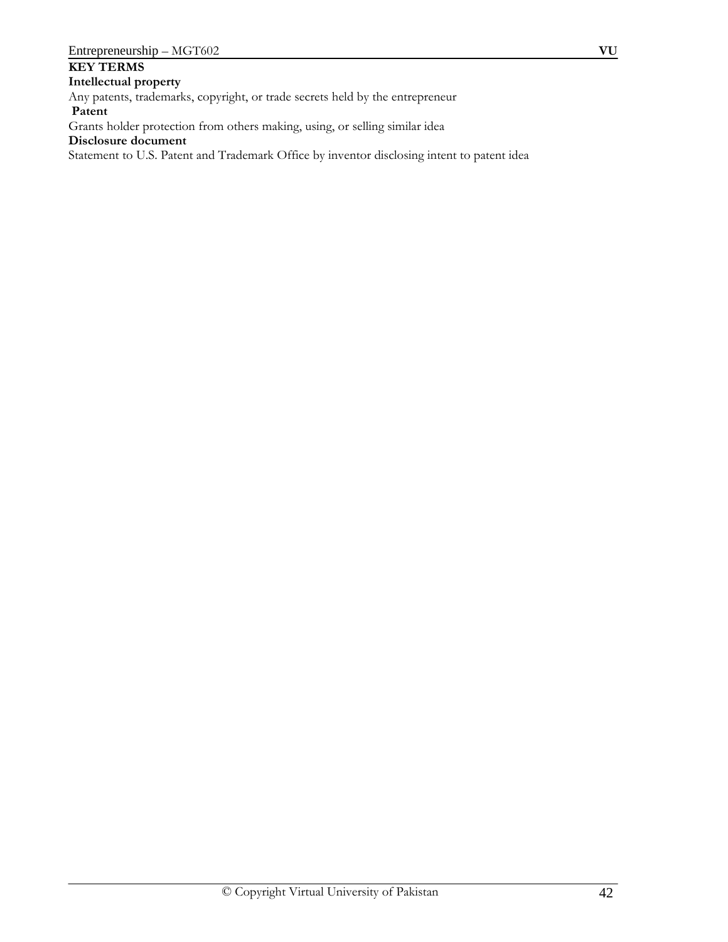# **KEY TERMS**

**Intellectual property**

Any patents, trademarks, copyright, or trade secrets held by the entrepreneur

 **Patent**

Grants holder protection from others making, using, or selling similar idea

**Disclosure document**

Statement to U.S. Patent and Trademark Office by inventor disclosing intent to patent idea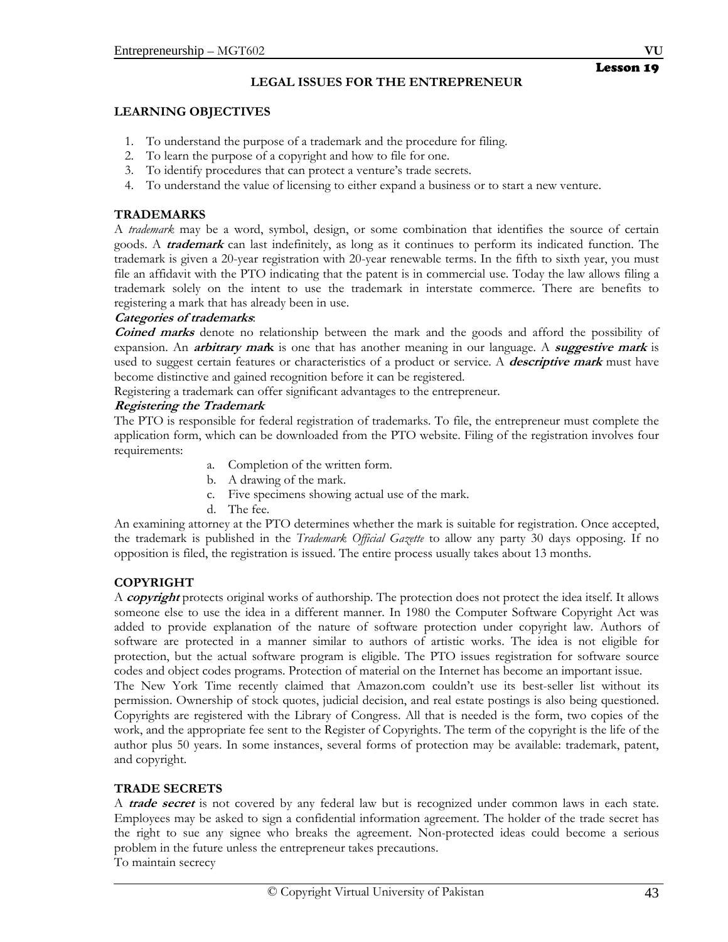## **LEGAL ISSUES FOR THE ENTREPRENEUR**

## **LEARNING OBJECTIVES**

- 1. To understand the purpose of a trademark and the procedure for filing.
- 2. To learn the purpose of a copyright and how to file for one.
- 3. To identify procedures that can protect a venture's trade secrets.
- 4. To understand the value of licensing to either expand a business or to start a new venture.

## **TRADEMARKS**

A *trademark* may be a word, symbol, design, or some combination that identifies the source of certain goods. A **trademark** can last indefinitely, as long as it continues to perform its indicated function. The trademark is given a 20-year registration with 20-year renewable terms. In the fifth to sixth year, you must file an affidavit with the PTO indicating that the patent is in commercial use. Today the law allows filing a trademark solely on the intent to use the trademark in interstate commerce. There are benefits to registering a mark that has already been in use.

## **Categories of trademarks**:

**Coined marks** denote no relationship between the mark and the goods and afford the possibility of expansion. An **arbitrary mark** is one that has another meaning in our language. A **suggestive mark** is used to suggest certain features or characteristics of a product or service. A **descriptive mark** must have become distinctive and gained recognition before it can be registered.

Registering a trademark can offer significant advantages to the entrepreneur.

## **Registering the Trademark**

The PTO is responsible for federal registration of trademarks. To file, the entrepreneur must complete the application form, which can be downloaded from the PTO website. Filing of the registration involves four requirements:

- a. Completion of the written form.
- b. A drawing of the mark.
- c. Five specimens showing actual use of the mark.
- d. The fee.

An examining attorney at the PTO determines whether the mark is suitable for registration. Once accepted, the trademark is published in the *Trademark Official Gazette* to allow any party 30 days opposing. If no opposition is filed, the registration is issued. The entire process usually takes about 13 months.

# **COPYRIGHT**

A **copyright** protects original works of authorship. The protection does not protect the idea itself. It allows someone else to use the idea in a different manner. In 1980 the Computer Software Copyright Act was added to provide explanation of the nature of software protection under copyright law. Authors of software are protected in a manner similar to authors of artistic works. The idea is not eligible for protection, but the actual software program is eligible. The PTO issues registration for software source codes and object codes programs. Protection of material on the Internet has become an important issue.

The New York Time recently claimed that Amazon.com couldn't use its best-seller list without its permission. Ownership of stock quotes, judicial decision, and real estate postings is also being questioned. Copyrights are registered with the Library of Congress. All that is needed is the form, two copies of the work, and the appropriate fee sent to the Register of Copyrights. The term of the copyright is the life of the author plus 50 years. In some instances, several forms of protection may be available: trademark, patent, and copyright.

# **TRADE SECRETS**

A **trade secret** is not covered by any federal law but is recognized under common laws in each state. Employees may be asked to sign a confidential information agreement. The holder of the trade secret has the right to sue any signee who breaks the agreement. Non-protected ideas could become a serious problem in the future unless the entrepreneur takes precautions. To maintain secrecy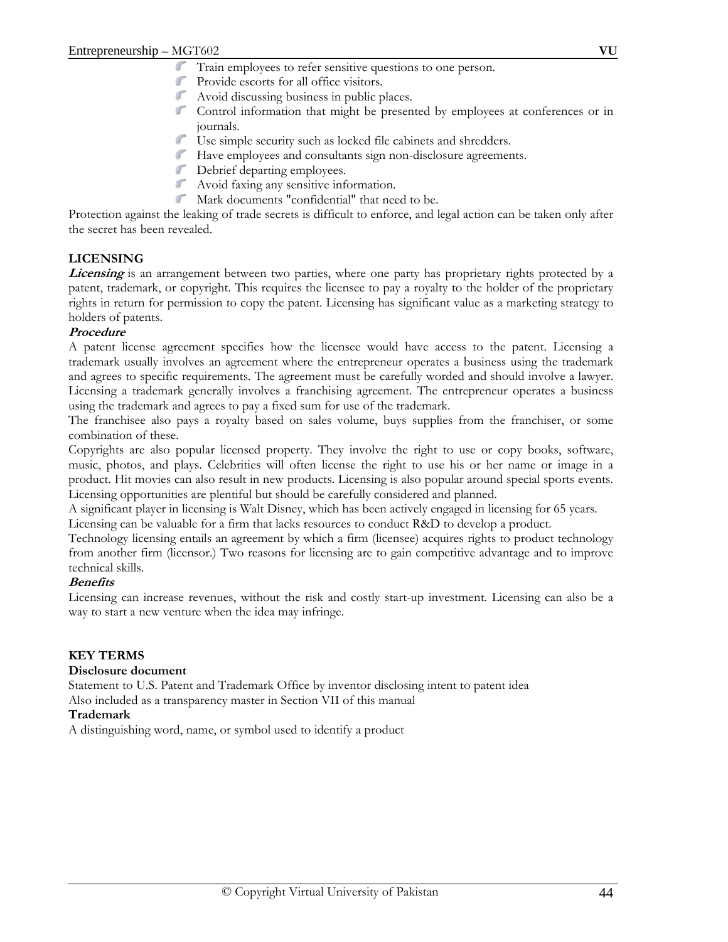- Train employees to refer sensitive questions to one person.
- $\mathbb{Z}^{\mathbb{Z}^n}$ Provide escorts for all office visitors.
- $\mathbb{Z}^{\mathbb{Z}}$ Avoid discussing business in public places.
- Control information that might be presented by employees at conferences or in journals.
- $\mathbb{Z}$ Use simple security such as locked file cabinets and shredders.
- Have employees and consultants sign non-disclosure agreements.
- Debrief departing employees.
- Avoid faxing any sensitive information.
- Mark documents "confidential" that need to be.

Protection against the leaking of trade secrets is difficult to enforce, and legal action can be taken only after the secret has been revealed.

## **LICENSING**

**Licensing** is an arrangement between two parties, where one party has proprietary rights protected by a patent, trademark, or copyright. This requires the licensee to pay a royalty to the holder of the proprietary rights in return for permission to copy the patent. Licensing has significant value as a marketing strategy to holders of patents.

#### **Procedure**

A patent license agreement specifies how the licensee would have access to the patent. Licensing a trademark usually involves an agreement where the entrepreneur operates a business using the trademark and agrees to specific requirements. The agreement must be carefully worded and should involve a lawyer. Licensing a trademark generally involves a franchising agreement. The entrepreneur operates a business using the trademark and agrees to pay a fixed sum for use of the trademark.

The franchisee also pays a royalty based on sales volume, buys supplies from the franchiser, or some combination of these.

Copyrights are also popular licensed property. They involve the right to use or copy books, software, music, photos, and plays. Celebrities will often license the right to use his or her name or image in a product. Hit movies can also result in new products. Licensing is also popular around special sports events. Licensing opportunities are plentiful but should be carefully considered and planned.

A significant player in licensing is Walt Disney, which has been actively engaged in licensing for 65 years. Licensing can be valuable for a firm that lacks resources to conduct R&D to develop a product.

Technology licensing entails an agreement by which a firm (licensee) acquires rights to product technology from another firm (licensor.) Two reasons for licensing are to gain competitive advantage and to improve technical skills.

#### **Benefits**

Licensing can increase revenues, without the risk and costly start-up investment. Licensing can also be a way to start a new venture when the idea may infringe.

#### **KEY TERMS**

#### **Disclosure document**

Statement to U.S. Patent and Trademark Office by inventor disclosing intent to patent idea Also included as a transparency master in Section VII of this manual

#### **Trademark**

A distinguishing word, name, or symbol used to identify a product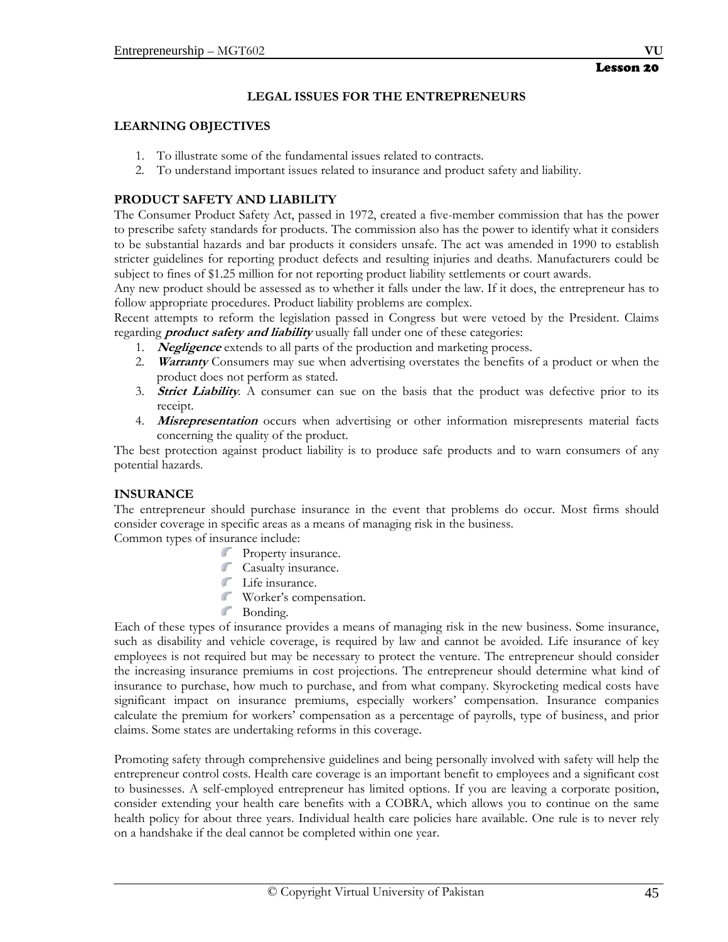## **LEGAL ISSUES FOR THE ENTREPRENEURS**

#### **LEARNING OBJECTIVES**

- 1. To illustrate some of the fundamental issues related to contracts.
- 2. To understand important issues related to insurance and product safety and liability.

## **PRODUCT SAFETY AND LIABILITY**

The Consumer Product Safety Act, passed in 1972, created a five-member commission that has the power to prescribe safety standards for products. The commission also has the power to identify what it considers to be substantial hazards and bar products it considers unsafe. The act was amended in 1990 to establish stricter guidelines for reporting product defects and resulting injuries and deaths. Manufacturers could be subject to fines of \$1.25 million for not reporting product liability settlements or court awards.

Any new product should be assessed as to whether it falls under the law. If it does, the entrepreneur has to follow appropriate procedures. Product liability problems are complex.

Recent attempts to reform the legislation passed in Congress but were vetoed by the President. Claims regarding **product safety and liability** usually fall under one of these categories:

- 1. **Negligence** extends to all parts of the production and marketing process.
- 2. **Warranty** Consumers may sue when advertising overstates the benefits of a product or when the product does not perform as stated.
- 3. **Strict Liability***.* A consumer can sue on the basis that the product was defective prior to its receipt.
- 4. **Misrepresentation** occurs when advertising or other information misrepresents material facts concerning the quality of the product.

The best protection against product liability is to produce safe products and to warn consumers of any potential hazards.

## **INSURANCE**

The entrepreneur should purchase insurance in the event that problems do occur. Most firms should consider coverage in specific areas as a means of managing risk in the business.

Common types of insurance include:

- **Property insurance.**
- **Casualty insurance.**
- Life insurance.
- Worker's compensation.
- Bonding.

Each of these types of insurance provides a means of managing risk in the new business. Some insurance, such as disability and vehicle coverage, is required by law and cannot be avoided. Life insurance of key employees is not required but may be necessary to protect the venture. The entrepreneur should consider the increasing insurance premiums in cost projections. The entrepreneur should determine what kind of insurance to purchase, how much to purchase, and from what company. Skyrocketing medical costs have significant impact on insurance premiums, especially workers' compensation. Insurance companies calculate the premium for workers' compensation as a percentage of payrolls, type of business, and prior claims. Some states are undertaking reforms in this coverage.

Promoting safety through comprehensive guidelines and being personally involved with safety will help the entrepreneur control costs. Health care coverage is an important benefit to employees and a significant cost to businesses. A self-employed entrepreneur has limited options. If you are leaving a corporate position, consider extending your health care benefits with a COBRA, which allows you to continue on the same health policy for about three years. Individual health care policies hare available. One rule is to never rely on a handshake if the deal cannot be completed within one year.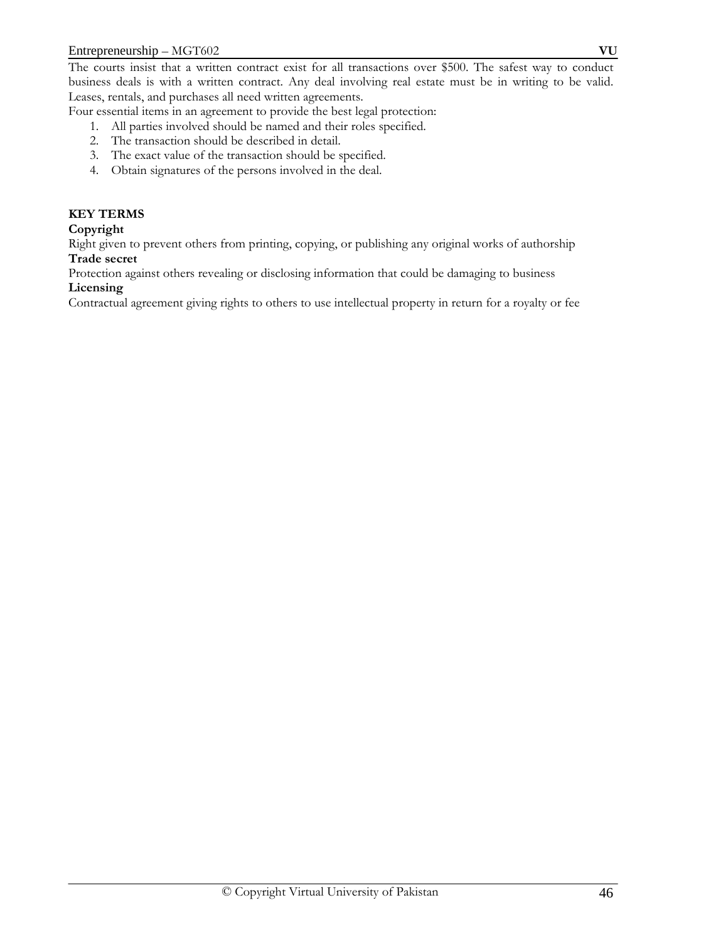The courts insist that a written contract exist for all transactions over \$500. The safest way to conduct business deals is with a written contract. Any deal involving real estate must be in writing to be valid. Leases, rentals, and purchases all need written agreements.

Four essential items in an agreement to provide the best legal protection:

- 1. All parties involved should be named and their roles specified.
- 2. The transaction should be described in detail.
- 3. The exact value of the transaction should be specified.
- 4. Obtain signatures of the persons involved in the deal.

## **KEY TERMS**

## **Copyright**

Right given to prevent others from printing, copying, or publishing any original works of authorship **Trade secret**

Protection against others revealing or disclosing information that could be damaging to business **Licensing** 

Contractual agreement giving rights to others to use intellectual property in return for a royalty or fee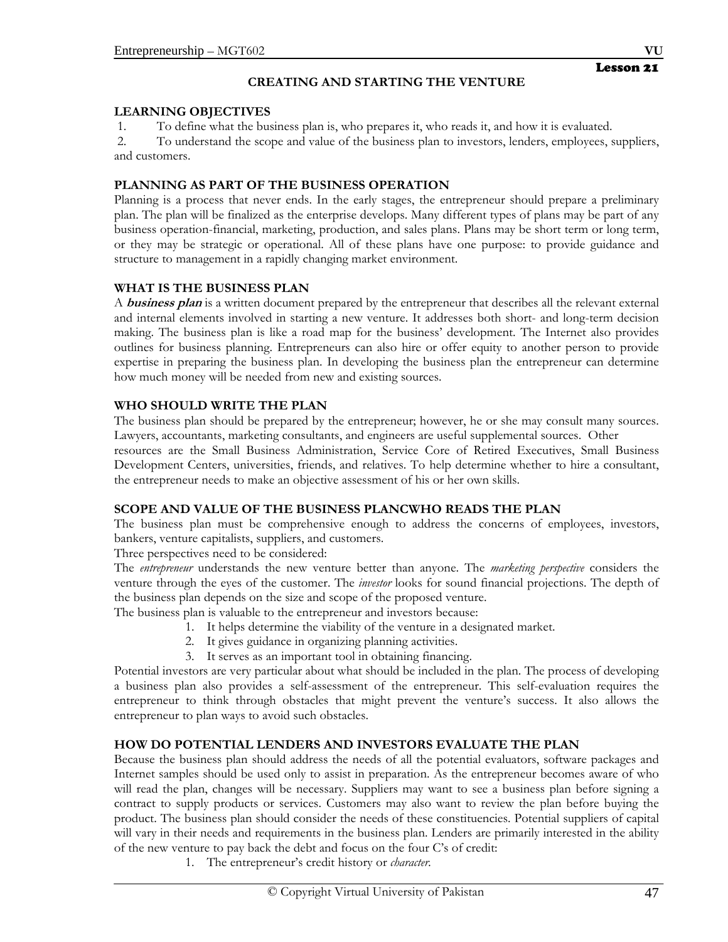# **CREATING AND STARTING THE VENTURE**

## **LEARNING OBJECTIVES**

1. To define what the business plan is, who prepares it, who reads it, and how it is evaluated.

 2. To understand the scope and value of the business plan to investors, lenders, employees, suppliers, and customers.

# **PLANNING AS PART OF THE BUSINESS OPERATION**

Planning is a process that never ends. In the early stages, the entrepreneur should prepare a preliminary plan. The plan will be finalized as the enterprise develops. Many different types of plans may be part of any business operation-financial, marketing, production, and sales plans. Plans may be short term or long term, or they may be strategic or operational. All of these plans have one purpose: to provide guidance and structure to management in a rapidly changing market environment.

# **WHAT IS THE BUSINESS PLAN**

A **business plan** is a written document prepared by the entrepreneur that describes all the relevant external and internal elements involved in starting a new venture. It addresses both short- and long-term decision making. The business plan is like a road map for the business' development. The Internet also provides outlines for business planning. Entrepreneurs can also hire or offer equity to another person to provide expertise in preparing the business plan. In developing the business plan the entrepreneur can determine how much money will be needed from new and existing sources.

# **WHO SHOULD WRITE THE PLAN**

The business plan should be prepared by the entrepreneur; however, he or she may consult many sources. Lawyers, accountants, marketing consultants, and engineers are useful supplemental sources. Other resources are the Small Business Administration, Service Core of Retired Executives, Small Business Development Centers, universities, friends, and relatives. To help determine whether to hire a consultant, the entrepreneur needs to make an objective assessment of his or her own skills.

# **SCOPE AND VALUE OF THE BUSINESS PLANCWHO READS THE PLAN**

The business plan must be comprehensive enough to address the concerns of employees, investors, bankers, venture capitalists, suppliers, and customers.

Three perspectives need to be considered:

The *entrepreneur* understands the new venture better than anyone. The *marketing perspective* considers the venture through the eyes of the customer. The *investor* looks for sound financial projections. The depth of the business plan depends on the size and scope of the proposed venture.

The business plan is valuable to the entrepreneur and investors because:

- 1. It helps determine the viability of the venture in a designated market.
- 2. It gives guidance in organizing planning activities.
- 3. It serves as an important tool in obtaining financing.

Potential investors are very particular about what should be included in the plan. The process of developing a business plan also provides a self-assessment of the entrepreneur. This self-evaluation requires the entrepreneur to think through obstacles that might prevent the venture's success. It also allows the entrepreneur to plan ways to avoid such obstacles.

# **HOW DO POTENTIAL LENDERS AND INVESTORS EVALUATE THE PLAN**

Because the business plan should address the needs of all the potential evaluators, software packages and Internet samples should be used only to assist in preparation. As the entrepreneur becomes aware of who will read the plan, changes will be necessary. Suppliers may want to see a business plan before signing a contract to supply products or services. Customers may also want to review the plan before buying the product. The business plan should consider the needs of these constituencies. Potential suppliers of capital will vary in their needs and requirements in the business plan. Lenders are primarily interested in the ability of the new venture to pay back the debt and focus on the four C's of credit:

1. The entrepreneur's credit history or *character.*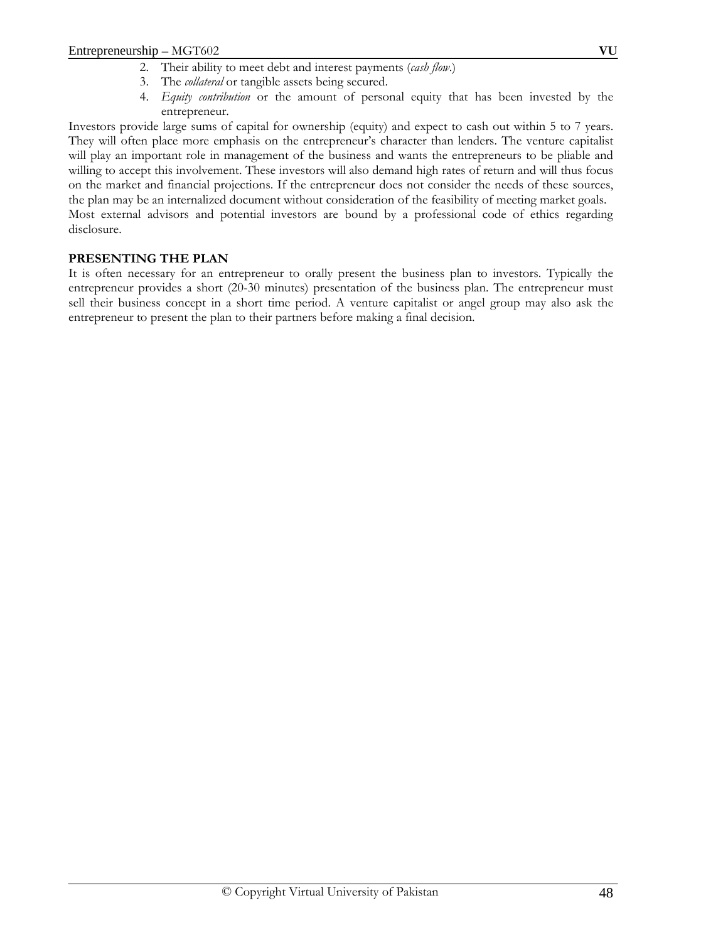- 2. Their ability to meet debt and interest payments (*cash flow*.)
- 3. The *collateral* or tangible assets being secured.
- 4. *Equity contribution* or the amount of personal equity that has been invested by the entrepreneur.

Investors provide large sums of capital for ownership (equity) and expect to cash out within 5 to 7 years. They will often place more emphasis on the entrepreneur's character than lenders. The venture capitalist will play an important role in management of the business and wants the entrepreneurs to be pliable and willing to accept this involvement. These investors will also demand high rates of return and will thus focus on the market and financial projections. If the entrepreneur does not consider the needs of these sources, the plan may be an internalized document without consideration of the feasibility of meeting market goals. Most external advisors and potential investors are bound by a professional code of ethics regarding

disclosure.

#### **PRESENTING THE PLAN**

It is often necessary for an entrepreneur to orally present the business plan to investors. Typically the entrepreneur provides a short (20-30 minutes) presentation of the business plan. The entrepreneur must sell their business concept in a short time period. A venture capitalist or angel group may also ask the entrepreneur to present the plan to their partners before making a final decision.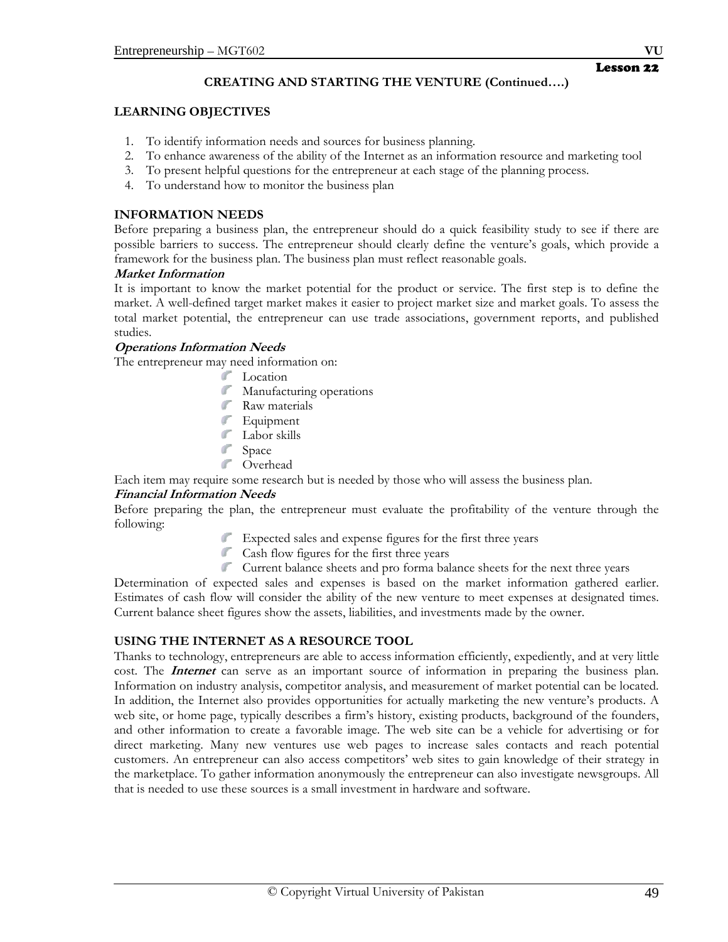# Lesson 22

# **CREATING AND STARTING THE VENTURE (Continued….)**

# **LEARNING OBJECTIVES**

- 1. To identify information needs and sources for business planning.
- 2. To enhance awareness of the ability of the Internet as an information resource and marketing tool
- 3. To present helpful questions for the entrepreneur at each stage of the planning process.
- 4. To understand how to monitor the business plan

# **INFORMATION NEEDS**

Before preparing a business plan, the entrepreneur should do a quick feasibility study to see if there are possible barriers to success. The entrepreneur should clearly define the venture's goals, which provide a framework for the business plan. The business plan must reflect reasonable goals.

## **Market Information**

It is important to know the market potential for the product or service. The first step is to define the market. A well-defined target market makes it easier to project market size and market goals. To assess the total market potential, the entrepreneur can use trade associations, government reports, and published studies.

## **Operations Information Needs**

The entrepreneur may need information on:

- **Location**
- **Manufacturing operations**
- **Raw materials**
- **Equipment**
- **Labor** skills
- Space Space
- **Contract** Overhead

Each item may require some research but is needed by those who will assess the business plan.

# **Financial Information Needs**

Before preparing the plan, the entrepreneur must evaluate the profitability of the venture through the following:

- Expected sales and expense figures for the first three years
- **Cash flow figures for the first three years**
- Current balance sheets and pro forma balance sheets for the next three years

Determination of expected sales and expenses is based on the market information gathered earlier. Estimates of cash flow will consider the ability of the new venture to meet expenses at designated times. Current balance sheet figures show the assets, liabilities, and investments made by the owner.

# **USING THE INTERNET AS A RESOURCE TOOL**

Thanks to technology, entrepreneurs are able to access information efficiently, expediently, and at very little cost. The **Internet** can serve as an important source of information in preparing the business plan. Information on industry analysis, competitor analysis, and measurement of market potential can be located. In addition, the Internet also provides opportunities for actually marketing the new venture's products. A web site, or home page, typically describes a firm's history, existing products, background of the founders, and other information to create a favorable image. The web site can be a vehicle for advertising or for direct marketing. Many new ventures use web pages to increase sales contacts and reach potential customers. An entrepreneur can also access competitors' web sites to gain knowledge of their strategy in the marketplace. To gather information anonymously the entrepreneur can also investigate newsgroups. All that is needed to use these sources is a small investment in hardware and software.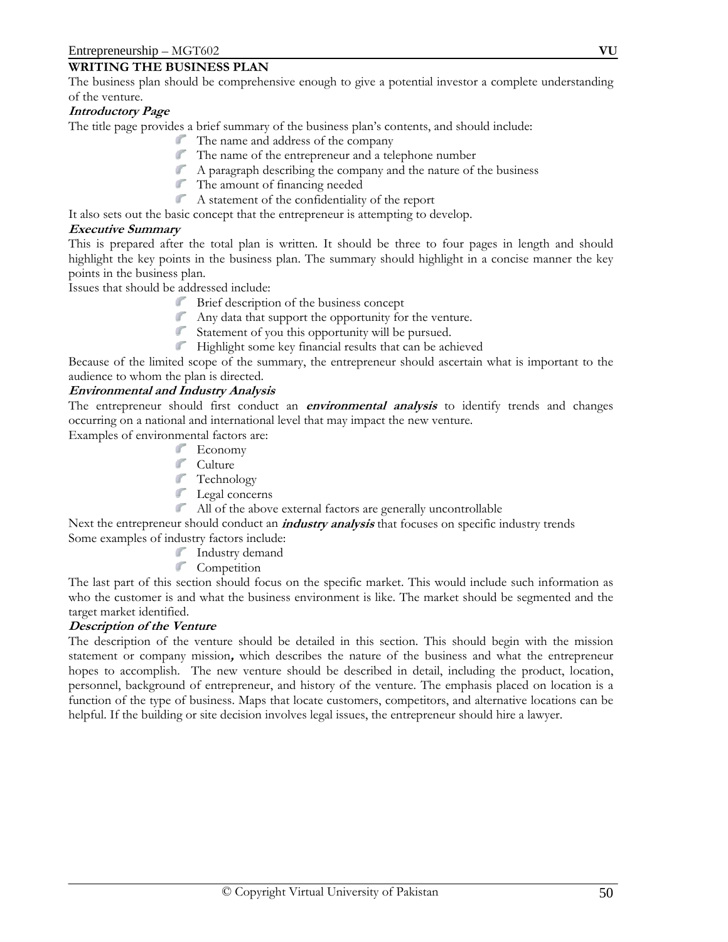## **WRITING THE BUSINESS PLAN**

The business plan should be comprehensive enough to give a potential investor a complete understanding of the venture.

## **Introductory Page**

The title page provides a brief summary of the business plan's contents, and should include:

- The name and address of the company
- The name of the entrepreneur and a telephone number
- A paragraph describing the company and the nature of the business
- The amount of financing needed
- A statement of the confidentiality of the report

It also sets out the basic concept that the entrepreneur is attempting to develop.

#### **Executive Summary**

This is prepared after the total plan is written. It should be three to four pages in length and should highlight the key points in the business plan. The summary should highlight in a concise manner the key points in the business plan.

Issues that should be addressed include:

- Brief description of the business concept
- Any data that support the opportunity for the venture.
- Statement of you this opportunity will be pursued.
- Highlight some key financial results that can be achieved

Because of the limited scope of the summary, the entrepreneur should ascertain what is important to the audience to whom the plan is directed.

## **Environmental and Industry Analysis**

The entrepreneur should first conduct an **environmental analysis** to identify trends and changes occurring on a national and international level that may impact the new venture.

Examples of environmental factors are:

- **Economy**
- **Culture**
- **Technology**
- **Legal** concerns
- All of the above external factors are generally uncontrollable

Next the entrepreneur should conduct an **industry analysis** that focuses on specific industry trends Some examples of industry factors include:

- Industry demand
- **Competition**

The last part of this section should focus on the specific market. This would include such information as who the customer is and what the business environment is like. The market should be segmented and the target market identified.

#### **Description of the Venture**

The description of the venture should be detailed in this section. This should begin with the mission statement or company mission**,** which describes the nature of the business and what the entrepreneur hopes to accomplish. The new venture should be described in detail, including the product, location, personnel, background of entrepreneur, and history of the venture. The emphasis placed on location is a function of the type of business. Maps that locate customers, competitors, and alternative locations can be helpful. If the building or site decision involves legal issues, the entrepreneur should hire a lawyer.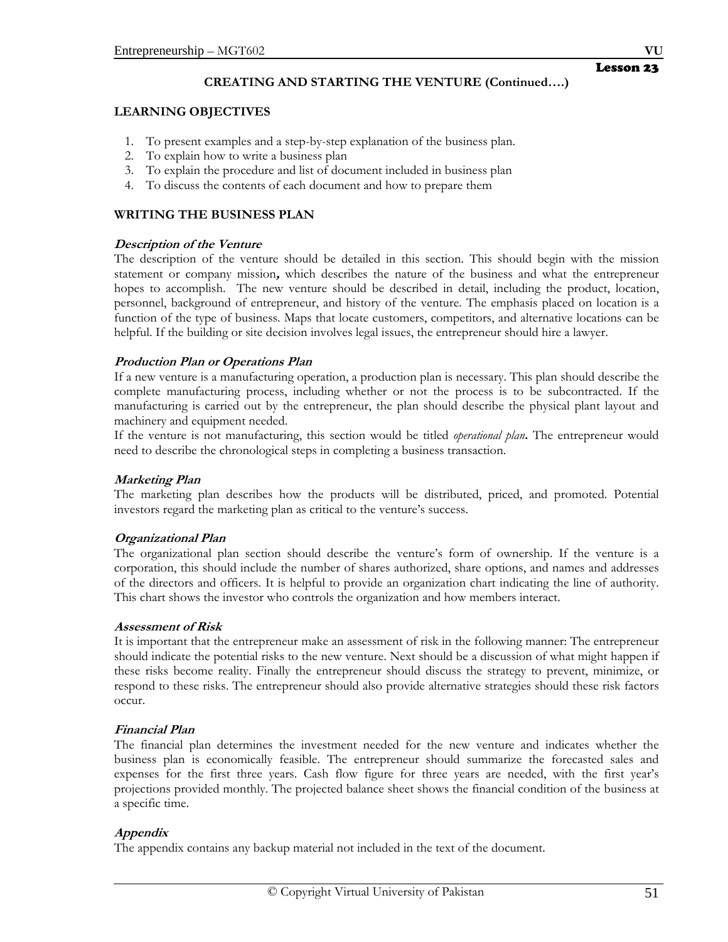#### Lesson 23

# **CREATING AND STARTING THE VENTURE (Continued….)**

# **LEARNING OBJECTIVES**

- 1. To present examples and a step-by-step explanation of the business plan.
- 2. To explain how to write a business plan
- 3. To explain the procedure and list of document included in business plan
- 4. To discuss the contents of each document and how to prepare them

# **WRITING THE BUSINESS PLAN**

## **Description of the Venture**

The description of the venture should be detailed in this section. This should begin with the mission statement or company mission**,** which describes the nature of the business and what the entrepreneur hopes to accomplish. The new venture should be described in detail, including the product, location, personnel, background of entrepreneur, and history of the venture. The emphasis placed on location is a function of the type of business. Maps that locate customers, competitors, and alternative locations can be helpful. If the building or site decision involves legal issues, the entrepreneur should hire a lawyer.

## **Production Plan or Operations Plan**

If a new venture is a manufacturing operation, a production plan is necessary. This plan should describe the complete manufacturing process, including whether or not the process is to be subcontracted. If the manufacturing is carried out by the entrepreneur, the plan should describe the physical plant layout and machinery and equipment needed.

If the venture is not manufacturing, this section would be titled *operational plan***.** The entrepreneur would need to describe the chronological steps in completing a business transaction.

# **Marketing Plan**

The marketing plan describes how the products will be distributed, priced, and promoted. Potential investors regard the marketing plan as critical to the venture's success.

## **Organizational Plan**

The organizational plan section should describe the venture's form of ownership. If the venture is a corporation, this should include the number of shares authorized, share options, and names and addresses of the directors and officers. It is helpful to provide an organization chart indicating the line of authority. This chart shows the investor who controls the organization and how members interact.

## **Assessment of Risk**

It is important that the entrepreneur make an assessment of risk in the following manner: The entrepreneur should indicate the potential risks to the new venture. Next should be a discussion of what might happen if these risks become reality. Finally the entrepreneur should discuss the strategy to prevent, minimize, or respond to these risks. The entrepreneur should also provide alternative strategies should these risk factors occur.

## **Financial Plan**

The financial plan determines the investment needed for the new venture and indicates whether the business plan is economically feasible. The entrepreneur should summarize the forecasted sales and expenses for the first three years. Cash flow figure for three years are needed, with the first year's projections provided monthly. The projected balance sheet shows the financial condition of the business at a specific time.

# **Appendix**

The appendix contains any backup material not included in the text of the document.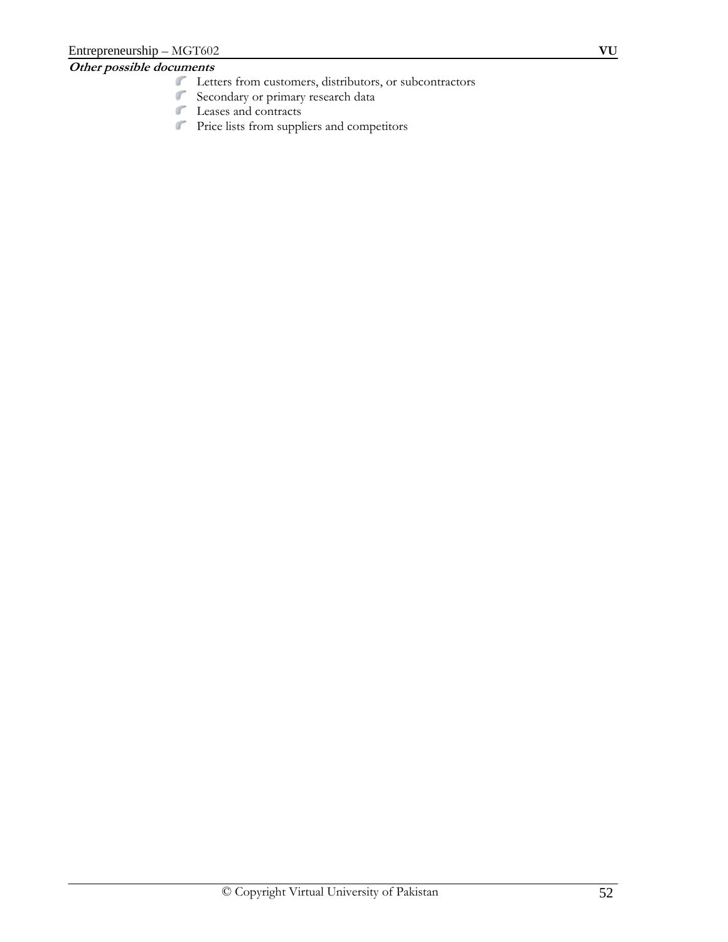# **Other possible documents**

- Letters from customers, distributors, or subcontractors
- Secondary or primary research data
- Leases and contracts
- Price lists from suppliers and competitors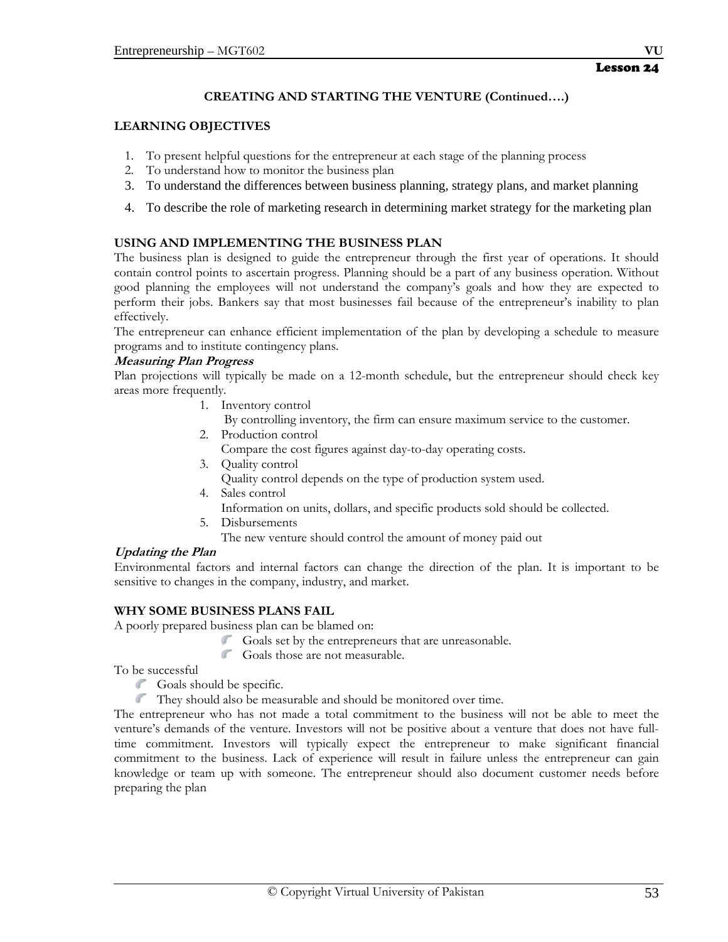# **CREATING AND STARTING THE VENTURE (Continued….)**

#### **LEARNING OBJECTIVES**

- 1. To present helpful questions for the entrepreneur at each stage of the planning process
- 2. To understand how to monitor the business plan
- 3. To understand the differences between business planning, strategy plans, and market planning
- 4. To describe the role of marketing research in determining market strategy for the marketing plan

#### **USING AND IMPLEMENTING THE BUSINESS PLAN**

The business plan is designed to guide the entrepreneur through the first year of operations. It should contain control points to ascertain progress. Planning should be a part of any business operation. Without good planning the employees will not understand the company's goals and how they are expected to perform their jobs. Bankers say that most businesses fail because of the entrepreneur's inability to plan effectively.

The entrepreneur can enhance efficient implementation of the plan by developing a schedule to measure programs and to institute contingency plans.

#### **Measuring Plan Progress**

Plan projections will typically be made on a 12-month schedule, but the entrepreneur should check key areas more frequently.

1. Inventory control

By controlling inventory, the firm can ensure maximum service to the customer.

2. Production control

Compare the cost figures against day-to-day operating costs.

3. Quality control

Quality control depends on the type of production system used.

- 4. Sales control
- Information on units, dollars, and specific products sold should be collected.
- 5. Disbursements

The new venture should control the amount of money paid out

## **Updating the Plan**

Environmental factors and internal factors can change the direction of the plan. It is important to be sensitive to changes in the company, industry, and market.

## **WHY SOME BUSINESS PLANS FAIL**

A poorly prepared business plan can be blamed on:

- Goals set by the entrepreneurs that are unreasonable.
- $\mathcal{N}^{\text{eff}}$ Goals those are not measurable.

To be successful

- Goals should be specific.
- They should also be measurable and should be monitored over time.

The entrepreneur who has not made a total commitment to the business will not be able to meet the venture's demands of the venture. Investors will not be positive about a venture that does not have fulltime commitment. Investors will typically expect the entrepreneur to make significant financial commitment to the business. Lack of experience will result in failure unless the entrepreneur can gain knowledge or team up with someone. The entrepreneur should also document customer needs before preparing the plan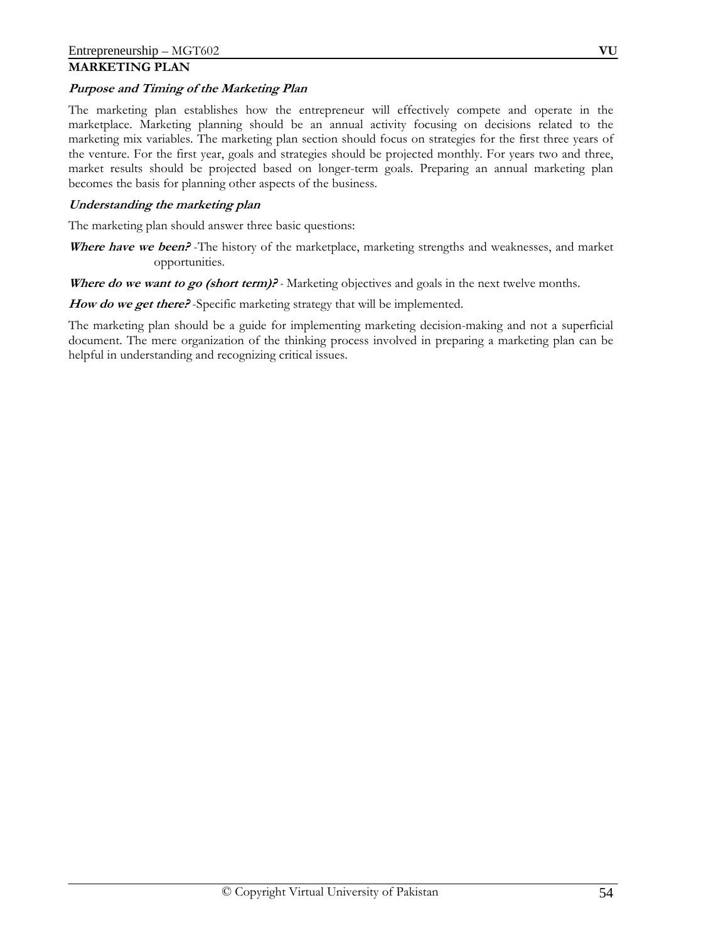## **MARKETING PLAN**

## **Purpose and Timing of the Marketing Plan**

The marketing plan establishes how the entrepreneur will effectively compete and operate in the marketplace. Marketing planning should be an annual activity focusing on decisions related to the marketing mix variables. The marketing plan section should focus on strategies for the first three years of the venture. For the first year, goals and strategies should be projected monthly. For years two and three, market results should be projected based on longer-term goals. Preparing an annual marketing plan becomes the basis for planning other aspects of the business.

## **Understanding the marketing plan**

The marketing plan should answer three basic questions:

Where have we been? -The history of the marketplace, marketing strengths and weaknesses, and market opportunities.

**Where do we want to go (short term)?** *-* Marketing objectives and goals in the next twelve months.

How do we get there? -Specific marketing strategy that will be implemented.

The marketing plan should be a guide for implementing marketing decision-making and not a superficial document. The mere organization of the thinking process involved in preparing a marketing plan can be helpful in understanding and recognizing critical issues.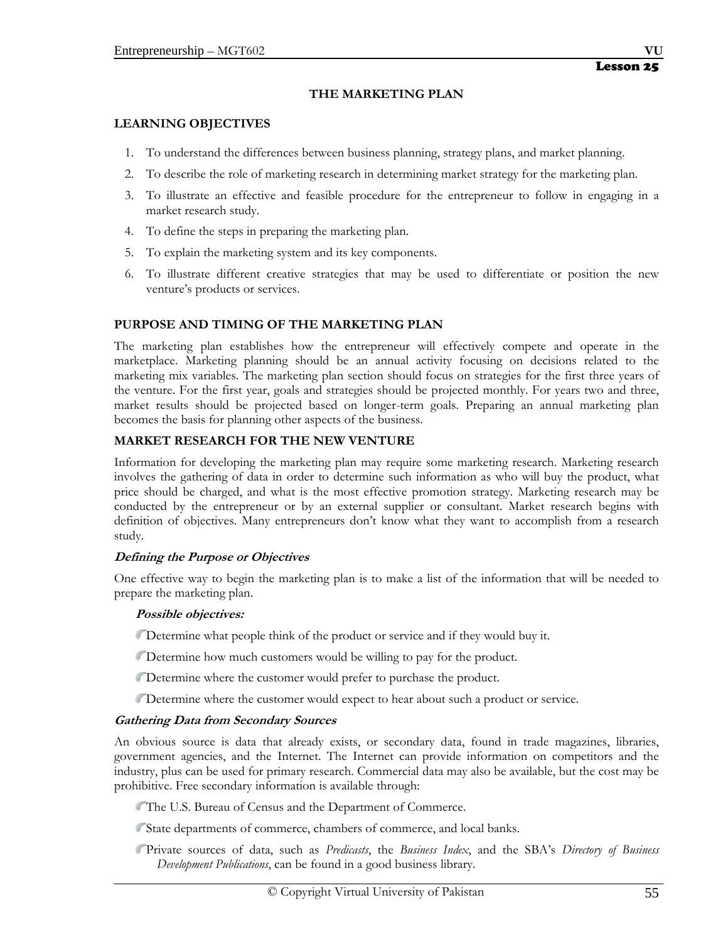#### **THE MARKETING PLAN**

#### **LEARNING OBJECTIVES**

- 1. To understand the differences between business planning, strategy plans, and market planning.
- 2. To describe the role of marketing research in determining market strategy for the marketing plan.
- 3. To illustrate an effective and feasible procedure for the entrepreneur to follow in engaging in a market research study.
- 4. To define the steps in preparing the marketing plan.
- 5. To explain the marketing system and its key components.
- 6. To illustrate different creative strategies that may be used to differentiate or position the new venture's products or services.

#### **PURPOSE AND TIMING OF THE MARKETING PLAN**

The marketing plan establishes how the entrepreneur will effectively compete and operate in the marketplace. Marketing planning should be an annual activity focusing on decisions related to the marketing mix variables. The marketing plan section should focus on strategies for the first three years of the venture. For the first year, goals and strategies should be projected monthly. For years two and three, market results should be projected based on longer-term goals. Preparing an annual marketing plan becomes the basis for planning other aspects of the business.

#### **MARKET RESEARCH FOR THE NEW VENTURE**

Information for developing the marketing plan may require some marketing research. Marketing research involves the gathering of data in order to determine such information as who will buy the product, what price should be charged, and what is the most effective promotion strategy. Marketing research may be conducted by the entrepreneur or by an external supplier or consultant. Market research begins with definition of objectives. Many entrepreneurs don't know what they want to accomplish from a research study.

#### **Defining the Purpose or Objectives**

One effective way to begin the marketing plan is to make a list of the information that will be needed to prepare the marketing plan.

#### **Possible objectives:**

Determine what people think of the product or service and if they would buy it.

- Determine how much customers would be willing to pay for the product.
- Determine where the customer would prefer to purchase the product.
- Determine where the customer would expect to hear about such a product or service.

#### **Gathering Data from Secondary Sources**

An obvious source is data that already exists, or secondary data, found in trade magazines, libraries, government agencies, and the Internet. The Internet can provide information on competitors and the industry, plus can be used for primary research. Commercial data may also be available, but the cost may be prohibitive. Free secondary information is available through:

The U.S. Bureau of Census and the Department of Commerce.

State departments of commerce, chambers of commerce, and local banks.

Private sources of data, such as *Predicasts*, the *Business Index*, and the SBA's *Directory of Business Development Publications*, can be found in a good business library.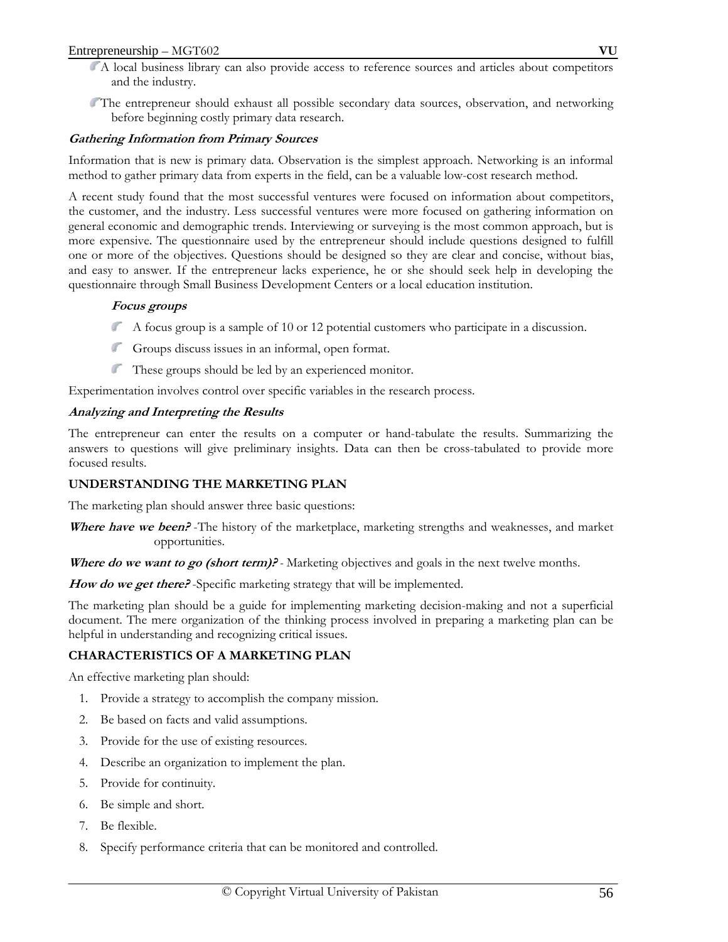#### Entrepreneurship – MGT602 **VU**

- A local business library can also provide access to reference sources and articles about competitors and the industry.
- The entrepreneur should exhaust all possible secondary data sources, observation, and networking before beginning costly primary data research.

## **Gathering Information from Primary Sources**

Information that is new is primary data. Observation is the simplest approach. Networking is an informal method to gather primary data from experts in the field, can be a valuable low-cost research method.

A recent study found that the most successful ventures were focused on information about competitors, the customer, and the industry. Less successful ventures were more focused on gathering information on general economic and demographic trends. Interviewing or surveying is the most common approach, but is more expensive. The questionnaire used by the entrepreneur should include questions designed to fulfill one or more of the objectives. Questions should be designed so they are clear and concise, without bias, and easy to answer. If the entrepreneur lacks experience, he or she should seek help in developing the questionnaire through Small Business Development Centers or a local education institution.

## **Focus groups**

- A focus group is a sample of 10 or 12 potential customers who participate in a discussion.
- Groups discuss issues in an informal, open format.
- These groups should be led by an experienced monitor.

Experimentation involves control over specific variables in the research process.

## **Analyzing and Interpreting the Results**

The entrepreneur can enter the results on a computer or hand-tabulate the results. Summarizing the answers to questions will give preliminary insights. Data can then be cross-tabulated to provide more focused results.

# **UNDERSTANDING THE MARKETING PLAN**

The marketing plan should answer three basic questions:

**Where have we been?** -The history of the marketplace, marketing strengths and weaknesses, and market opportunities.

**Where do we want to go (short term)?** *-* Marketing objectives and goals in the next twelve months.

**How do we get there?** -Specific marketing strategy that will be implemented.

The marketing plan should be a guide for implementing marketing decision-making and not a superficial document. The mere organization of the thinking process involved in preparing a marketing plan can be helpful in understanding and recognizing critical issues.

## **CHARACTERISTICS OF A MARKETING PLAN**

An effective marketing plan should:

- 1. Provide a strategy to accomplish the company mission.
- 2. Be based on facts and valid assumptions.
- 3. Provide for the use of existing resources.
- 4. Describe an organization to implement the plan.
- 5. Provide for continuity.
- 6. Be simple and short.
- 7. Be flexible.
- 8. Specify performance criteria that can be monitored and controlled.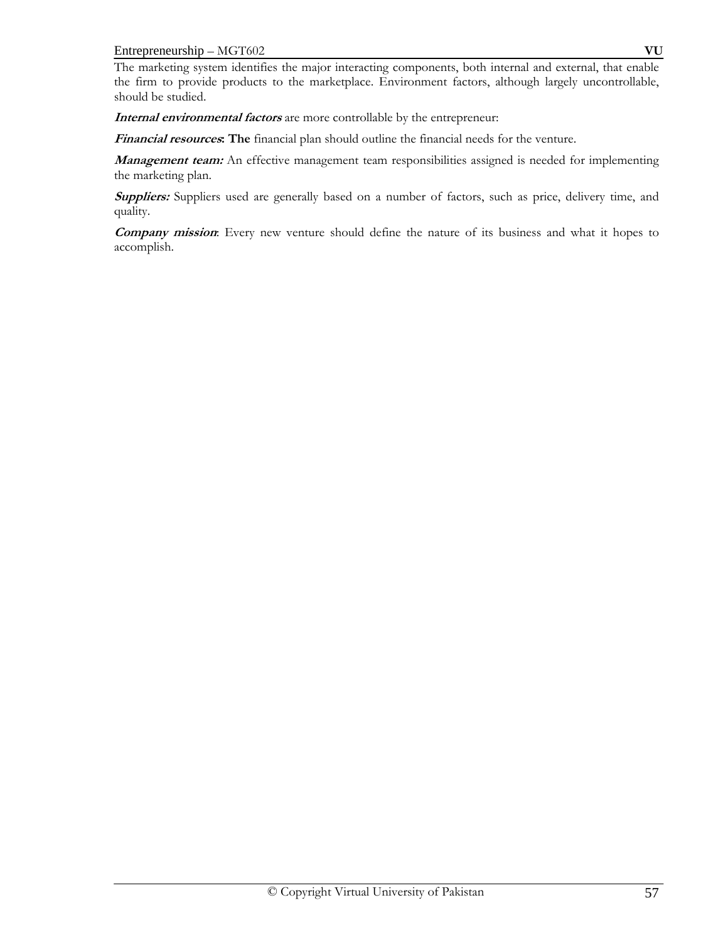#### Entrepreneurship – MGT602 **VU**

The marketing system identifies the major interacting components, both internal and external, that enable the firm to provide products to the marketplace. Environment factors, although largely uncontrollable, should be studied.

**Internal environmental factors** are more controllable by the entrepreneur:

**Financial resources: The** financial plan should outline the financial needs for the venture.

**Management team:** An effective management team responsibilities assigned is needed for implementing the marketing plan.

Suppliers: Suppliers used are generally based on a number of factors, such as price, delivery time, and quality.

**Company mission**: Every new venture should define the nature of its business and what it hopes to accomplish.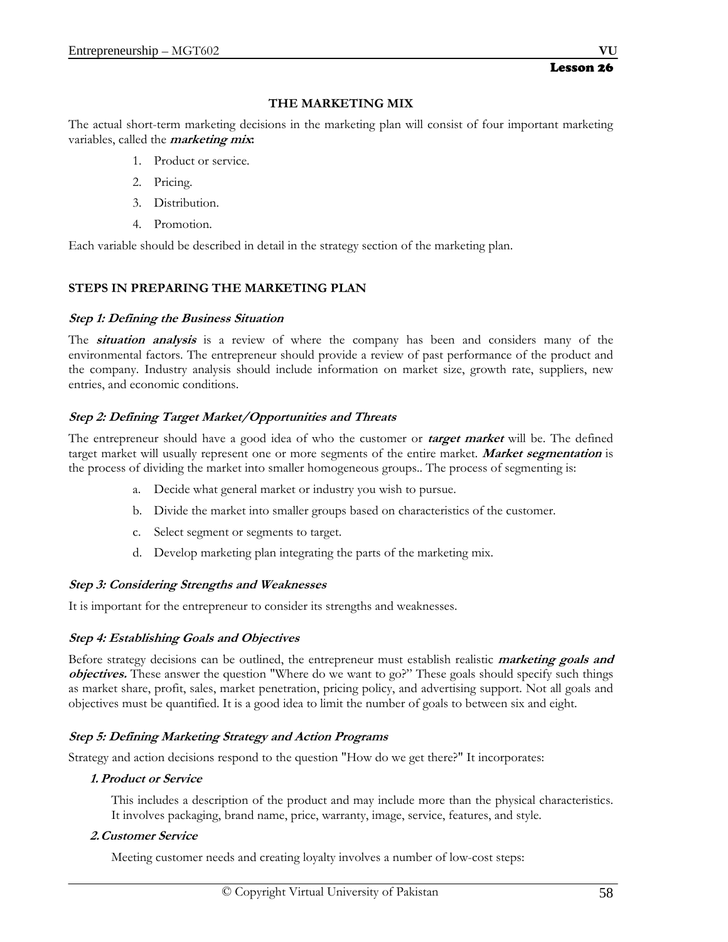## **THE MARKETING MIX**

The actual short-term marketing decisions in the marketing plan will consist of four important marketing variables, called the **marketing mix:**

- 1. Product or service.
- 2. Pricing.
- 3. Distribution.
- 4. Promotion.

Each variable should be described in detail in the strategy section of the marketing plan.

# **STEPS IN PREPARING THE MARKETING PLAN**

## **Step 1: Defining the Business Situation**

The **situation analysis** is a review of where the company has been and considers many of the environmental factors. The entrepreneur should provide a review of past performance of the product and the company. Industry analysis should include information on market size, growth rate, suppliers, new entries, and economic conditions.

## **Step 2: Defining Target Market/Opportunities and Threats**

The entrepreneur should have a good idea of who the customer or **target market** will be. The defined target market will usually represent one or more segments of the entire market. **Market segmentation** is the process of dividing the market into smaller homogeneous groups.. The process of segmenting is:

- a. Decide what general market or industry you wish to pursue.
- b. Divide the market into smaller groups based on characteristics of the customer.
- c. Select segment or segments to target.
- d. Develop marketing plan integrating the parts of the marketing mix.

## **Step 3: Considering Strengths and Weaknesses**

It is important for the entrepreneur to consider its strengths and weaknesses.

## **Step 4: Establishing Goals and Objectives**

Before strategy decisions can be outlined, the entrepreneur must establish realistic **marketing goals and objectives.** These answer the question "Where do we want to go?" These goals should specify such things as market share, profit, sales, market penetration, pricing policy, and advertising support. Not all goals and objectives must be quantified. It is a good idea to limit the number of goals to between six and eight.

## **Step 5: Defining Marketing Strategy and Action Programs**

Strategy and action decisions respond to the question "How do we get there?" It incorporates:

## **1. Product or Service**

This includes a description of the product and may include more than the physical characteristics. It involves packaging, brand name, price, warranty, image, service, features, and style.

## **2.Customer Service**

Meeting customer needs and creating loyalty involves a number of low-cost steps: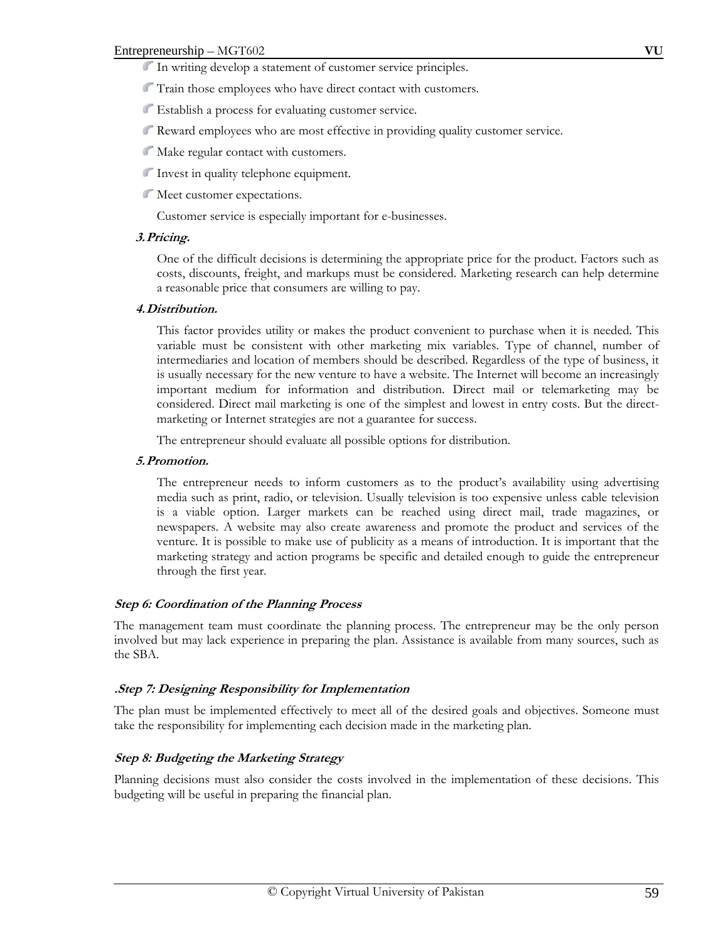- In writing develop a statement of customer service principles.
- Train those employees who have direct contact with customers.
- Establish a process for evaluating customer service.
- Reward employees who are most effective in providing quality customer service.
- Make regular contact with customers.
- Invest in quality telephone equipment.
- Meet customer expectations.

Customer service is especially important for e-businesses.

#### **3.Pricing.**

One of the difficult decisions is determining the appropriate price for the product. Factors such as costs, discounts, freight, and markups must be considered. Marketing research can help determine a reasonable price that consumers are willing to pay.

#### **4.Distribution.**

This factor provides utility or makes the product convenient to purchase when it is needed. This variable must be consistent with other marketing mix variables. Type of channel, number of intermediaries and location of members should be described. Regardless of the type of business, it is usually necessary for the new venture to have a website. The Internet will become an increasingly important medium for information and distribution. Direct mail or telemarketing may be considered. Direct mail marketing is one of the simplest and lowest in entry costs. But the directmarketing or Internet strategies are not a guarantee for success.

The entrepreneur should evaluate all possible options for distribution.

#### **5.Promotion.**

The entrepreneur needs to inform customers as to the product's availability using advertising media such as print, radio, or television. Usually television is too expensive unless cable television is a viable option. Larger markets can be reached using direct mail, trade magazines, or newspapers. A website may also create awareness and promote the product and services of the venture. It is possible to make use of publicity as a means of introduction. It is important that the marketing strategy and action programs be specific and detailed enough to guide the entrepreneur through the first year.

## **Step 6: Coordination of the Planning Process**

The management team must coordinate the planning process. The entrepreneur may be the only person involved but may lack experience in preparing the plan. Assistance is available from many sources, such as the SBA.

## **.Step 7: Designing Responsibility for Implementation**

The plan must be implemented effectively to meet all of the desired goals and objectives. Someone must take the responsibility for implementing each decision made in the marketing plan.

## **Step 8: Budgeting the Marketing Strategy**

Planning decisions must also consider the costs involved in the implementation of these decisions. This budgeting will be useful in preparing the financial plan.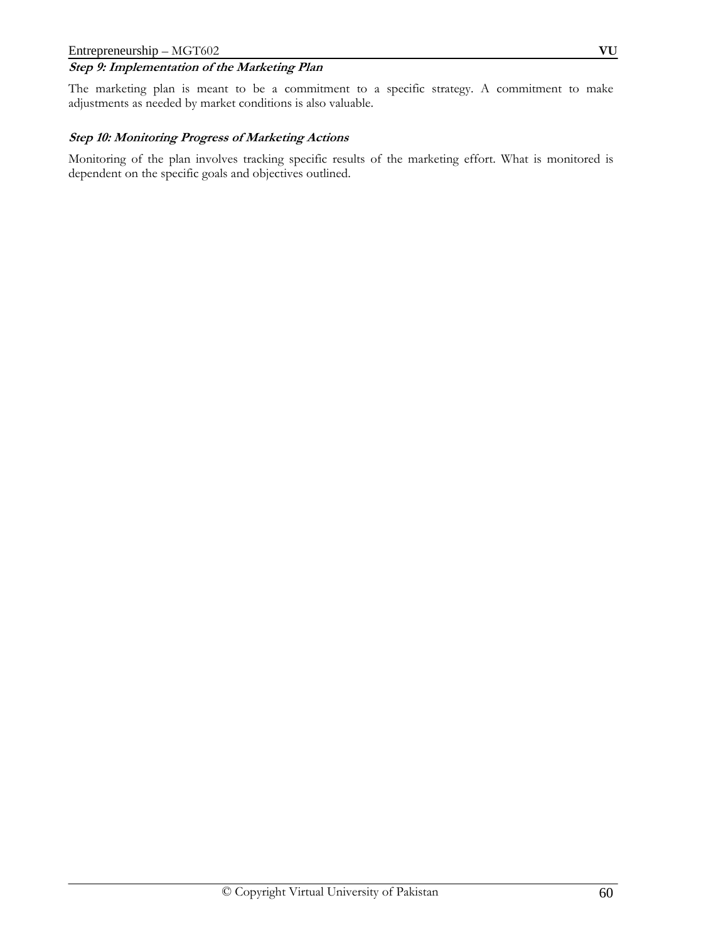## **Step 9: Implementation of the Marketing Plan**

The marketing plan is meant to be a commitment to a specific strategy. A commitment to make adjustments as needed by market conditions is also valuable.

## **Step 10: Monitoring Progress of Marketing Actions**

Monitoring of the plan involves tracking specific results of the marketing effort. What is monitored is dependent on the specific goals and objectives outlined.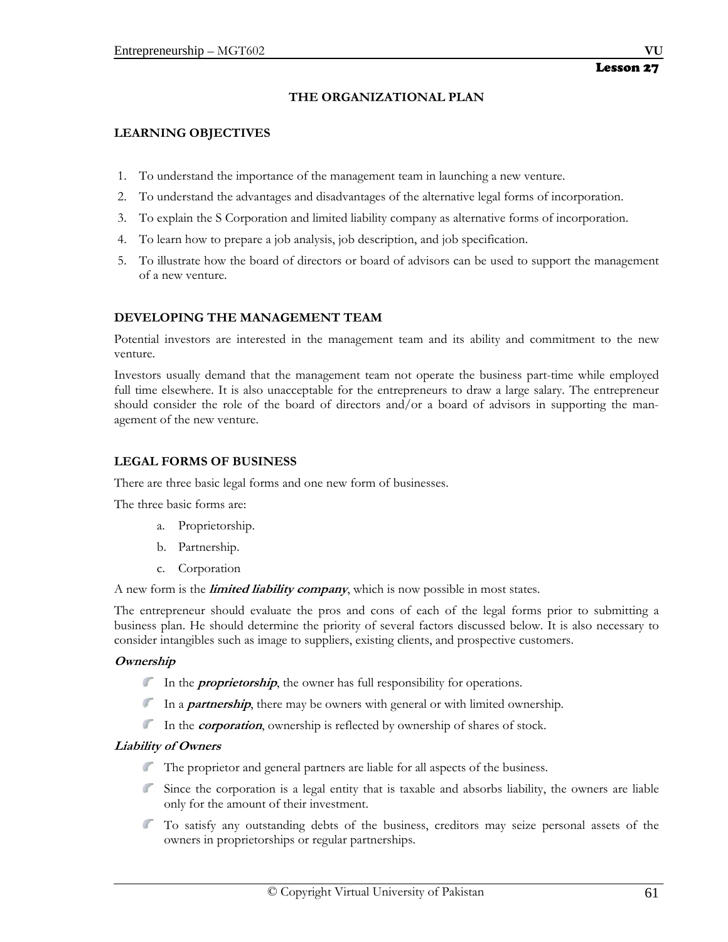## **THE ORGANIZATIONAL PLAN**

## **LEARNING OBJECTIVES**

- 1. To understand the importance of the management team in launching a new venture.
- 2. To understand the advantages and disadvantages of the alternative legal forms of incorporation.
- 3. To explain the S Corporation and limited liability company as alternative forms of incorporation.
- 4. To learn how to prepare a job analysis, job description, and job specification.
- 5. To illustrate how the board of directors or board of advisors can be used to support the management of a new venture.

## **DEVELOPING THE MANAGEMENT TEAM**

Potential investors are interested in the management team and its ability and commitment to the new venture.

Investors usually demand that the management team not operate the business part-time while employed full time elsewhere. It is also unacceptable for the entrepreneurs to draw a large salary. The entrepreneur should consider the role of the board of directors and/or a board of advisors in supporting the management of the new venture.

## **LEGAL FORMS OF BUSINESS**

There are three basic legal forms and one new form of businesses.

The three basic forms are:

- a. Proprietorship.
- b. Partnership.
- c. Corporation

A new form is the **limited liability company**, which is now possible in most states.

The entrepreneur should evaluate the pros and cons of each of the legal forms prior to submitting a business plan. He should determine the priority of several factors discussed below. It is also necessary to consider intangibles such as image to suppliers, existing clients, and prospective customers.

## **Ownership**

- In the *proprietorship*, the owner has full responsibility for operations.
- In a *partnership*, there may be owners with general or with limited ownership.
- In the *corporation*, ownership is reflected by ownership of shares of stock.

## **Liability of Owners**

- The proprietor and general partners are liable for all aspects of the business.
- Since the corporation is a legal entity that is taxable and absorbs liability, the owners are liable only for the amount of their investment.
- To satisfy any outstanding debts of the business, creditors may seize personal assets of the owners in proprietorships or regular partnerships.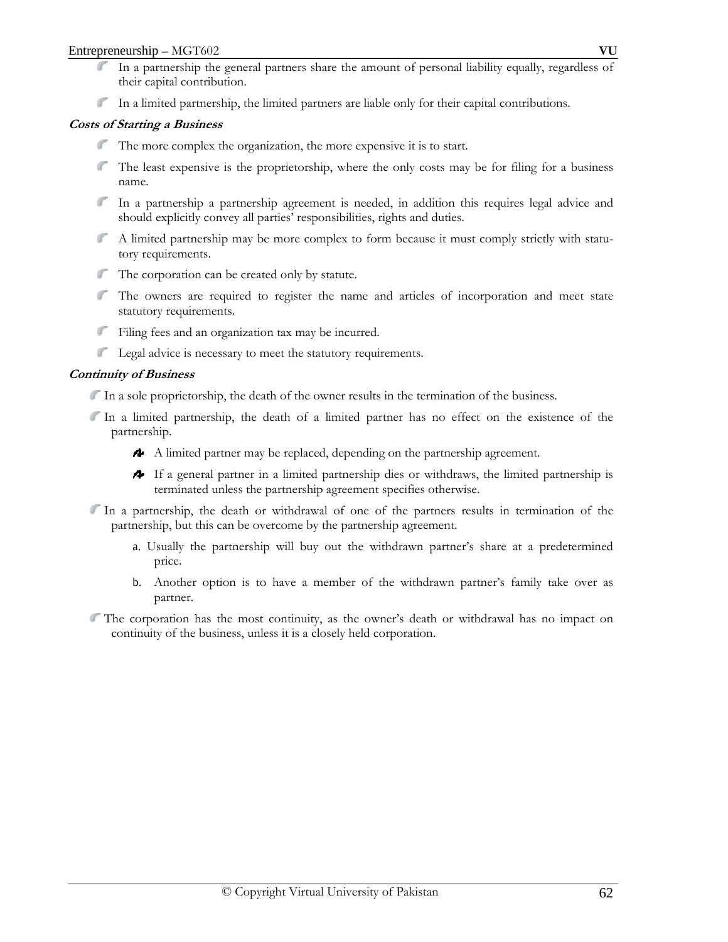- In a partnership the general partners share the amount of personal liability equally, regardless of their capital contribution.
- In a limited partnership, the limited partners are liable only for their capital contributions.

## **Costs of Starting a Business**

- The more complex the organization, the more expensive it is to start.
- The least expensive is the proprietorship, where the only costs may be for filing for a business name.
- In a partnership a partnership agreement is needed, in addition this requires legal advice and should explicitly convey all parties' responsibilities, rights and duties.
- A limited partnership may be more complex to form because it must comply strictly with statutory requirements.
- The corporation can be created only by statute.
- The owners are required to register the name and articles of incorporation and meet state statutory requirements.
- Filing fees and an organization tax may be incurred.
- Legal advice is necessary to meet the statutory requirements.

#### **Continuity of Business**

- In a sole proprietorship, the death of the owner results in the termination of the business.
- In a limited partnership, the death of a limited partner has no effect on the existence of the partnership.
	- A limited partner may be replaced, depending on the partnership agreement.
	- If a general partner in a limited partnership dies or withdraws, the limited partnership is terminated unless the partnership agreement specifies otherwise.
- In a partnership, the death or withdrawal of one of the partners results in termination of the partnership, but this can be overcome by the partnership agreement.
	- a. Usually the partnership will buy out the withdrawn partner's share at a predetermined price.
	- b. Another option is to have a member of the withdrawn partner's family take over as partner.
- The corporation has the most continuity, as the owner's death or withdrawal has no impact on continuity of the business, unless it is a closely held corporation.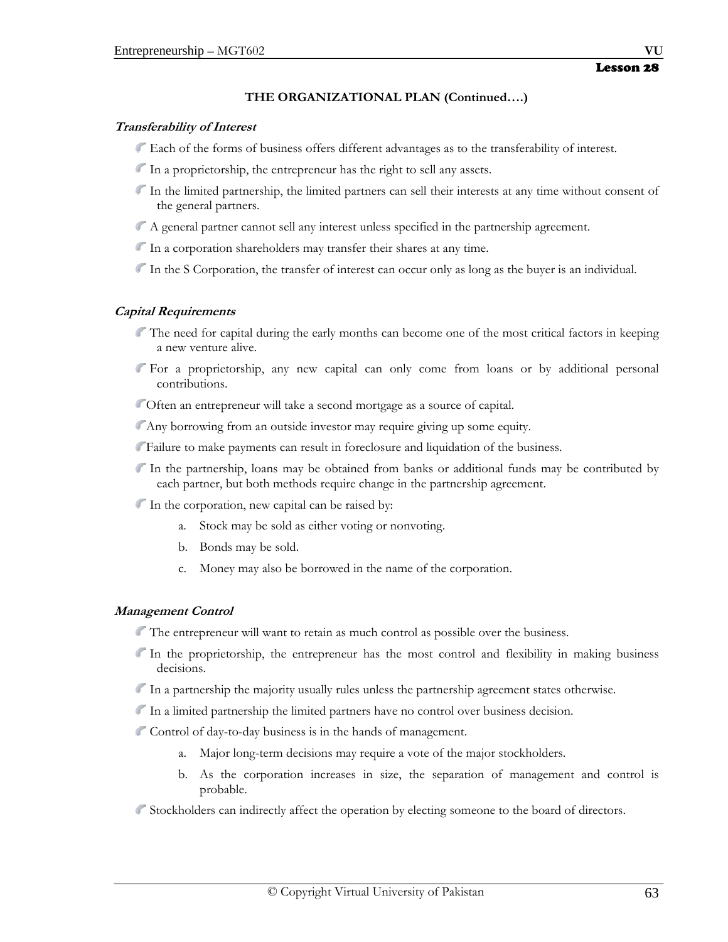## **THE ORGANIZATIONAL PLAN (Continued….)**

#### **Transferability of Interest**

- Each of the forms of business offers different advantages as to the transferability of interest.
- In a proprietorship, the entrepreneur has the right to sell any assets.
- In the limited partnership, the limited partners can sell their interests at any time without consent of the general partners.
- A general partner cannot sell any interest unless specified in the partnership agreement.
- In a corporation shareholders may transfer their shares at any time.
- In the S Corporation, the transfer of interest can occur only as long as the buyer is an individual.

## **Capital Requirements**

- The need for capital during the early months can become one of the most critical factors in keeping a new venture alive.
- For a proprietorship, any new capital can only come from loans or by additional personal contributions.
- Often an entrepreneur will take a second mortgage as a source of capital.
- Any borrowing from an outside investor may require giving up some equity.
- Failure to make payments can result in foreclosure and liquidation of the business.
- In the partnership, loans may be obtained from banks or additional funds may be contributed by each partner, but both methods require change in the partnership agreement.
- In the corporation, new capital can be raised by:
	- a. Stock may be sold as either voting or nonvoting.
	- b. Bonds may be sold.
	- c. Money may also be borrowed in the name of the corporation.

## **Management Control**

- The entrepreneur will want to retain as much control as possible over the business.
- In the proprietorship, the entrepreneur has the most control and flexibility in making business decisions.
- In a partnership the majority usually rules unless the partnership agreement states otherwise.
- In a limited partnership the limited partners have no control over business decision.
- Control of day-to-day business is in the hands of management.
	- a. Major long-term decisions may require a vote of the major stockholders.
	- b. As the corporation increases in size, the separation of management and control is probable.
- Stockholders can indirectly affect the operation by electing someone to the board of directors.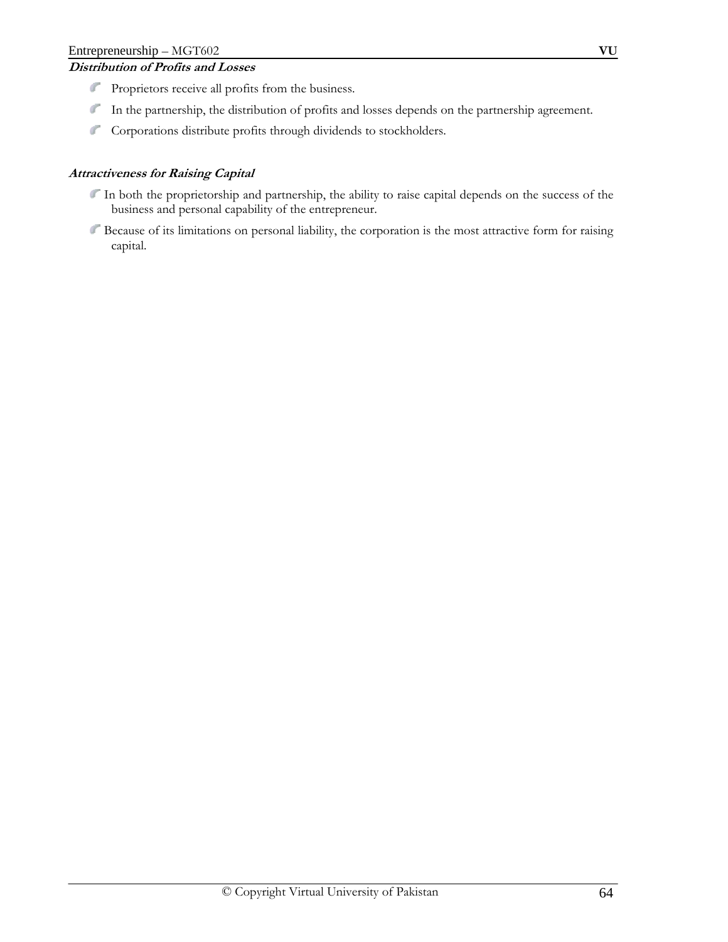# **Distribution of Profits and Losses**

- Proprietors receive all profits from the business.
- In the partnership, the distribution of profits and losses depends on the partnership agreement.
- Corporations distribute profits through dividends to stockholders.

## **Attractiveness for Raising Capital**

- In both the proprietorship and partnership, the ability to raise capital depends on the success of the business and personal capability of the entrepreneur.
- Because of its limitations on personal liability, the corporation is the most attractive form for raising capital.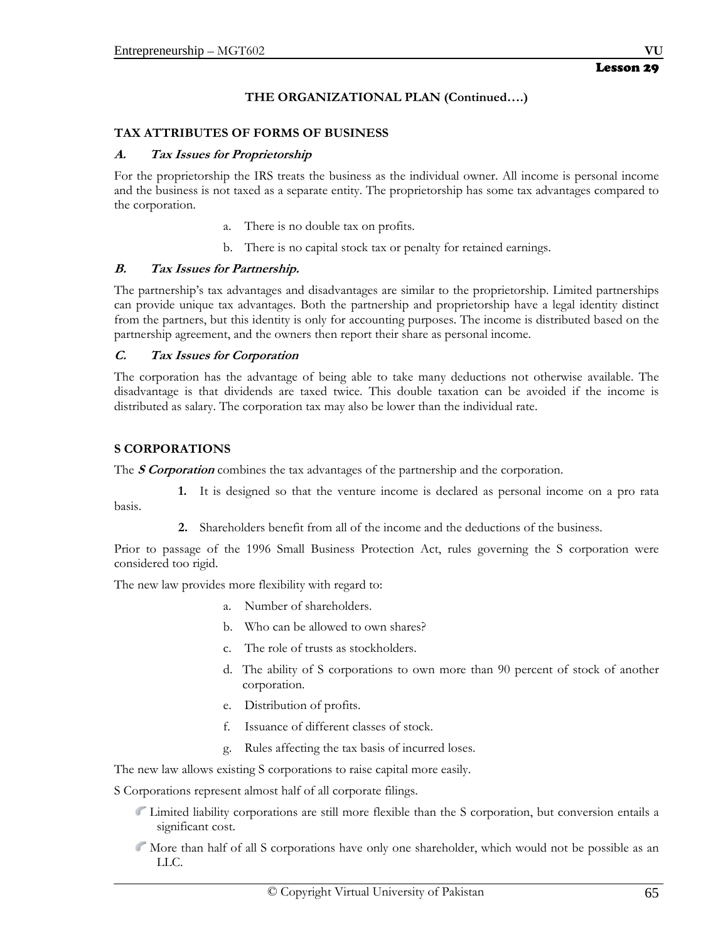## **THE ORGANIZATIONAL PLAN (Continued….)**

#### **TAX ATTRIBUTES OF FORMS OF BUSINESS**

#### **A. Tax Issues for Proprietorship**

For the proprietorship the IRS treats the business as the individual owner. All income is personal income and the business is not taxed as a separate entity. The proprietorship has some tax advantages compared to the corporation.

- a. There is no double tax on profits.
- b. There is no capital stock tax or penalty for retained earnings.

#### **B. Tax Issues for Partnership.**

The partnership's tax advantages and disadvantages are similar to the proprietorship. Limited partnerships can provide unique tax advantages. Both the partnership and proprietorship have a legal identity distinct from the partners, but this identity is only for accounting purposes. The income is distributed based on the partnership agreement, and the owners then report their share as personal income.

#### **C. Tax Issues for Corporation**

The corporation has the advantage of being able to take many deductions not otherwise available. The disadvantage is that dividends are taxed twice. This double taxation can be avoided if the income is distributed as salary. The corporation tax may also be lower than the individual rate.

#### **S CORPORATIONS**

basis.

The **S Corporation** combines the tax advantages of the partnership and the corporation.

 **1.** It is designed so that the venture income is declared as personal income on a pro rata

 **2.** Shareholders benefit from all of the income and the deductions of the business.

Prior to passage of the 1996 Small Business Protection Act, rules governing the S corporation were considered too rigid.

The new law provides more flexibility with regard to:

- a. Number of shareholders.
- b. Who can be allowed to own shares?
- c. The role of trusts as stockholders.
- d. The ability of S corporations to own more than 90 percent of stock of another corporation.
- e. Distribution of profits.
- f. Issuance of different classes of stock.
- g. Rules affecting the tax basis of incurred loses.

The new law allows existing S corporations to raise capital more easily.

S Corporations represent almost half of all corporate filings.

- Limited liability corporations are still more flexible than the S corporation, but conversion entails a significant cost.
- More than half of all S corporations have only one shareholder, which would not be possible as an LLC.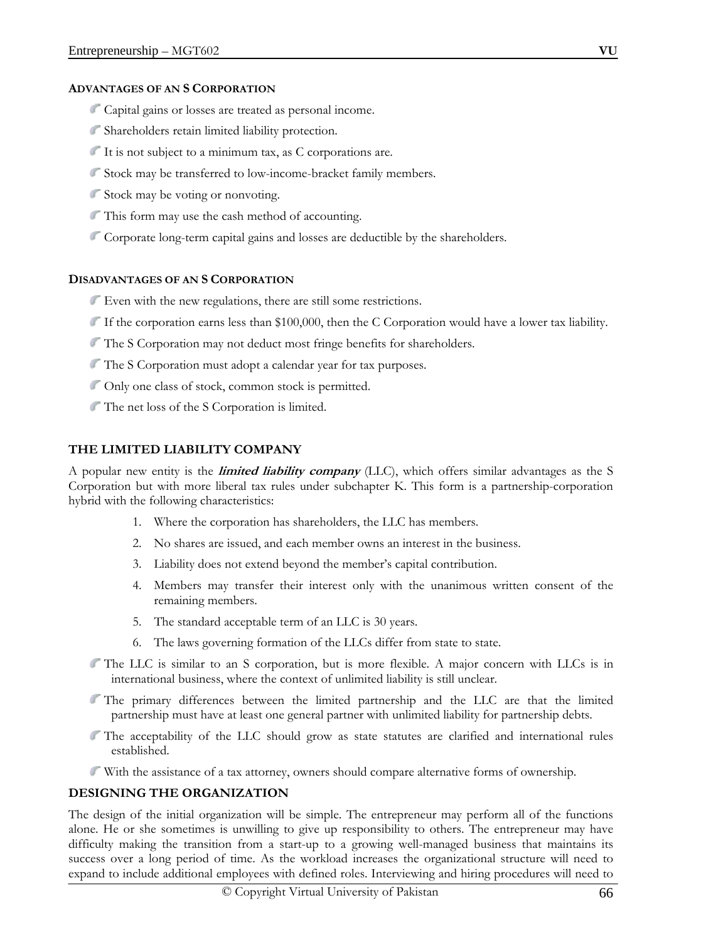#### **ADVANTAGES OF AN S CORPORATION**

- Capital gains or losses are treated as personal income.
- Shareholders retain limited liability protection.
- It is not subject to a minimum tax, as C corporations are.
- Stock may be transferred to low-income-bracket family members.
- Stock may be voting or nonvoting.
- This form may use the cash method of accounting.
- Corporate long-term capital gains and losses are deductible by the shareholders.

#### **DISADVANTAGES OF AN S CORPORATION**

- Even with the new regulations, there are still some restrictions.
- If the corporation earns less than \$100,000, then the C Corporation would have a lower tax liability.
- The S Corporation may not deduct most fringe benefits for shareholders.
- The S Corporation must adopt a calendar year for tax purposes.
- Only one class of stock, common stock is permitted.
- The net loss of the S Corporation is limited.

## **THE LIMITED LIABILITY COMPANY**

A popular new entity is the **limited liability company** (LLC), which offers similar advantages as the S Corporation but with more liberal tax rules under subchapter K. This form is a partnership-corporation hybrid with the following characteristics:

- 1. Where the corporation has shareholders, the LLC has members.
- 2. No shares are issued, and each member owns an interest in the business.
- 3. Liability does not extend beyond the member's capital contribution.
- 4. Members may transfer their interest only with the unanimous written consent of the remaining members.
- 5. The standard acceptable term of an LLC is 30 years.
- 6. The laws governing formation of the LLCs differ from state to state.
- The LLC is similar to an S corporation, but is more flexible. A major concern with LLCs is in international business, where the context of unlimited liability is still unclear.
- The primary differences between the limited partnership and the LLC are that the limited partnership must have at least one general partner with unlimited liability for partnership debts.
- The acceptability of the LLC should grow as state statutes are clarified and international rules established.
- With the assistance of a tax attorney, owners should compare alternative forms of ownership.

## **DESIGNING THE ORGANIZATION**

The design of the initial organization will be simple. The entrepreneur may perform all of the functions alone. He or she sometimes is unwilling to give up responsibility to others. The entrepreneur may have difficulty making the transition from a start-up to a growing well-managed business that maintains its success over a long period of time. As the workload increases the organizational structure will need to expand to include additional employees with defined roles. Interviewing and hiring procedures will need to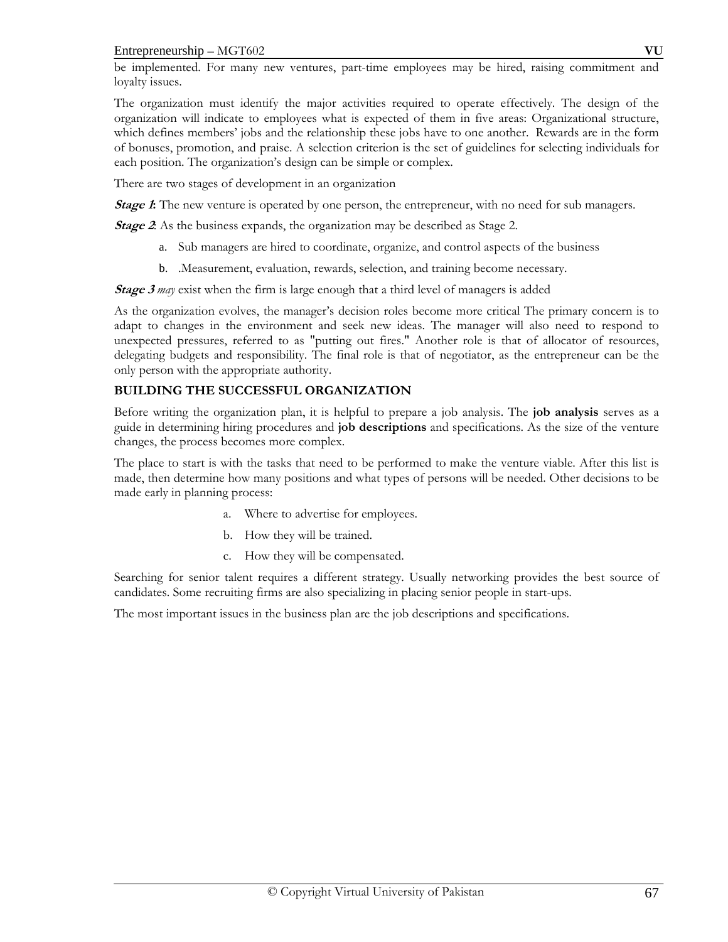be implemented. For many new ventures, part-time employees may be hired, raising commitment and loyalty issues.

The organization must identify the major activities required to operate effectively. The design of the organization will indicate to employees what is expected of them in five areas: Organizational structure, which defines members' jobs and the relationship these jobs have to one another. Rewards are in the form of bonuses, promotion, and praise. A selection criterion is the set of guidelines for selecting individuals for each position. The organization's design can be simple or complex.

There are two stages of development in an organization

*Stage 1***:** The new venture is operated by one person, the entrepreneur, with no need for sub managers.

**Stage 2**: As the business expands, the organization may be described as Stage 2.

- a. Sub managers are hired to coordinate, organize, and control aspects of the business
- b. .Measurement, evaluation, rewards, selection, and training become necessary.

**Stage 3** may exist when the firm is large enough that a third level of managers is added

As the organization evolves, the manager's decision roles become more critical The primary concern is to adapt to changes in the environment and seek new ideas. The manager will also need to respond to unexpected pressures, referred to as "putting out fires." Another role is that of allocator of resources, delegating budgets and responsibility. The final role is that of negotiator, as the entrepreneur can be the only person with the appropriate authority.

# **BUILDING THE SUCCESSFUL ORGANIZATION**

Before writing the organization plan, it is helpful to prepare a job analysis. The **job analysis** serves as a guide in determining hiring procedures and **job descriptions** and specifications. As the size of the venture changes, the process becomes more complex.

The place to start is with the tasks that need to be performed to make the venture viable. After this list is made, then determine how many positions and what types of persons will be needed. Other decisions to be made early in planning process:

- a. Where to advertise for employees.
- b. How they will be trained.
- c. How they will be compensated.

Searching for senior talent requires a different strategy. Usually networking provides the best source of candidates. Some recruiting firms are also specializing in placing senior people in start-ups.

The most important issues in the business plan are the job descriptions and specifications.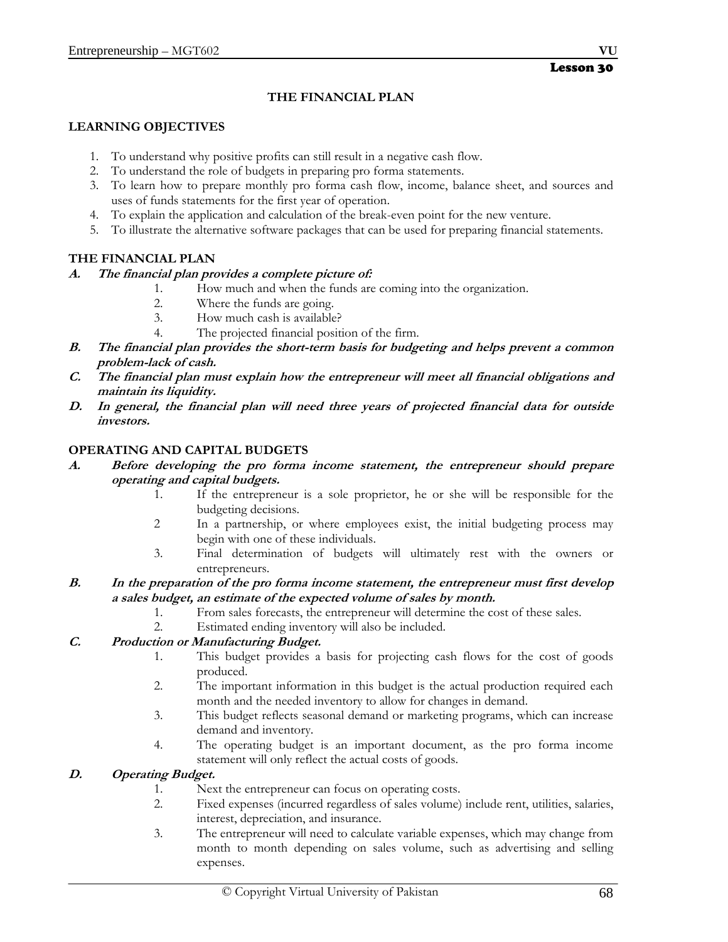# **THE FINANCIAL PLAN**

#### **LEARNING OBJECTIVES**

- 1. To understand why positive profits can still result in a negative cash flow.
- 2. To understand the role of budgets in preparing pro forma statements.
- 3. To learn how to prepare monthly pro forma cash flow, income, balance sheet, and sources and uses of funds statements for the first year of operation.
- 4. To explain the application and calculation of the break-even point for the new venture.
- 5. To illustrate the alternative software packages that can be used for preparing financial statements.

## **THE FINANCIAL PLAN**

#### **A. The financial plan provides a complete picture of:**

- 1. How much and when the funds are coming into the organization.
- 2. Where the funds are going.
- 3. How much cash is available?
- 4. The projected financial position of the firm.
- **B. The financial plan provides the short-term basis for budgeting and helps prevent a common problem-lack of cash.**
- **C. The financial plan must explain how the entrepreneur will meet all financial obligations and maintain its liquidity.**
- **D. In general, the financial plan will need three years of projected financial data for outside investors.**

#### **OPERATING AND CAPITAL BUDGETS**

- **A. Before developing the pro forma income statement, the entrepreneur should prepare operating and capital budgets.** 
	- 1. If the entrepreneur is a sole proprietor, he or she will be responsible for the budgeting decisions.
	- 2 In a partnership, or where employees exist, the initial budgeting process may begin with one of these individuals.
	- 3. Final determination of budgets will ultimately rest with the owners or entrepreneurs.

## **B. In the preparation of the pro forma income statement, the entrepreneur must first develop a sales budget, an estimate of the expected volume of sales by month.**

- 1. From sales forecasts, the entrepreneur will determine the cost of these sales.
- 2. Estimated ending inventory will also be included.

# **C. Production or Manufacturing Budget.**

- 1. This budget provides a basis for projecting cash flows for the cost of goods produced.
- 2. The important information in this budget is the actual production required each month and the needed inventory to allow for changes in demand.
- 3. This budget reflects seasonal demand or marketing programs, which can increase demand and inventory.
- 4. The operating budget is an important document, as the pro forma income statement will only reflect the actual costs of goods.

## **D. Operating Budget.**

- 1. Next the entrepreneur can focus on operating costs.
- 2. Fixed expenses (incurred regardless of sales volume) include rent, utilities, salaries, interest, depreciation, and insurance.
- 3. The entrepreneur will need to calculate variable expenses, which may change from month to month depending on sales volume, such as advertising and selling expenses.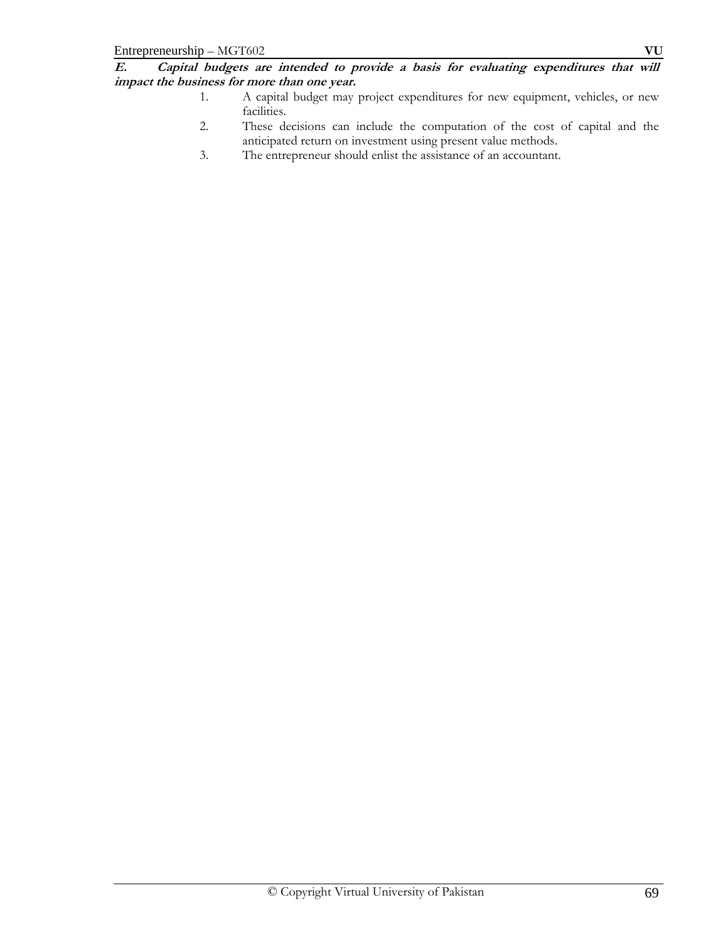**E. Capital budgets are intended to provide a basis for evaluating expenditures that will impact the business for more than one year.**

- 1. A capital budget may project expenditures for new equipment, vehicles, or new facilities.
- 2. These decisions can include the computation of the cost of capital and the anticipated return on investment using present value methods.
- 3. The entrepreneur should enlist the assistance of an accountant.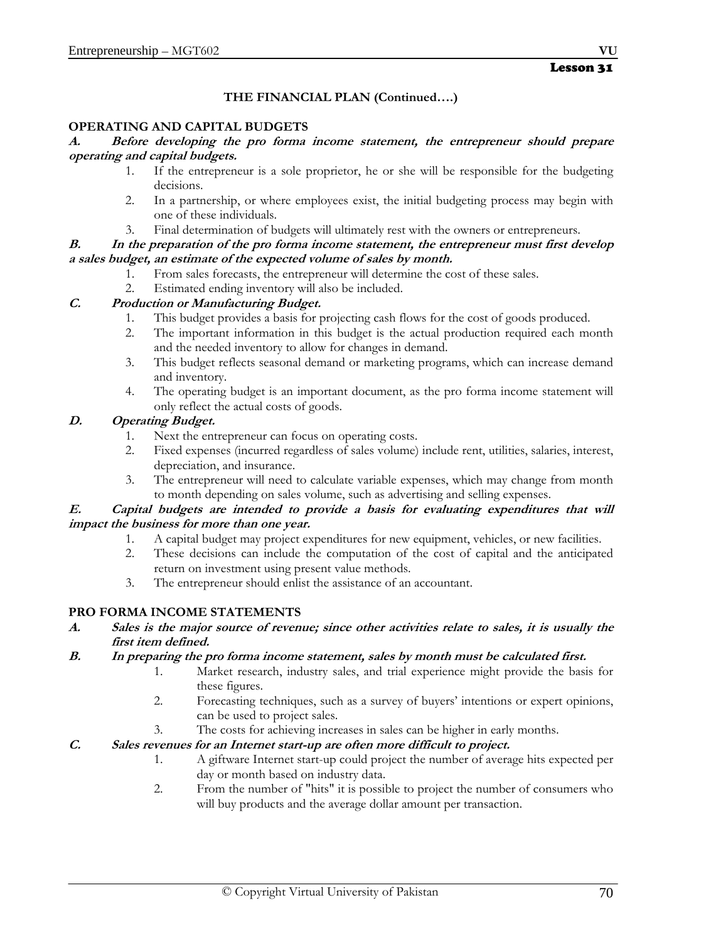# **THE FINANCIAL PLAN (Continued….)**

## **OPERATING AND CAPITAL BUDGETS**

#### **A. Before developing the pro forma income statement, the entrepreneur should prepare operating and capital budgets.**

- 1. If the entrepreneur is a sole proprietor, he or she will be responsible for the budgeting decisions.
- 2. In a partnership, or where employees exist, the initial budgeting process may begin with one of these individuals.
- 3. Final determination of budgets will ultimately rest with the owners or entrepreneurs.

## **B. In the preparation of the pro forma income statement, the entrepreneur must first develop a sales budget, an estimate of the expected volume of sales by month.**

- 1. From sales forecasts, the entrepreneur will determine the cost of these sales.
- 2. Estimated ending inventory will also be included.

# **C. Production or Manufacturing Budget.**

- 1. This budget provides a basis for projecting cash flows for the cost of goods produced.
- 2. The important information in this budget is the actual production required each month and the needed inventory to allow for changes in demand.
- 3. This budget reflects seasonal demand or marketing programs, which can increase demand and inventory.
- 4. The operating budget is an important document, as the pro forma income statement will only reflect the actual costs of goods.

# **D. Operating Budget.**

- 1. Next the entrepreneur can focus on operating costs.
- 2. Fixed expenses (incurred regardless of sales volume) include rent, utilities, salaries, interest, depreciation, and insurance.
- 3. The entrepreneur will need to calculate variable expenses, which may change from month to month depending on sales volume, such as advertising and selling expenses.

## **E. Capital budgets are intended to provide a basis for evaluating expenditures that will impact the business for more than one year.**

- 1. A capital budget may project expenditures for new equipment, vehicles, or new facilities.
- 2. These decisions can include the computation of the cost of capital and the anticipated return on investment using present value methods.
- 3. The entrepreneur should enlist the assistance of an accountant.

# **PRO FORMA INCOME STATEMENTS**

**A. Sales is the major source of revenue; since other activities relate to sales, it is usually the first item defined.** 

## **B. In preparing the pro forma income statement, sales by month must be calculated first.**

- 1. Market research, industry sales, and trial experience might provide the basis for these figures.
- 2. Forecasting techniques, such as a survey of buyers' intentions or expert opinions, can be used to project sales.
- 3. The costs for achieving increases in sales can be higher in early months.

# **C. Sales revenues for an Internet start-up are often more difficult to project.**

- 1. A giftware Internet start-up could project the number of average hits expected per day or month based on industry data.
- 2. From the number of "hits" it is possible to project the number of consumers who will buy products and the average dollar amount per transaction.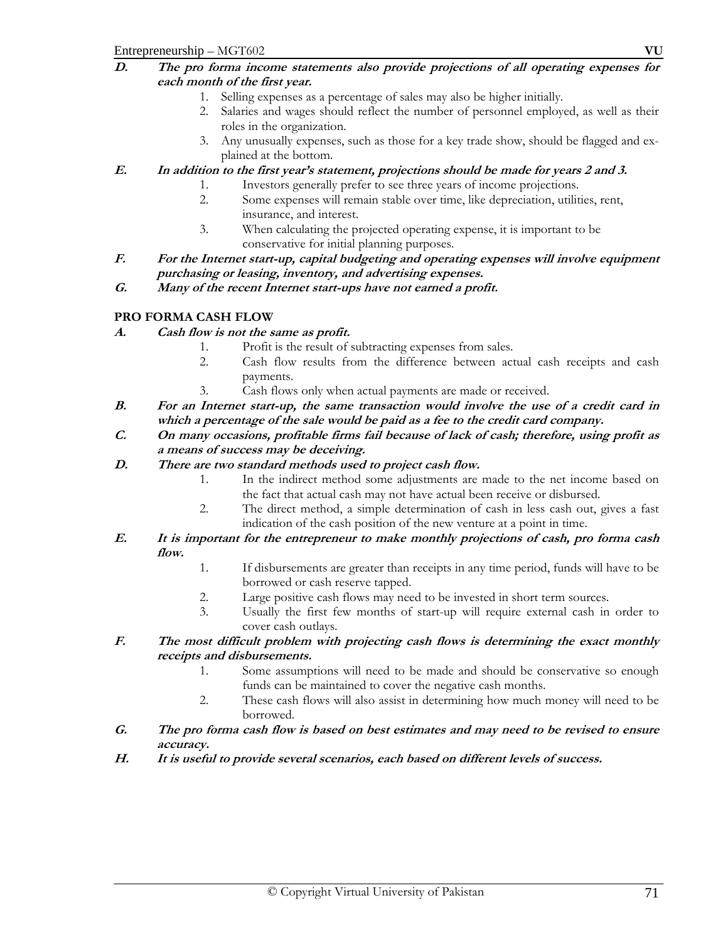- 1. Selling expenses as a percentage of sales may also be higher initially.
- 2. Salaries and wages should reflect the number of personnel employed, as well as their roles in the organization.
- 3. Any unusually expenses, such as those for a key trade show, should be flagged and explained at the bottom.
- **E. In addition to the first year's statement, projections should be made for years 2 and 3.** 
	- 1. Investors generally prefer to see three years of income projections.
	- 2. Some expenses will remain stable over time, like depreciation, utilities, rent, insurance, and interest.
	- 3. When calculating the projected operating expense, it is important to be conservative for initial planning purposes.
- **F. For the Internet start-up, capital budgeting and operating expenses will involve equipment purchasing or leasing, inventory, and advertising expenses.**
- **G. Many of the recent Internet start-ups have not earned a profit.**

## **PRO FORMA CASH FLOW**

## **A. Cash flow is not the same as profit.**

- 1. Profit is the result of subtracting expenses from sales.
- 2. Cash flow results from the difference between actual cash receipts and cash payments.
- 3. Cash flows only when actual payments are made or received.
- **B. For an Internet start-up, the same transaction would involve the use of a credit card in which a percentage of the sale would be paid as a fee to the credit card company.**
- **C. On many occasions, profitable firms fail because of lack of cash; therefore, using profit as a means of success may be deceiving.**

## **D. There are two standard methods used to project cash flow.**

- 1. In the indirect method some adjustments are made to the net income based on the fact that actual cash may not have actual been receive or disbursed.
- 2. The direct method, a simple determination of cash in less cash out, gives a fast indication of the cash position of the new venture at a point in time.
- **E. It is important for the entrepreneur to make monthly projections of cash, pro forma cash flow.** 
	- 1. If disbursements are greater than receipts in any time period, funds will have to be borrowed or cash reserve tapped.
	- 2. Large positive cash flows may need to be invested in short term sources.
	- 3. Usually the first few months of start-up will require external cash in order to cover cash outlays.
- **F. The most difficult problem with projecting cash flows is determining the exact monthly receipts and disbursements.** 
	- 1. Some assumptions will need to be made and should be conservative so enough funds can be maintained to cover the negative cash months.
	- 2. These cash flows will also assist in determining how much money will need to be borrowed.
- **G. The pro forma cash flow is based on best estimates and may need to be revised to ensure accuracy.**
- **H. It is useful to provide several scenarios, each based on different levels of success.**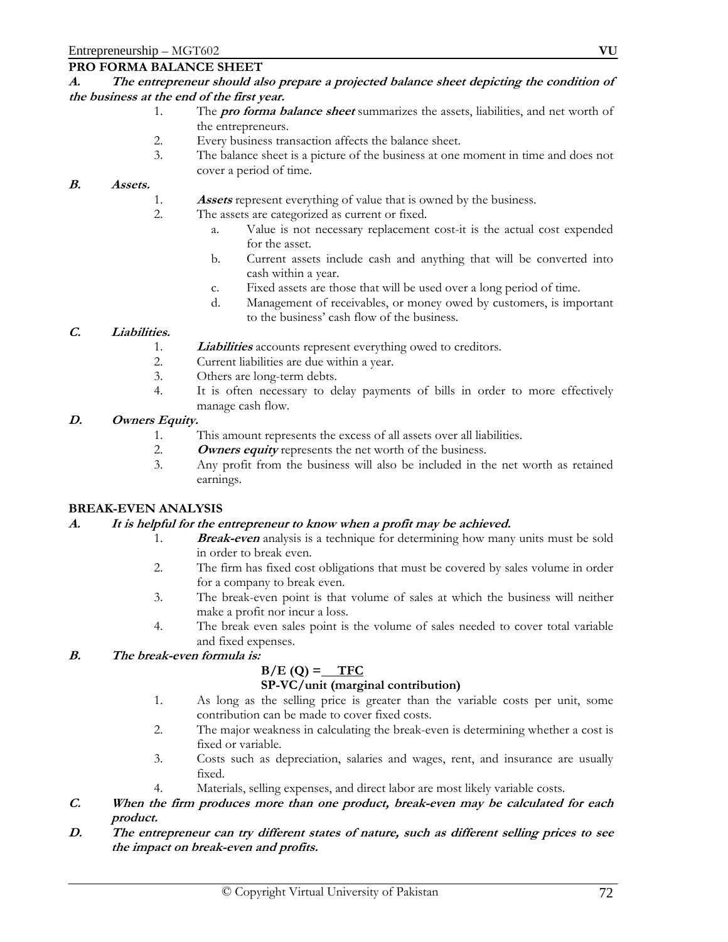#### **PRO FORMA BALANCE SHEET**

#### **A. The entrepreneur should also prepare a projected balance sheet depicting the condition of the business at the end of the first year.**

- 1. The **pro forma balance sheet** summarizes the assets, liabilities, and net worth of the entrepreneurs.
- 2. Every business transaction affects the balance sheet.
- 3. The balance sheet is a picture of the business at one moment in time and does not cover a period of time.

#### **B. Assets.**

- 1. **Assets** represent everything of value that is owned by the business.
- 2. The assets are categorized as current or fixed.
	- a. Value is not necessary replacement cost-it is the actual cost expended for the asset.
	- b. Current assets include cash and anything that will be converted into cash within a year.
	- c. Fixed assets are those that will be used over a long period of time.
	- d. Management of receivables, or money owed by customers, is important to the business' cash flow of the business.

## **C. Liabilities.**

- 1. **Liabilities** accounts represent everything owed to creditors.
- 2. Current liabilities are due within a year.
- 3. Others are long-term debts.
- 4. It is often necessary to delay payments of bills in order to more effectively manage cash flow.

#### **D. Owners Equity.**

- 1. This amount represents the excess of all assets over all liabilities.
- 2. **Owners equity** represents the net worth of the business.<br>3. Any profit from the business will also be included in the
- Any profit from the business will also be included in the net worth as retained earnings.

#### **BREAK-EVEN ANALYSIS**

#### **A. It is helpful for the entrepreneur to know when a profit may be achieved.**

- 1. **Break-even** analysis is a technique for determining how many units must be sold in order to break even.
- 2. The firm has fixed cost obligations that must be covered by sales volume in order for a company to break even.
- 3. The break-even point is that volume of sales at which the business will neither make a profit nor incur a loss.
- 4. The break even sales point is the volume of sales needed to cover total variable and fixed expenses.

#### **B. The break-even formula is:**

## $B/E(Q) = \text{TFC}$

#### **SP-VC/unit (marginal contribution)**

- 1. As long as the selling price is greater than the variable costs per unit, some contribution can be made to cover fixed costs.
- 2. The major weakness in calculating the break-even is determining whether a cost is fixed or variable.
- 3. Costs such as depreciation, salaries and wages, rent, and insurance are usually fixed.
- 4. Materials, selling expenses, and direct labor are most likely variable costs.
- **C. When the firm produces more than one product, break-even may be calculated for each product.**
- **D. The entrepreneur can try different states of nature, such as different selling prices to see the impact on break-even and profits.**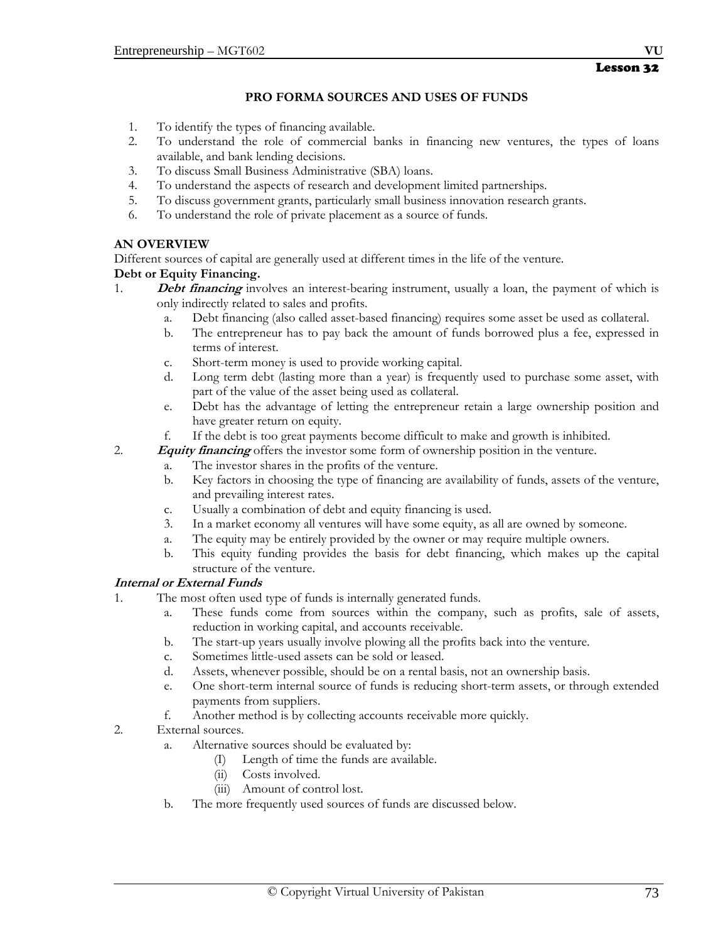## **PRO FORMA SOURCES AND USES OF FUNDS**

- 1. To identify the types of financing available.
- 2. To understand the role of commercial banks in financing new ventures, the types of loans available, and bank lending decisions.
- 3. To discuss Small Business Administrative (SBA) loans.
- 4. To understand the aspects of research and development limited partnerships.
- 5. To discuss government grants, particularly small business innovation research grants.
- 6. To understand the role of private placement as a source of funds.

## **AN OVERVIEW**

Different sources of capital are generally used at different times in the life of the venture.

## **Debt or Equity Financing.**

- 1. **Debt financing** involves an interest-bearing instrument, usually a loan, the payment of which is only indirectly related to sales and profits.
	- a. Debt financing (also called asset-based financing) requires some asset be used as collateral.
	- b. The entrepreneur has to pay back the amount of funds borrowed plus a fee, expressed in terms of interest.
	- c. Short-term money is used to provide working capital.
	- d. Long term debt (lasting more than a year) is frequently used to purchase some asset, with part of the value of the asset being used as collateral.
	- e. Debt has the advantage of letting the entrepreneur retain a large ownership position and have greater return on equity.
	- f. If the debt is too great payments become difficult to make and growth is inhibited.
- 2. **Equity financing** offers the investor some form of ownership position in the venture.
	- a. The investor shares in the profits of the venture.
		- b. Key factors in choosing the type of financing are availability of funds, assets of the venture, and prevailing interest rates.
		- c. Usually a combination of debt and equity financing is used.
		- 3. In a market economy all ventures will have some equity, as all are owned by someone.
		- a. The equity may be entirely provided by the owner or may require multiple owners.
		- b. This equity funding provides the basis for debt financing, which makes up the capital structure of the venture.

## **Internal or External Funds**

- 1. The most often used type of funds is internally generated funds.
	- a. These funds come from sources within the company, such as profits, sale of assets, reduction in working capital, and accounts receivable.
	- b. The start-up years usually involve plowing all the profits back into the venture.
	- c. Sometimes little-used assets can be sold or leased.
	- d. Assets, whenever possible, should be on a rental basis, not an ownership basis.
	- e. One short-term internal source of funds is reducing short-term assets, or through extended payments from suppliers.
	- f. Another method is by collecting accounts receivable more quickly.
- 2. External sources.
	- a. Alternative sources should be evaluated by:
		- (I) Length of time the funds are available.
		- (ii) Costs involved.
		- (iii) Amount of control lost.
	- b. The more frequently used sources of funds are discussed below.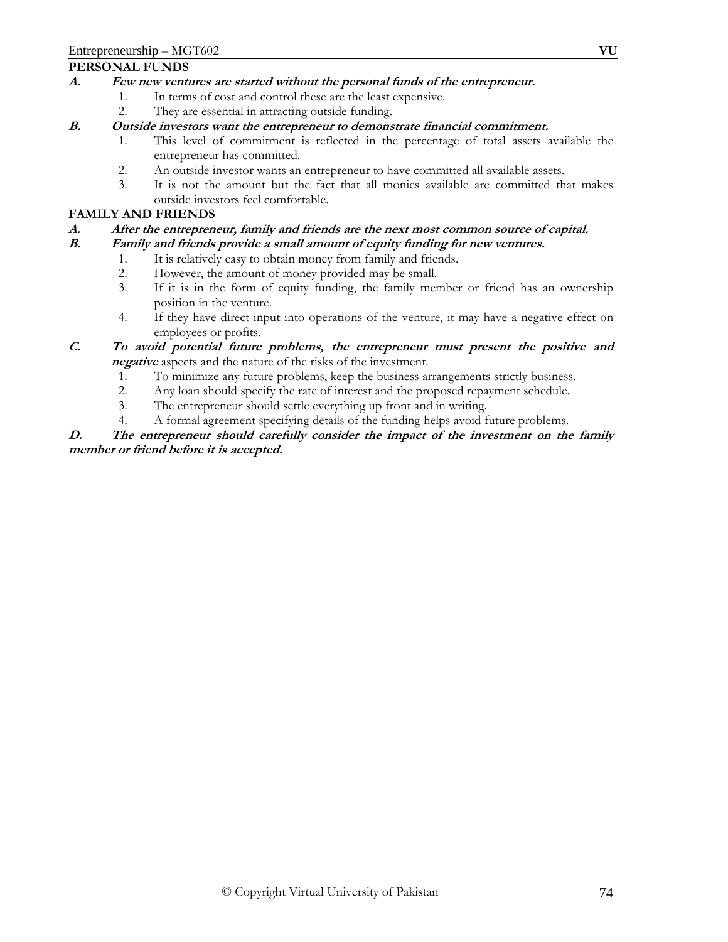#### **PERSONAL FUNDS**

## **A. Few new ventures are started without the personal funds of the entrepreneur.**

- 1. In terms of cost and control these are the least expensive.
	- 2. They are essential in attracting outside funding.

#### **B. Outside investors want the entrepreneur to demonstrate financial commitment.**

- 1. This level of commitment is reflected in the percentage of total assets available the entrepreneur has committed.
- 2. An outside investor wants an entrepreneur to have committed all available assets.
- 3. It is not the amount but the fact that all monies available are committed that makes outside investors feel comfortable.

#### **FAMILY AND FRIENDS**

#### **A. After the entrepreneur, family and friends are the next most common source of capital.**

#### **B. Family and friends provide a small amount of equity funding for new ventures.**

- 1. It is relatively easy to obtain money from family and friends.
- 2. However, the amount of money provided may be small.
- 3. If it is in the form of equity funding, the family member or friend has an ownership position in the venture.
- 4. If they have direct input into operations of the venture, it may have a negative effect on employees or profits.

## **C. To avoid potential future problems, the entrepreneur must present the positive and negative** aspects and the nature of the risks of the investment.

- 1. To minimize any future problems, keep the business arrangements strictly business.
- 2. Any loan should specify the rate of interest and the proposed repayment schedule.
- 3. The entrepreneur should settle everything up front and in writing.
- 4. A formal agreement specifying details of the funding helps avoid future problems.

#### **D. The entrepreneur should carefully consider the impact of the investment on the family member or friend before it is accepted.**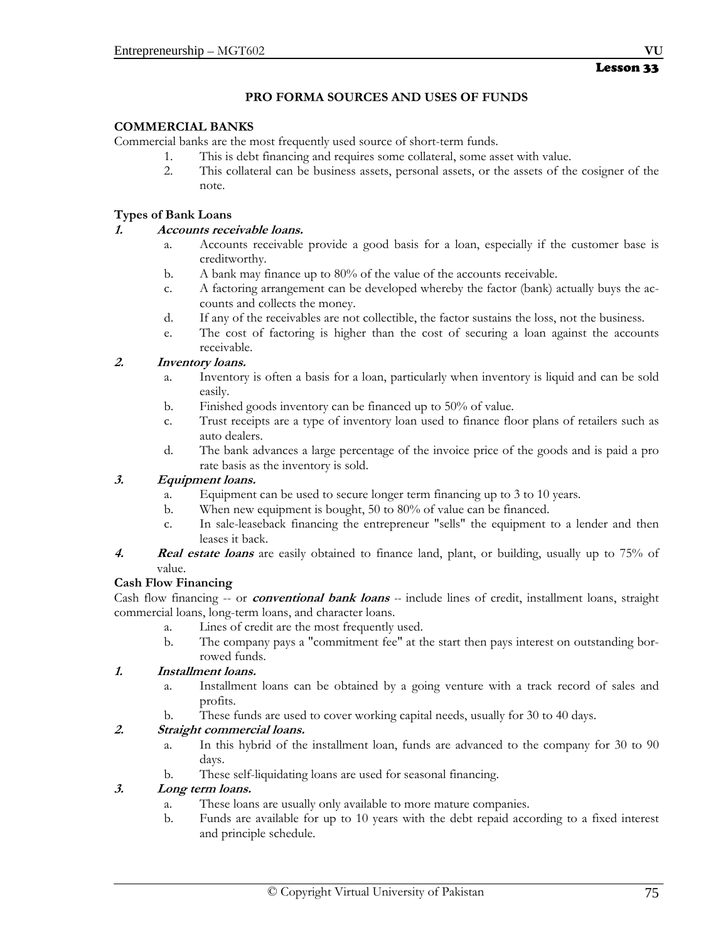## **PRO FORMA SOURCES AND USES OF FUNDS**

#### **COMMERCIAL BANKS**

Commercial banks are the most frequently used source of short-term funds.

- 1. This is debt financing and requires some collateral, some asset with value.
- 2. This collateral can be business assets, personal assets, or the assets of the cosigner of the note.

#### **Types of Bank Loans**

#### **1. Accounts receivable loans.**

- a. Accounts receivable provide a good basis for a loan, especially if the customer base is creditworthy.
- b. A bank may finance up to 80% of the value of the accounts receivable.
- c. A factoring arrangement can be developed whereby the factor (bank) actually buys the accounts and collects the money.
- d. If any of the receivables are not collectible, the factor sustains the loss, not the business.
- e. The cost of factoring is higher than the cost of securing a loan against the accounts receivable.

#### **2. Inventory loans.**

- a. Inventory is often a basis for a loan, particularly when inventory is liquid and can be sold easily.
- b. Finished goods inventory can be financed up to 50% of value.
- c. Trust receipts are a type of inventory loan used to finance floor plans of retailers such as auto dealers.
- d. The bank advances a large percentage of the invoice price of the goods and is paid a pro rate basis as the inventory is sold.

#### **3. Equipment loans.**

- a. Equipment can be used to secure longer term financing up to 3 to 10 years.
- b. When new equipment is bought, 50 to 80% of value can be financed.
- c. In sale-leaseback financing the entrepreneur "sells" the equipment to a lender and then leases it back.
- **4. Real estate loans** are easily obtained to finance land, plant, or building, usually up to 75% of value.

## **Cash Flow Financing**

Cash flow financing -- or **conventional bank loans** *--* include lines of credit, installment loans, straight commercial loans, long-term loans, and character loans.

- a. Lines of credit are the most frequently used.
- b. The company pays a "commitment fee" at the start then pays interest on outstanding borrowed funds.

#### **1. Installment loans.**

- a. Installment loans can be obtained by a going venture with a track record of sales and profits.
- b. These funds are used to cover working capital needs, usually for 30 to 40 days.

## **2. Straight commercial loans.**

- a. In this hybrid of the installment loan, funds are advanced to the company for 30 to 90 days.
- b. These self-liquidating loans are used for seasonal financing.

#### **3. Long term loans.**

- a. These loans are usually only available to more mature companies.
- b. Funds are available for up to 10 years with the debt repaid according to a fixed interest and principle schedule.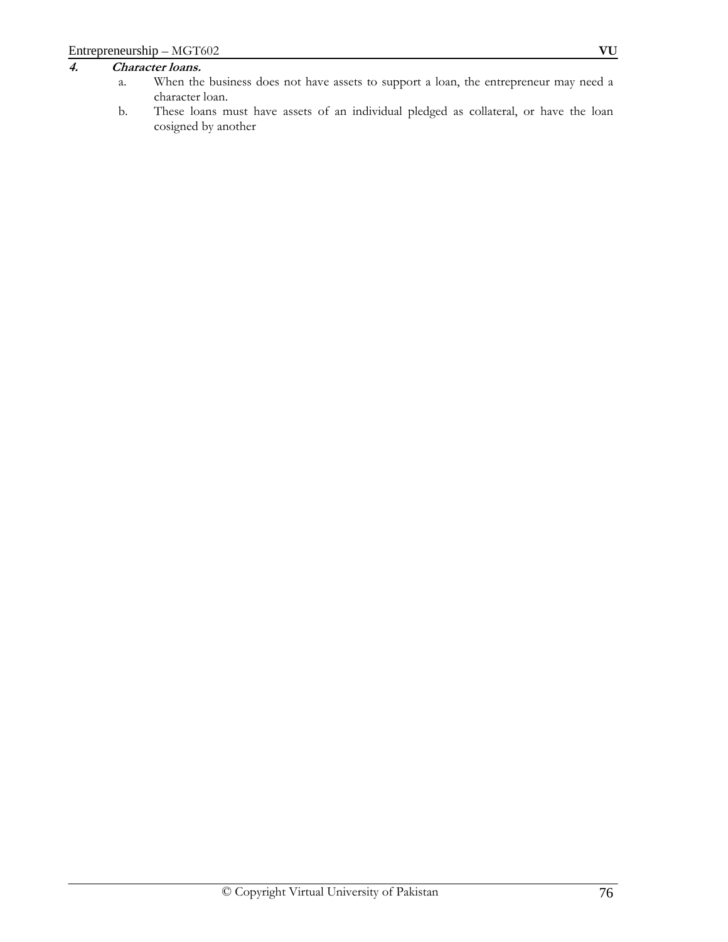## **4. Character loans.**

- a. When the business does not have assets to support a loan, the entrepreneur may need a character loan.
- b. These loans must have assets of an individual pledged as collateral, or have the loan cosigned by another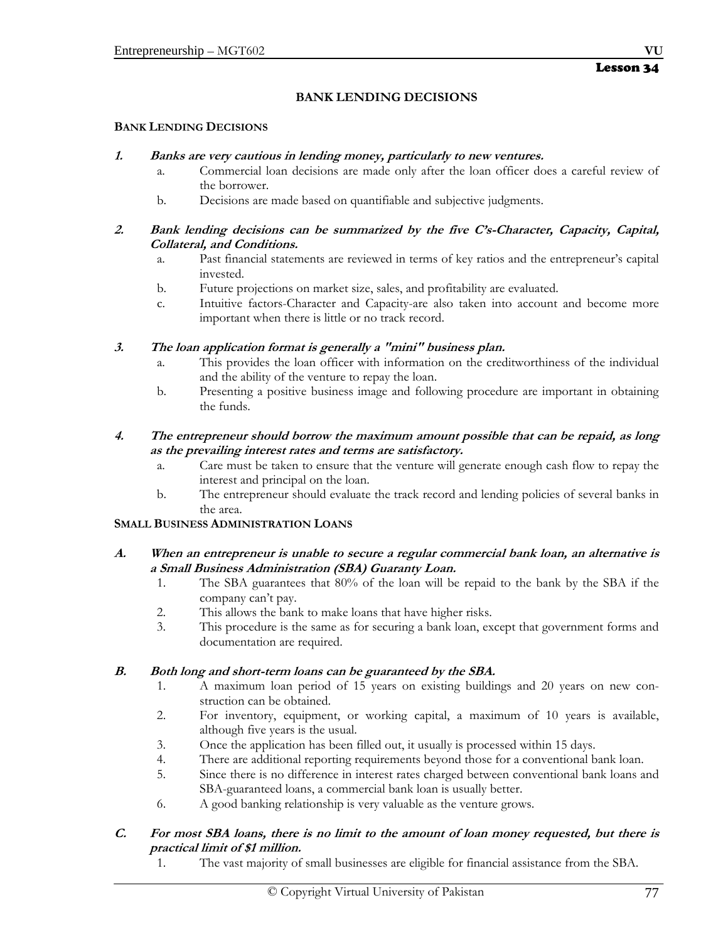## **BANK LENDING DECISIONS**

#### **BANK LENDING DECISIONS**

#### **1. Banks are very cautious in lending money, particularly to new ventures.**

- a. Commercial loan decisions are made only after the loan officer does a careful review of the borrower.
- b. Decisions are made based on quantifiable and subjective judgments.

#### **2. Bank lending decisions can be summarized by the five C's-Character, Capacity, Capital, Collateral, and Conditions.**

- a. Past financial statements are reviewed in terms of key ratios and the entrepreneur's capital invested.
- b. Future projections on market size, sales, and profitability are evaluated.
- c. Intuitive factors-Character and Capacity-are also taken into account and become more important when there is little or no track record.

**3. The loan application format is generally a "mini" business plan.** 

- a. This provides the loan officer with information on the creditworthiness of the individual and the ability of the venture to repay the loan.
- b. Presenting a positive business image and following procedure are important in obtaining the funds.

#### **4. The entrepreneur should borrow the maximum amount possible that can be repaid, as long as the prevailing interest rates and terms are satisfactory.**

- a. Care must be taken to ensure that the venture will generate enough cash flow to repay the interest and principal on the loan.
- b. The entrepreneur should evaluate the track record and lending policies of several banks in the area.

## **SMALL BUSINESS ADMINISTRATION LOANS**

#### **A. When an entrepreneur is unable to secure a regular commercial bank loan, an alternative is a Small Business Administration (SBA) Guaranty Loan.**

- 1. The SBA guarantees that 80% of the loan will be repaid to the bank by the SBA if the company can't pay.
- 2. This allows the bank to make loans that have higher risks.
- 3. This procedure is the same as for securing a bank loan, except that government forms and documentation are required.

#### **B. Both long and short-term loans can be guaranteed by the SBA.**

- 1. A maximum loan period of 15 years on existing buildings and 20 years on new construction can be obtained.
- 2. For inventory, equipment, or working capital, a maximum of 10 years is available, although five years is the usual.
- 3. Once the application has been filled out, it usually is processed within 15 days.
- 4. There are additional reporting requirements beyond those for a conventional bank loan.
- 5. Since there is no difference in interest rates charged between conventional bank loans and SBA-guaranteed loans, a commercial bank loan is usually better.
- 6. A good banking relationship is very valuable as the venture grows.

## **C. For most SBA loans, there is no limit to the amount of loan money requested, but there is practical limit of \$1 million.**

1. The vast majority of small businesses are eligible for financial assistance from the SBA.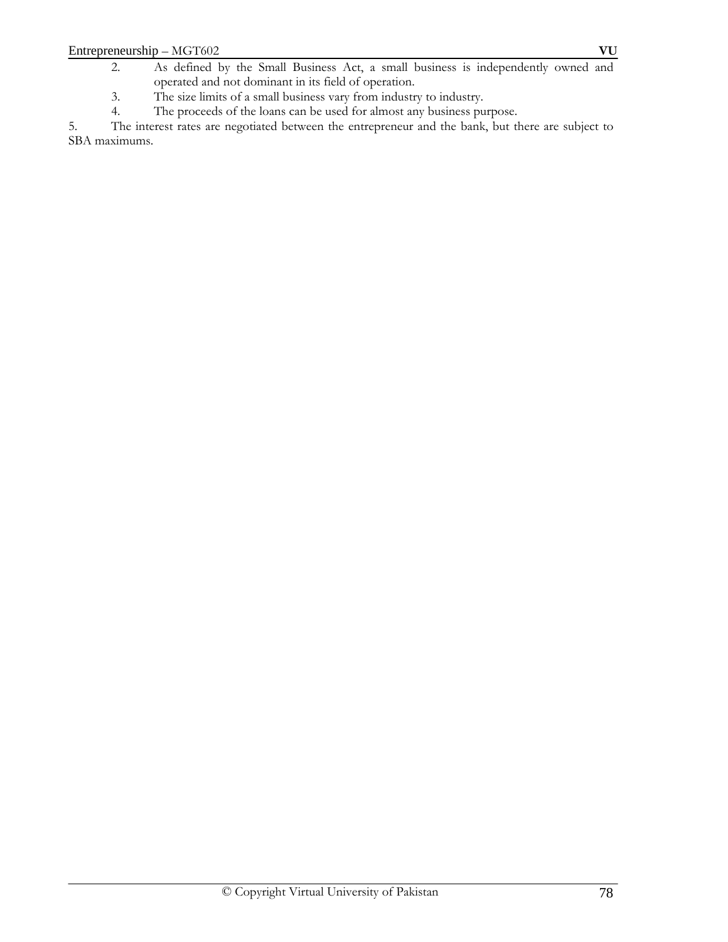- 2. As defined by the Small Business Act, a small business is independently owned and operated and not dominant in its field of operation.
- 3. The size limits of a small business vary from industry to industry.<br>4. The proceeds of the loans can be used for almost any business pu
- The proceeds of the loans can be used for almost any business purpose.

5. The interest rates are negotiated between the entrepreneur and the bank, but there are subject to SBA maximums.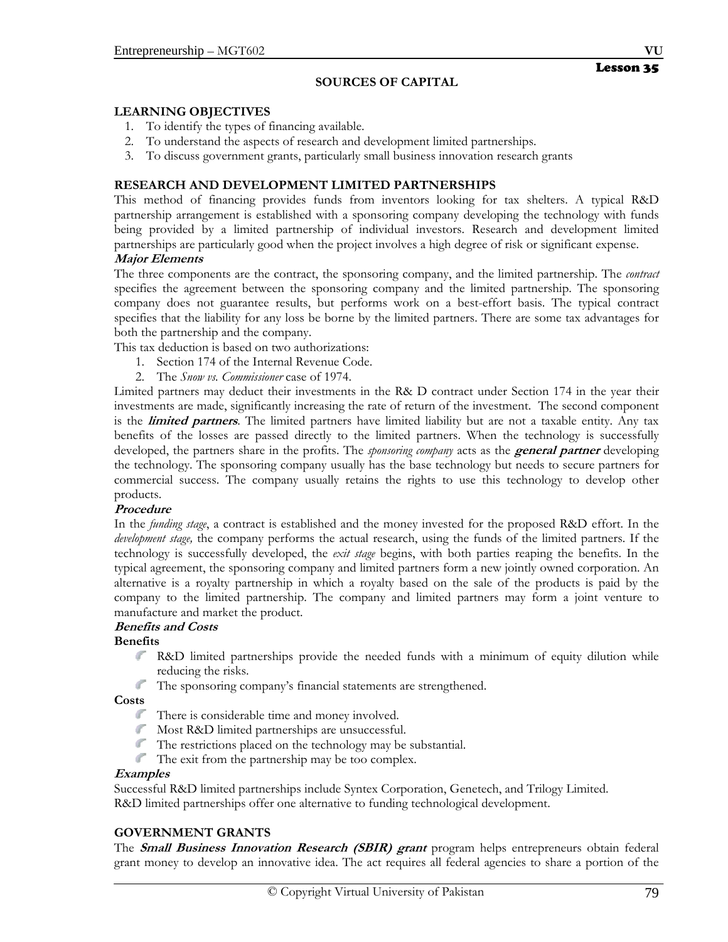## **LEARNING OBJECTIVES**

- 1. To identify the types of financing available.
- 2. To understand the aspects of research and development limited partnerships.
- 3. To discuss government grants, particularly small business innovation research grants

## **RESEARCH AND DEVELOPMENT LIMITED PARTNERSHIPS**

This method of financing provides funds from inventors looking for tax shelters. A typical R&D partnership arrangement is established with a sponsoring company developing the technology with funds being provided by a limited partnership of individual investors. Research and development limited partnerships are particularly good when the project involves a high degree of risk or significant expense.

## **Major Elements**

The three components are the contract, the sponsoring company, and the limited partnership. The *contract* specifies the agreement between the sponsoring company and the limited partnership. The sponsoring company does not guarantee results, but performs work on a best-effort basis. The typical contract specifies that the liability for any loss be borne by the limited partners. There are some tax advantages for both the partnership and the company.

This tax deduction is based on two authorizations:

- 1. Section 174 of the Internal Revenue Code.
- 2. The *Snow vs. Commissioner* case of 1974.

Limited partners may deduct their investments in the R& D contract under Section 174 in the year their investments are made, significantly increasing the rate of return of the investment. The second component is the **limited partners**. The limited partners have limited liability but are not a taxable entity. Any tax benefits of the losses are passed directly to the limited partners. When the technology is successfully developed, the partners share in the profits. The *sponsoring company* acts as the **general partner** developing the technology. The sponsoring company usually has the base technology but needs to secure partners for commercial success. The company usually retains the rights to use this technology to develop other products.

#### **Procedure**

In the *funding stage*, a contract is established and the money invested for the proposed R&D effort. In the *development stage,* the company performs the actual research, using the funds of the limited partners. If the technology is successfully developed, the *exit stage* begins, with both parties reaping the benefits. In the typical agreement, the sponsoring company and limited partners form a new jointly owned corporation. An alternative is a royalty partnership in which a royalty based on the sale of the products is paid by the company to the limited partnership. The company and limited partners may form a joint venture to manufacture and market the product.

#### **Benefits and Costs**

#### **Benefits**

- R&D limited partnerships provide the needed funds with a minimum of equity dilution while reducing the risks.
- $\mathbb{R}^n$ The sponsoring company's financial statements are strengthened.

#### **Costs**

- There is considerable time and money involved.
- Most R&D limited partnerships are unsuccessful.
- $\mathbb{R}^n$ The restrictions placed on the technology may be substantial.
- The exit from the partnership may be too complex.

#### **Examples**

Successful R&D limited partnerships include Syntex Corporation, Genetech, and Trilogy Limited. R&D limited partnerships offer one alternative to funding technological development.

#### **GOVERNMENT GRANTS**

The **Small Business Innovation Research (SBIR) grant** program helps entrepreneurs obtain federal grant money to develop an innovative idea. The act requires all federal agencies to share a portion of the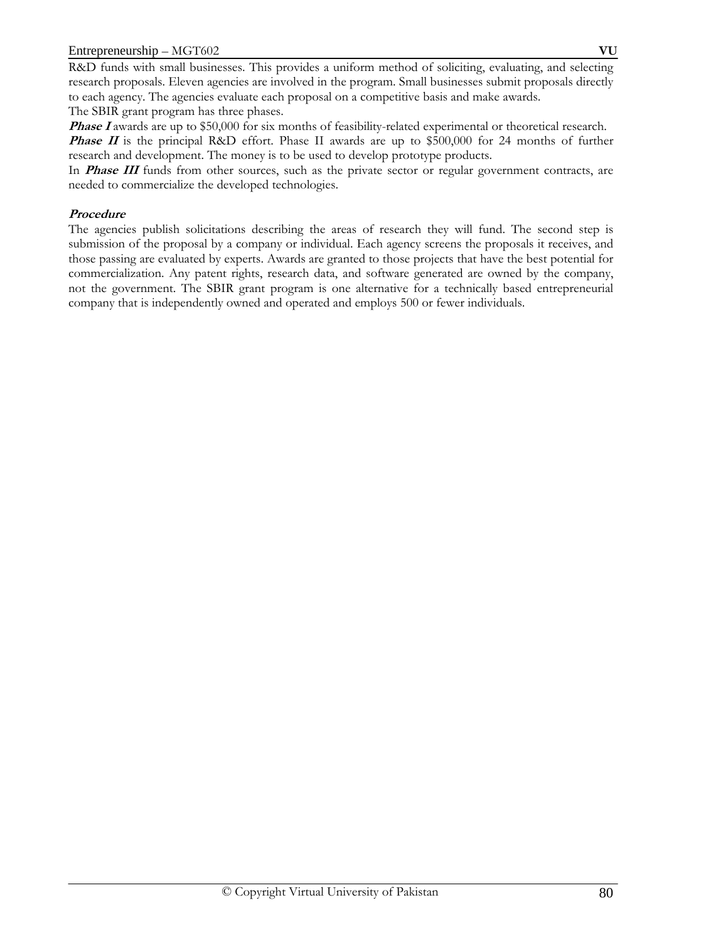R&D funds with small businesses. This provides a uniform method of soliciting, evaluating, and selecting research proposals. Eleven agencies are involved in the program. Small businesses submit proposals directly to each agency. The agencies evaluate each proposal on a competitive basis and make awards. The SBIR grant program has three phases.

**Phase I** awards are up to \$50,000 for six months of feasibility-related experimental or theoretical research.

**Phase II** is the principal R&D effort. Phase II awards are up to \$500,000 for 24 months of further research and development. The money is to be used to develop prototype products.

In **Phase III** funds from other sources, such as the private sector or regular government contracts, are needed to commercialize the developed technologies.

## **Procedure**

The agencies publish solicitations describing the areas of research they will fund. The second step is submission of the proposal by a company or individual. Each agency screens the proposals it receives, and those passing are evaluated by experts. Awards are granted to those projects that have the best potential for commercialization. Any patent rights, research data, and software generated are owned by the company, not the government. The SBIR grant program is one alternative for a technically based entrepreneurial company that is independently owned and operated and employs 500 or fewer individuals.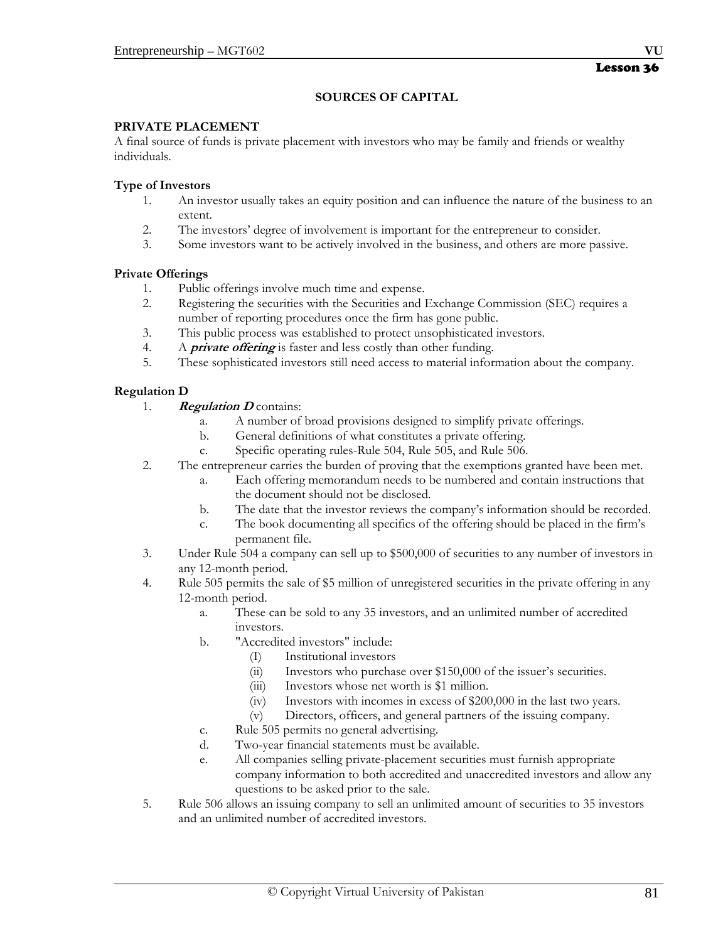#### **SOURCES OF CAPITAL**

#### **PRIVATE PLACEMENT**

A final source of funds is private placement with investors who may be family and friends or wealthy individuals.

#### **Type of Investors**

- 1. An investor usually takes an equity position and can influence the nature of the business to an extent.
- 2. The investors' degree of involvement is important for the entrepreneur to consider.
- 3. Some investors want to be actively involved in the business, and others are more passive.

#### **Private Offerings**

- 1. Public offerings involve much time and expense.
- 2. Registering the securities with the Securities and Exchange Commission (SEC) requires a number of reporting procedures once the firm has gone public.
- 3. This public process was established to protect unsophisticated investors.
- 4. A **private offering** is faster and less costly than other funding.
- 5. These sophisticated investors still need access to material information about the company.

#### **Regulation D**

- 1. **Regulation D** contains:
	- a. A number of broad provisions designed to simplify private offerings.
	- b. General definitions of what constitutes a private offering.
	- c. Specific operating rules-Rule 504, Rule 505, and Rule 506.
- 2. The entrepreneur carries the burden of proving that the exemptions granted have been met.
	- a. Each offering memorandum needs to be numbered and contain instructions that the document should not be disclosed.
	- b. The date that the investor reviews the company's information should be recorded.
	- c. The book documenting all specifics of the offering should be placed in the firm's permanent file.
- 3. Under Rule 504 a company can sell up to \$500,000 of securities to any number of investors in any 12-month period.
- 4. Rule 505 permits the sale of \$5 million of unregistered securities in the private offering in any 12-month period.
	- a. These can be sold to any 35 investors, and an unlimited number of accredited investors.
	- b. "Accredited investors" include:
		- (I) Institutional investors
			- (ii) Investors who purchase over \$150,000 of the issuer's securities.
			- (iii) Investors whose net worth is \$1 million.
		- (iv) Investors with incomes in excess of \$200,000 in the last two years.
		- (v) Directors, officers, and general partners of the issuing company.
	- c. Rule 505 permits no general advertising.
	- d. Two-year financial statements must be available.
	- e. All companies selling private-placement securities must furnish appropriate company information to both accredited and unaccredited investors and allow any questions to be asked prior to the sale.
- 5. Rule 506 allows an issuing company to sell an unlimited amount of securities to 35 investors and an unlimited number of accredited investors.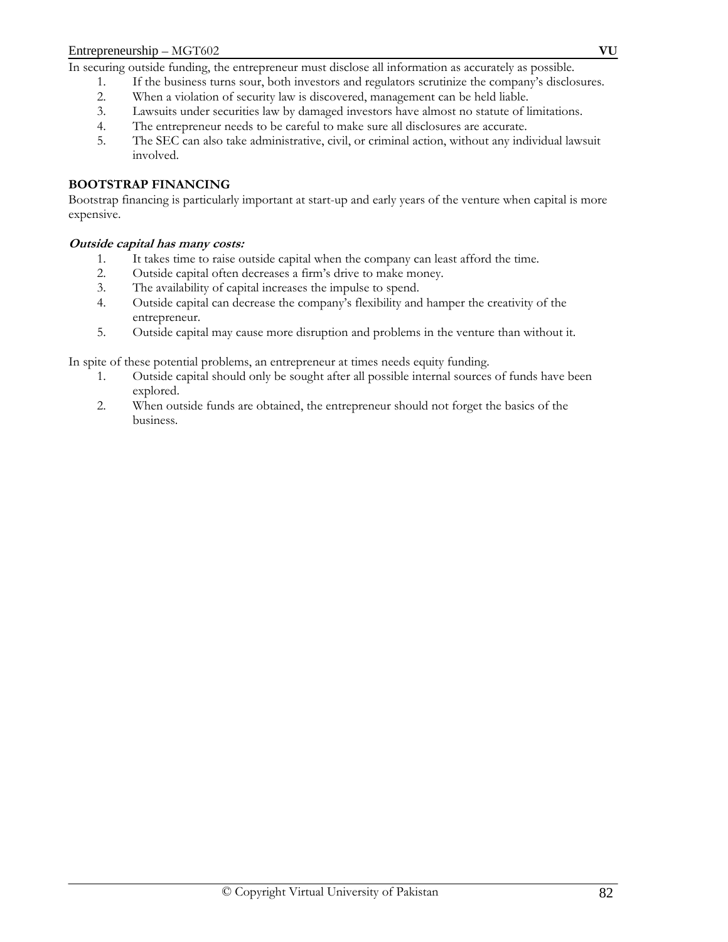In securing outside funding, the entrepreneur must disclose all information as accurately as possible.

- 1. If the business turns sour, both investors and regulators scrutinize the company's disclosures.
- 2. When a violation of security law is discovered, management can be held liable.
- 3. Lawsuits under securities law by damaged investors have almost no statute of limitations.
- 4. The entrepreneur needs to be careful to make sure all disclosures are accurate.
- 5. The SEC can also take administrative, civil, or criminal action, without any individual lawsuit involved.

#### **BOOTSTRAP FINANCING**

Bootstrap financing is particularly important at start-up and early years of the venture when capital is more expensive.

#### **Outside capital has many costs:**

- 1. It takes time to raise outside capital when the company can least afford the time.
- 2. Outside capital often decreases a firm's drive to make money.
- 3. The availability of capital increases the impulse to spend.
- 4. Outside capital can decrease the company's flexibility and hamper the creativity of the entrepreneur.
- 5. Outside capital may cause more disruption and problems in the venture than without it.

In spite of these potential problems, an entrepreneur at times needs equity funding.

- 1. Outside capital should only be sought after all possible internal sources of funds have been explored.
- 2. When outside funds are obtained, the entrepreneur should not forget the basics of the business.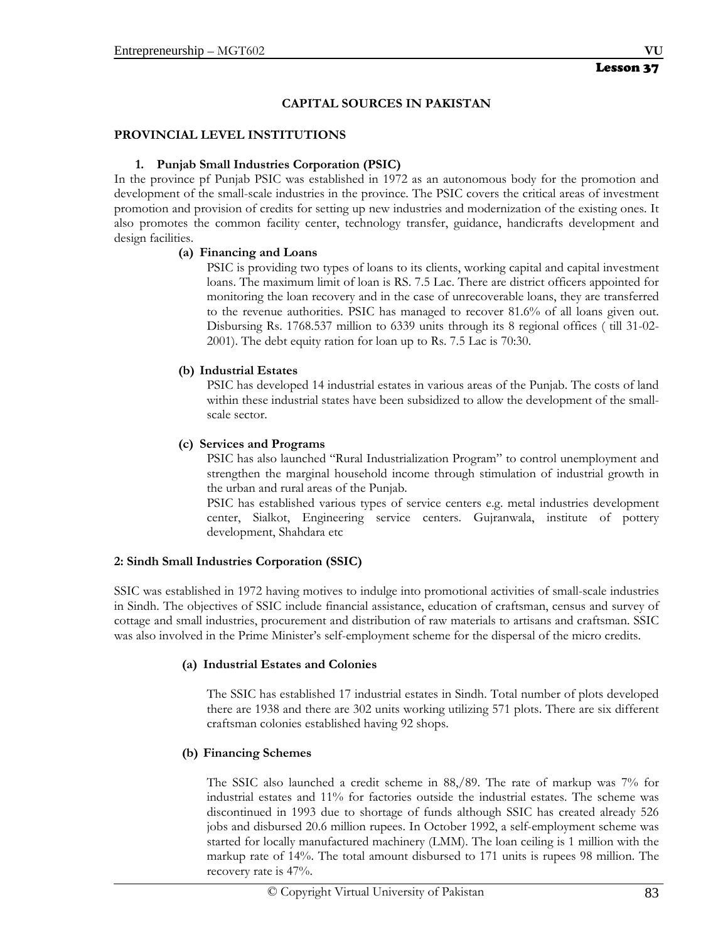#### **CAPITAL SOURCES IN PAKISTAN**

#### **PROVINCIAL LEVEL INSTITUTIONS**

#### **1. Punjab Small Industries Corporation (PSIC)**

In the province pf Punjab PSIC was established in 1972 as an autonomous body for the promotion and development of the small-scale industries in the province. The PSIC covers the critical areas of investment promotion and provision of credits for setting up new industries and modernization of the existing ones. It also promotes the common facility center, technology transfer, guidance, handicrafts development and design facilities.

#### **(a) Financing and Loans**

PSIC is providing two types of loans to its clients, working capital and capital investment loans. The maximum limit of loan is RS. 7.5 Lac. There are district officers appointed for monitoring the loan recovery and in the case of unrecoverable loans, they are transferred to the revenue authorities. PSIC has managed to recover 81.6% of all loans given out. Disbursing Rs. 1768.537 million to 6339 units through its 8 regional offices ( till 31-02- 2001). The debt equity ration for loan up to Rs. 7.5 Lac is 70:30.

#### **(b) Industrial Estates**

PSIC has developed 14 industrial estates in various areas of the Punjab. The costs of land within these industrial states have been subsidized to allow the development of the smallscale sector.

#### **(c) Services and Programs**

PSIC has also launched "Rural Industrialization Program" to control unemployment and strengthen the marginal household income through stimulation of industrial growth in the urban and rural areas of the Punjab.

PSIC has established various types of service centers e.g. metal industries development center, Sialkot, Engineering service centers. Gujranwala, institute of pottery development, Shahdara etc

#### **2: Sindh Small Industries Corporation (SSIC)**

SSIC was established in 1972 having motives to indulge into promotional activities of small-scale industries in Sindh. The objectives of SSIC include financial assistance, education of craftsman, census and survey of cottage and small industries, procurement and distribution of raw materials to artisans and craftsman. SSIC was also involved in the Prime Minister's self-employment scheme for the dispersal of the micro credits.

#### **(a) Industrial Estates and Colonies**

The SSIC has established 17 industrial estates in Sindh. Total number of plots developed there are 1938 and there are 302 units working utilizing 571 plots. There are six different craftsman colonies established having 92 shops.

#### **(b) Financing Schemes**

The SSIC also launched a credit scheme in 88,/89. The rate of markup was 7% for industrial estates and 11% for factories outside the industrial estates. The scheme was discontinued in 1993 due to shortage of funds although SSIC has created already 526 jobs and disbursed 20.6 million rupees. In October 1992, a self-employment scheme was started for locally manufactured machinery (LMM). The loan ceiling is 1 million with the markup rate of 14%. The total amount disbursed to 171 units is rupees 98 million. The recovery rate is 47%.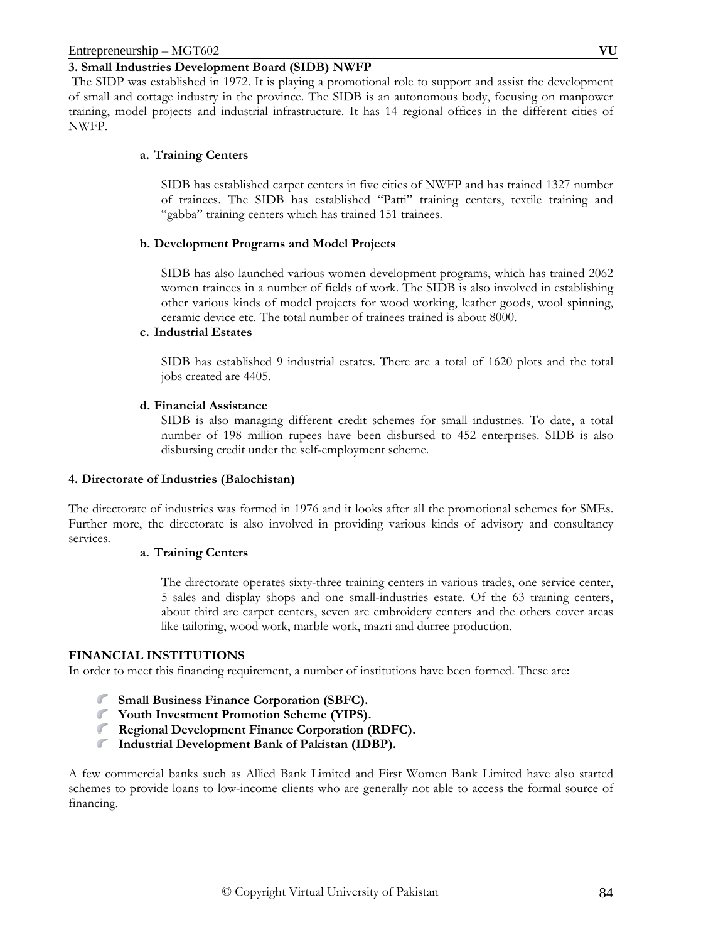#### **3. Small Industries Development Board (SIDB) NWFP**

The SIDP was established in 1972. It is playing a promotional role to support and assist the development of small and cottage industry in the province. The SIDB is an autonomous body, focusing on manpower training, model projects and industrial infrastructure. It has 14 regional offices in the different cities of NWFP.

#### **a. Training Centers**

SIDB has established carpet centers in five cities of NWFP and has trained 1327 number of trainees. The SIDB has established "Patti" training centers, textile training and "gabba" training centers which has trained 151 trainees.

#### **b. Development Programs and Model Projects**

SIDB has also launched various women development programs, which has trained 2062 women trainees in a number of fields of work. The SIDB is also involved in establishing other various kinds of model projects for wood working, leather goods, wool spinning, ceramic device etc. The total number of trainees trained is about 8000.

#### **c. Industrial Estates**

SIDB has established 9 industrial estates. There are a total of 1620 plots and the total jobs created are 4405.

#### **d. Financial Assistance**

SIDB is also managing different credit schemes for small industries. To date, a total number of 198 million rupees have been disbursed to 452 enterprises. SIDB is also disbursing credit under the self-employment scheme.

#### **4. Directorate of Industries (Balochistan)**

The directorate of industries was formed in 1976 and it looks after all the promotional schemes for SMEs. Further more, the directorate is also involved in providing various kinds of advisory and consultancy services.

#### **a. Training Centers**

The directorate operates sixty-three training centers in various trades, one service center, 5 sales and display shops and one small-industries estate. Of the 63 training centers, about third are carpet centers, seven are embroidery centers and the others cover areas like tailoring, wood work, marble work, mazri and durree production.

#### **FINANCIAL INSTITUTIONS**

In order to meet this financing requirement, a number of institutions have been formed. These are**:** 

- **Small Business Finance Corporation (SBFC).**
- **Youth Investment Promotion Scheme (YIPS).**
- **Regional Development Finance Corporation (RDFC).**
- **Industrial Development Bank of Pakistan (IDBP).**

A few commercial banks such as Allied Bank Limited and First Women Bank Limited have also started schemes to provide loans to low-income clients who are generally not able to access the formal source of financing.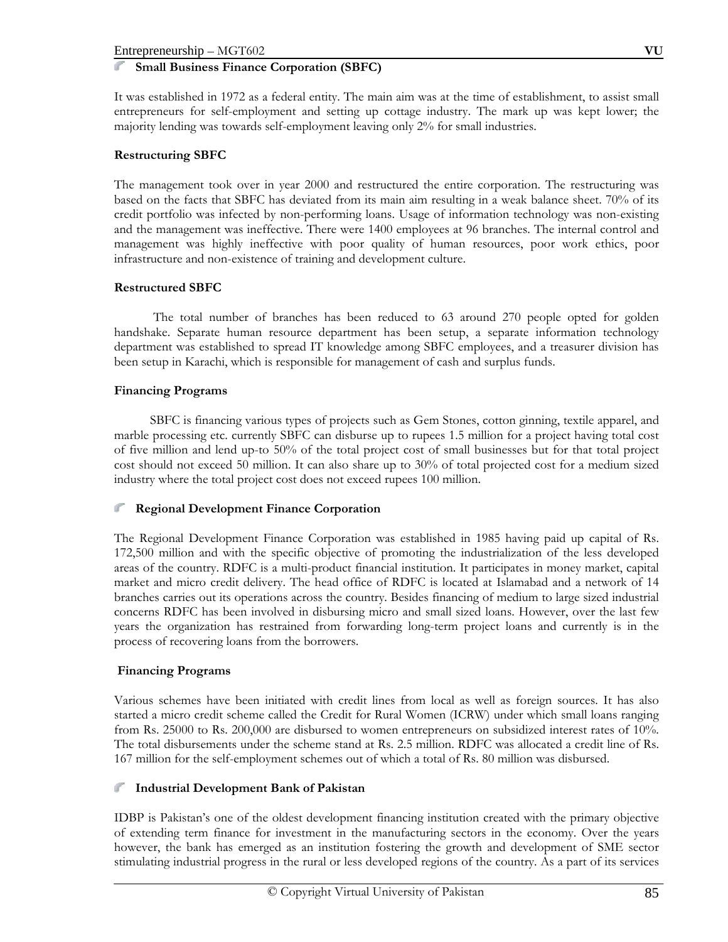#### **Small Business Finance Corporation (SBFC)**

It was established in 1972 as a federal entity. The main aim was at the time of establishment, to assist small entrepreneurs for self-employment and setting up cottage industry. The mark up was kept lower; the majority lending was towards self-employment leaving only 2% for small industries.

## **Restructuring SBFC**

The management took over in year 2000 and restructured the entire corporation. The restructuring was based on the facts that SBFC has deviated from its main aim resulting in a weak balance sheet. 70% of its credit portfolio was infected by non-performing loans. Usage of information technology was non-existing and the management was ineffective. There were 1400 employees at 96 branches. The internal control and management was highly ineffective with poor quality of human resources, poor work ethics, poor infrastructure and non-existence of training and development culture.

## **Restructured SBFC**

 The total number of branches has been reduced to 63 around 270 people opted for golden handshake. Separate human resource department has been setup, a separate information technology department was established to spread IT knowledge among SBFC employees, and a treasurer division has been setup in Karachi, which is responsible for management of cash and surplus funds.

## **Financing Programs**

 SBFC is financing various types of projects such as Gem Stones, cotton ginning, textile apparel, and marble processing etc. currently SBFC can disburse up to rupees 1.5 million for a project having total cost of five million and lend up-to 50% of the total project cost of small businesses but for that total project cost should not exceed 50 million. It can also share up to 30% of total projected cost for a medium sized industry where the total project cost does not exceed rupees 100 million.

#### **Regional Development Finance Corporation**

The Regional Development Finance Corporation was established in 1985 having paid up capital of Rs. 172,500 million and with the specific objective of promoting the industrialization of the less developed areas of the country. RDFC is a multi-product financial institution. It participates in money market, capital market and micro credit delivery. The head office of RDFC is located at Islamabad and a network of 14 branches carries out its operations across the country. Besides financing of medium to large sized industrial concerns RDFC has been involved in disbursing micro and small sized loans. However, over the last few years the organization has restrained from forwarding long-term project loans and currently is in the process of recovering loans from the borrowers.

#### **Financing Programs**

Various schemes have been initiated with credit lines from local as well as foreign sources. It has also started a micro credit scheme called the Credit for Rural Women (ICRW) under which small loans ranging from Rs. 25000 to Rs. 200,000 are disbursed to women entrepreneurs on subsidized interest rates of 10%. The total disbursements under the scheme stand at Rs. 2.5 million. RDFC was allocated a credit line of Rs. 167 million for the self-employment schemes out of which a total of Rs. 80 million was disbursed.

#### **Industrial Development Bank of Pakistan**   $\mathbb{Z}^n$

IDBP is Pakistan's one of the oldest development financing institution created with the primary objective of extending term finance for investment in the manufacturing sectors in the economy. Over the years however, the bank has emerged as an institution fostering the growth and development of SME sector stimulating industrial progress in the rural or less developed regions of the country. As a part of its services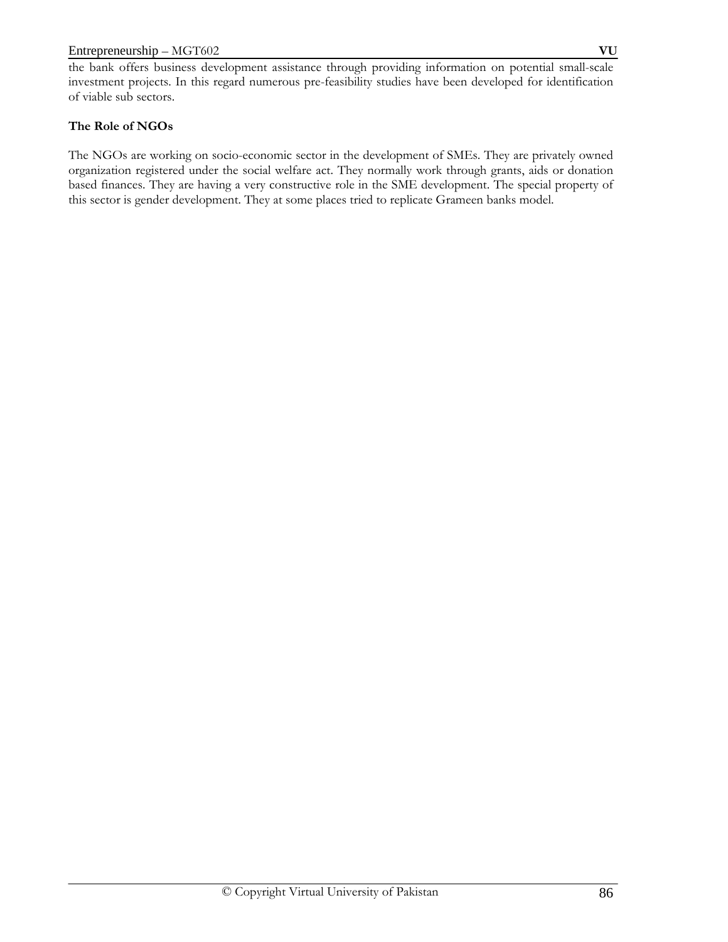the bank offers business development assistance through providing information on potential small-scale investment projects. In this regard numerous pre-feasibility studies have been developed for identification of viable sub sectors.

## **The Role of NGOs**

The NGOs are working on socio-economic sector in the development of SMEs. They are privately owned organization registered under the social welfare act. They normally work through grants, aids or donation based finances. They are having a very constructive role in the SME development. The special property of this sector is gender development. They at some places tried to replicate Grameen banks model.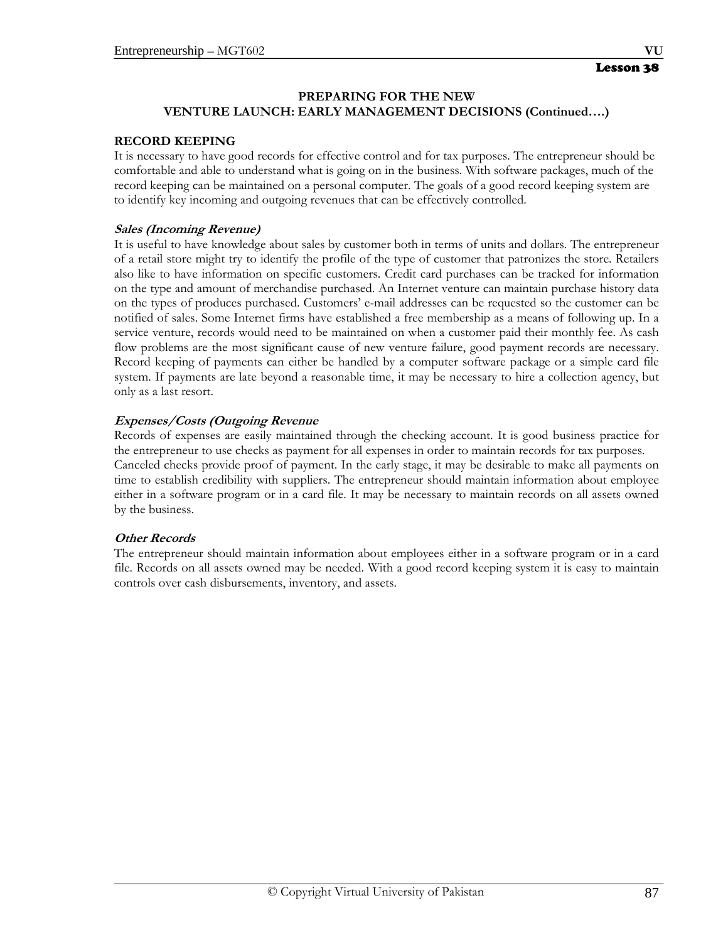## **RECORD KEEPING**

It is necessary to have good records for effective control and for tax purposes. The entrepreneur should be comfortable and able to understand what is going on in the business. With software packages, much of the record keeping can be maintained on a personal computer. The goals of a good record keeping system are to identify key incoming and outgoing revenues that can be effectively controlled.

## **Sales (Incoming Revenue)**

It is useful to have knowledge about sales by customer both in terms of units and dollars. The entrepreneur of a retail store might try to identify the profile of the type of customer that patronizes the store. Retailers also like to have information on specific customers. Credit card purchases can be tracked for information on the type and amount of merchandise purchased. An Internet venture can maintain purchase history data on the types of produces purchased. Customers' e-mail addresses can be requested so the customer can be notified of sales. Some Internet firms have established a free membership as a means of following up. In a service venture, records would need to be maintained on when a customer paid their monthly fee. As cash flow problems are the most significant cause of new venture failure, good payment records are necessary. Record keeping of payments can either be handled by a computer software package or a simple card file system. If payments are late beyond a reasonable time, it may be necessary to hire a collection agency, but only as a last resort.

## **Expenses/Costs (Outgoing Revenue**

Records of expenses are easily maintained through the checking account. It is good business practice for the entrepreneur to use checks as payment for all expenses in order to maintain records for tax purposes. Canceled checks provide proof of payment. In the early stage, it may be desirable to make all payments on time to establish credibility with suppliers. The entrepreneur should maintain information about employee either in a software program or in a card file. It may be necessary to maintain records on all assets owned by the business.

#### **Other Records**

The entrepreneur should maintain information about employees either in a software program or in a card file. Records on all assets owned may be needed. With a good record keeping system it is easy to maintain controls over cash disbursements, inventory, and assets.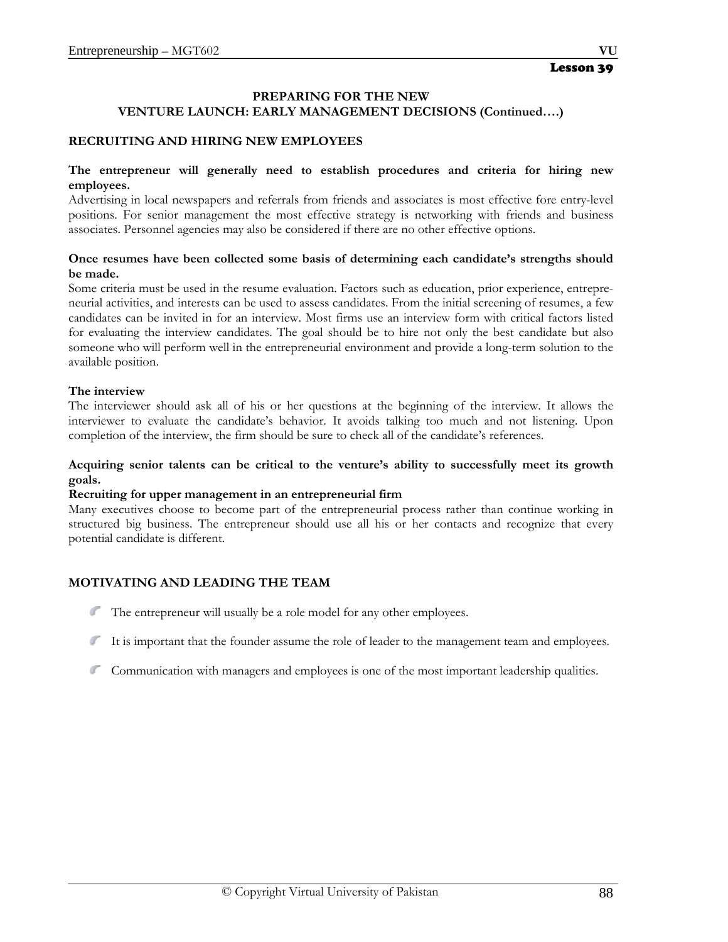#### **RECRUITING AND HIRING NEW EMPLOYEES**

#### **The entrepreneur will generally need to establish procedures and criteria for hiring new employees.**

Advertising in local newspapers and referrals from friends and associates is most effective fore entry-level positions. For senior management the most effective strategy is networking with friends and business associates. Personnel agencies may also be considered if there are no other effective options.

#### **Once resumes have been collected some basis of determining each candidate's strengths should be made.**

Some criteria must be used in the resume evaluation. Factors such as education, prior experience, entrepreneurial activities, and interests can be used to assess candidates. From the initial screening of resumes, a few candidates can be invited in for an interview. Most firms use an interview form with critical factors listed for evaluating the interview candidates. The goal should be to hire not only the best candidate but also someone who will perform well in the entrepreneurial environment and provide a long-term solution to the available position.

#### **The interview**

The interviewer should ask all of his or her questions at the beginning of the interview. It allows the interviewer to evaluate the candidate's behavior. It avoids talking too much and not listening. Upon completion of the interview, the firm should be sure to check all of the candidate's references.

#### **Acquiring senior talents can be critical to the venture's ability to successfully meet its growth goals.**

#### **Recruiting for upper management in an entrepreneurial firm**

Many executives choose to become part of the entrepreneurial process rather than continue working in structured big business. The entrepreneur should use all his or her contacts and recognize that every potential candidate is different.

#### **MOTIVATING AND LEADING THE TEAM**

- The entrepreneur will usually be a role model for any other employees.
- It is important that the founder assume the role of leader to the management team and employees.
- Communication with managers and employees is one of the most important leadership qualities.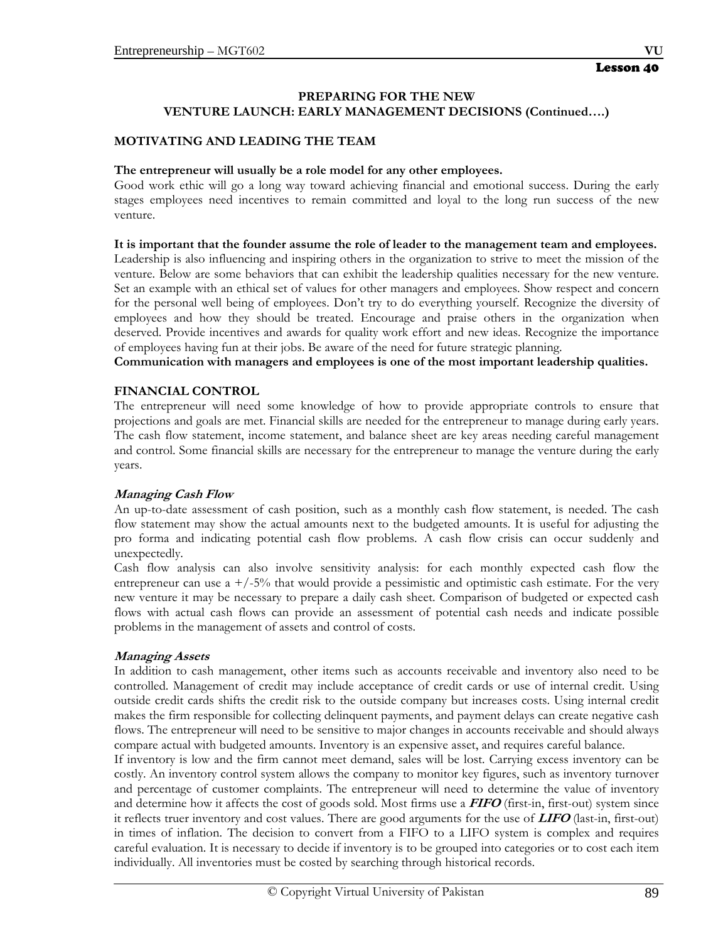## **MOTIVATING AND LEADING THE TEAM**

#### **The entrepreneur will usually be a role model for any other employees.**

Good work ethic will go a long way toward achieving financial and emotional success. During the early stages employees need incentives to remain committed and loyal to the long run success of the new venture.

#### **It is important that the founder assume the role of leader to the management team and employees.**

Leadership is also influencing and inspiring others in the organization to strive to meet the mission of the venture. Below are some behaviors that can exhibit the leadership qualities necessary for the new venture. Set an example with an ethical set of values for other managers and employees. Show respect and concern for the personal well being of employees. Don't try to do everything yourself. Recognize the diversity of employees and how they should be treated. Encourage and praise others in the organization when deserved. Provide incentives and awards for quality work effort and new ideas. Recognize the importance of employees having fun at their jobs. Be aware of the need for future strategic planning.

**Communication with managers and employees is one of the most important leadership qualities.** 

## **FINANCIAL CONTROL**

The entrepreneur will need some knowledge of how to provide appropriate controls to ensure that projections and goals are met. Financial skills are needed for the entrepreneur to manage during early years. The cash flow statement, income statement, and balance sheet are key areas needing careful management and control. Some financial skills are necessary for the entrepreneur to manage the venture during the early years.

#### **Managing Cash Flow**

An up-to-date assessment of cash position, such as a monthly cash flow statement, is needed. The cash flow statement may show the actual amounts next to the budgeted amounts. It is useful for adjusting the pro forma and indicating potential cash flow problems. A cash flow crisis can occur suddenly and unexpectedly.

Cash flow analysis can also involve sensitivity analysis: for each monthly expected cash flow the entrepreneur can use  $a + (-5)$  that would provide a pessimistic and optimistic cash estimate. For the very new venture it may be necessary to prepare a daily cash sheet. Comparison of budgeted or expected cash flows with actual cash flows can provide an assessment of potential cash needs and indicate possible problems in the management of assets and control of costs.

#### **Managing Assets**

In addition to cash management, other items such as accounts receivable and inventory also need to be controlled. Management of credit may include acceptance of credit cards or use of internal credit. Using outside credit cards shifts the credit risk to the outside company but increases costs. Using internal credit makes the firm responsible for collecting delinquent payments, and payment delays can create negative cash flows. The entrepreneur will need to be sensitive to major changes in accounts receivable and should always compare actual with budgeted amounts. Inventory is an expensive asset, and requires careful balance.

If inventory is low and the firm cannot meet demand, sales will be lost. Carrying excess inventory can be costly. An inventory control system allows the company to monitor key figures, such as inventory turnover and percentage of customer complaints. The entrepreneur will need to determine the value of inventory and determine how it affects the cost of goods sold. Most firms use a **FIFO** (first-in, first-out) system since it reflects truer inventory and cost values. There are good arguments for the use of **LIFO** (last-in, first-out) in times of inflation. The decision to convert from a FIFO to a LIFO system is complex and requires careful evaluation. It is necessary to decide if inventory is to be grouped into categories or to cost each item individually. All inventories must be costed by searching through historical records.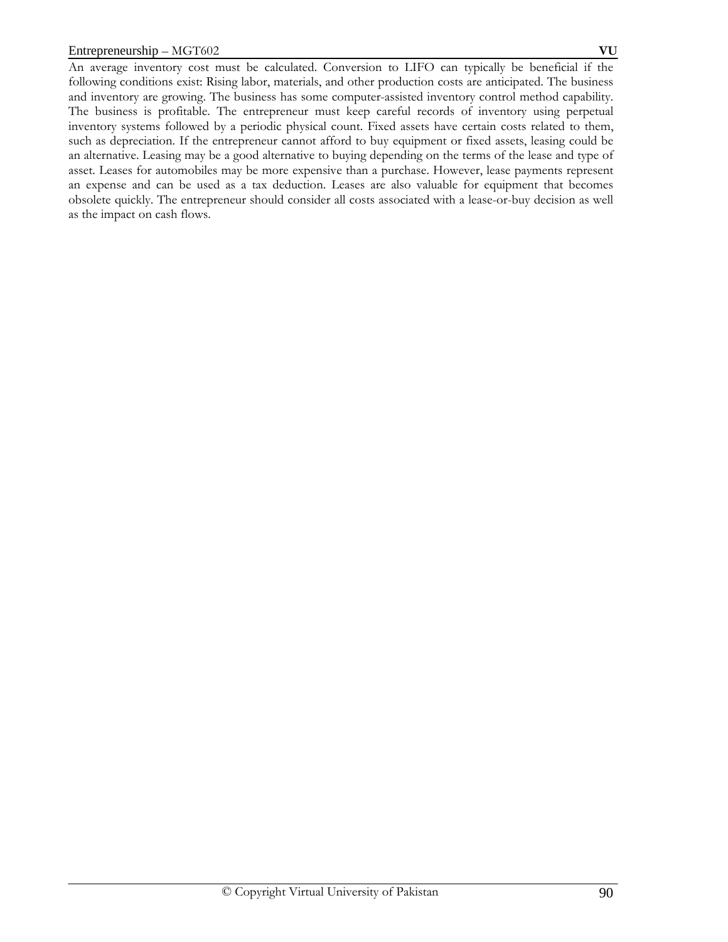An average inventory cost must be calculated. Conversion to LIFO can typically be beneficial if the following conditions exist: Rising labor, materials, and other production costs are anticipated. The business and inventory are growing. The business has some computer-assisted inventory control method capability. The business is profitable. The entrepreneur must keep careful records of inventory using perpetual inventory systems followed by a periodic physical count. Fixed assets have certain costs related to them, such as depreciation. If the entrepreneur cannot afford to buy equipment or fixed assets, leasing could be an alternative. Leasing may be a good alternative to buying depending on the terms of the lease and type of asset. Leases for automobiles may be more expensive than a purchase. However, lease payments represent an expense and can be used as a tax deduction. Leases are also valuable for equipment that becomes obsolete quickly. The entrepreneur should consider all costs associated with a lease-or-buy decision as well as the impact on cash flows.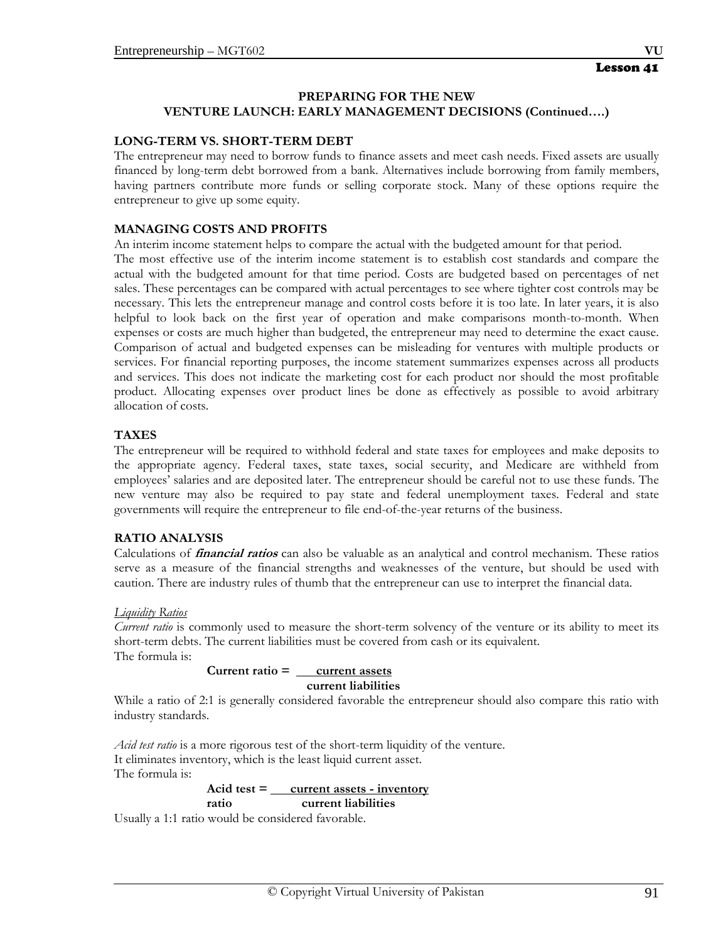## **LONG-TERM VS. SHORT-TERM DEBT**

The entrepreneur may need to borrow funds to finance assets and meet cash needs. Fixed assets are usually financed by long-term debt borrowed from a bank. Alternatives include borrowing from family members, having partners contribute more funds or selling corporate stock. Many of these options require the entrepreneur to give up some equity.

## **MANAGING COSTS AND PROFITS**

An interim income statement helps to compare the actual with the budgeted amount for that period.

The most effective use of the interim income statement is to establish cost standards and compare the actual with the budgeted amount for that time period. Costs are budgeted based on percentages of net sales. These percentages can be compared with actual percentages to see where tighter cost controls may be necessary. This lets the entrepreneur manage and control costs before it is too late. In later years, it is also helpful to look back on the first year of operation and make comparisons month-to-month. When expenses or costs are much higher than budgeted, the entrepreneur may need to determine the exact cause. Comparison of actual and budgeted expenses can be misleading for ventures with multiple products or services. For financial reporting purposes, the income statement summarizes expenses across all products and services. This does not indicate the marketing cost for each product nor should the most profitable product. Allocating expenses over product lines be done as effectively as possible to avoid arbitrary allocation of costs.

#### **TAXES**

The entrepreneur will be required to withhold federal and state taxes for employees and make deposits to the appropriate agency. Federal taxes, state taxes, social security, and Medicare are withheld from employees' salaries and are deposited later. The entrepreneur should be careful not to use these funds. The new venture may also be required to pay state and federal unemployment taxes. Federal and state governments will require the entrepreneur to file end-of-the-year returns of the business.

#### **RATIO ANALYSIS**

Calculations of **financial ratios** can also be valuable as an analytical and control mechanism. These ratios serve as a measure of the financial strengths and weaknesses of the venture, but should be used with caution. There are industry rules of thumb that the entrepreneur can use to interpret the financial data.

#### *Liquidity Ratios*

*Current ratio* is commonly used to measure the short-term solvency of the venture or its ability to meet its short-term debts. The current liabilities must be covered from cash or its equivalent. The formula is:

#### **Current ratio = current assets current liabilities**

While a ratio of 2:1 is generally considered favorable the entrepreneur should also compare this ratio with industry standards.

*Acid test ratio* is a more rigorous test of the short-term liquidity of the venture. It eliminates inventory, which is the least liquid current asset. The formula is:

#### **Acid test = current assets - inventory ratio current liabilities**

Usually a 1:1 ratio would be considered favorable.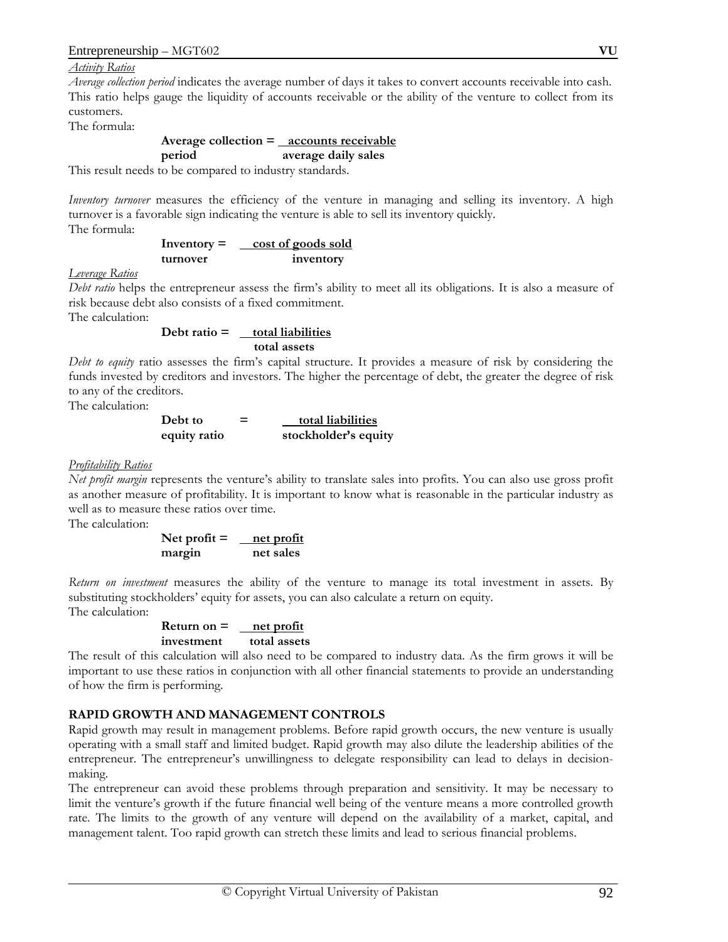*Activity Ratios*

*Average collection period* indicates the average number of days it takes to convert accounts receivable into cash. This ratio helps gauge the liquidity of accounts receivable or the ability of the venture to collect from its customers.

The formula:

#### **Average collection = accounts receivable period average daily sales**

This result needs to be compared to industry standards.

*Inventory turnover* measures the efficiency of the venture in managing and selling its inventory. A high turnover is a favorable sign indicating the venture is able to sell its inventory quickly.

The formula:

**Inventory = cost of goods sold turnover inventory**

#### *Leverage Ratios*

*Debt ratio* helps the entrepreneur assess the firm's ability to meet all its obligations. It is also a measure of risk because debt also consists of a fixed commitment.

The calculation:

$$
Debt ratio = \underline{total liabilities} \quad total assets
$$

*Debt to equity* ratio assesses the firm's capital structure. It provides a measure of risk by considering the funds invested by creditors and investors. The higher the percentage of debt, the greater the degree of risk to any of the creditors.

The calculation:

Debt to

\n
$$
= \frac{\text{total liabilities}}{\text{stockholder's equity}}
$$

#### *Profitability Ratios*

*Net profit margin* represents the venture's ability to translate sales into profits. You can also use gross profit as another measure of profitability. It is important to know what is reasonable in the particular industry as well as to measure these ratios over time.

The calculation:

Net profit = <u>net profit</u> **margin net sales**

*Return on investment* measures the ability of the venture to manage its total investment in assets. By substituting stockholders' equity for assets, you can also calculate a return on equity. The calculation:

$$
Return on = \underline{net profit} investment \t total assets
$$

The result of this calculation will also need to be compared to industry data. As the firm grows it will be important to use these ratios in conjunction with all other financial statements to provide an understanding of how the firm is performing.

## **RAPID GROWTH AND MANAGEMENT CONTROLS**

Rapid growth may result in management problems. Before rapid growth occurs, the new venture is usually operating with a small staff and limited budget. Rapid growth may also dilute the leadership abilities of the entrepreneur. The entrepreneur's unwillingness to delegate responsibility can lead to delays in decisionmaking.

The entrepreneur can avoid these problems through preparation and sensitivity. It may be necessary to limit the venture's growth if the future financial well being of the venture means a more controlled growth rate. The limits to the growth of any venture will depend on the availability of a market, capital, and management talent. Too rapid growth can stretch these limits and lead to serious financial problems.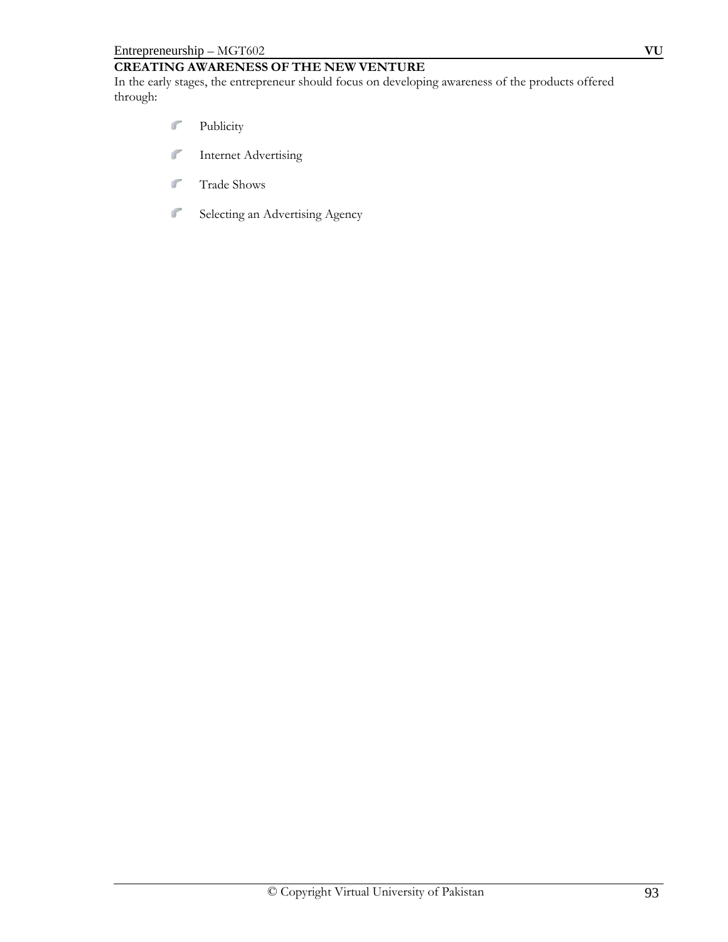# **CREATING AWARENESS OF THE NEW VENTURE**

In the early stages, the entrepreneur should focus on developing awareness of the products offered through:

- $\mathbf{J}^{\text{opt}}$ Publicity
- $\int_{0}^{\infty}$ Internet Advertising
- $\int_{\mathbb{R}^{2}}$ Trade Shows
- $\int_{0}^{\infty}$ Selecting an Advertising Agency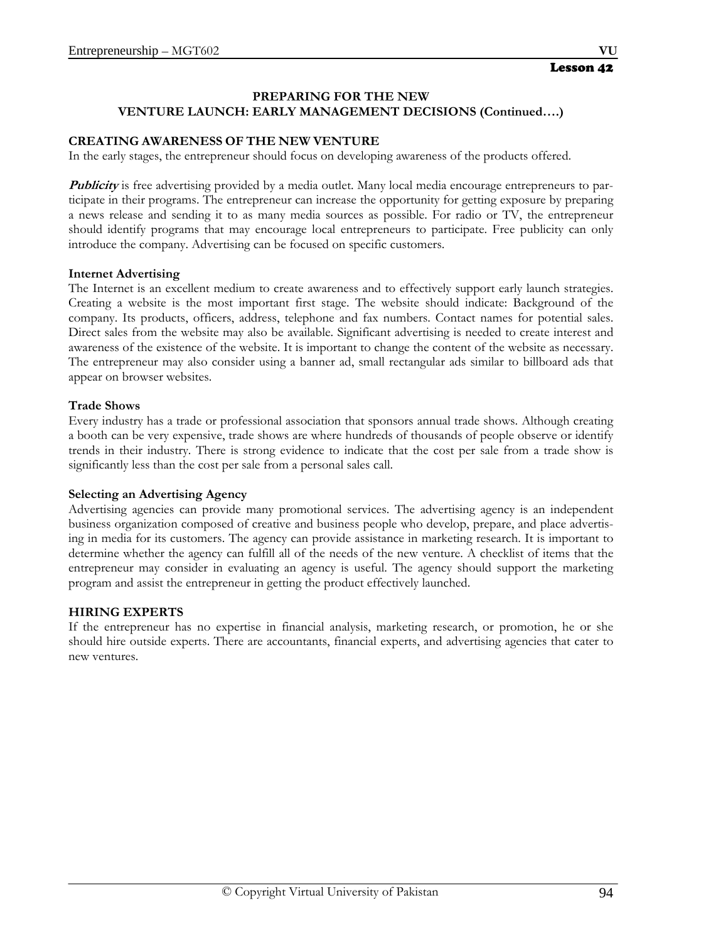#### **CREATING AWARENESS OF THE NEW VENTURE**

In the early stages, the entrepreneur should focus on developing awareness of the products offered.

**Publicity** is free advertising provided by a media outlet. Many local media encourage entrepreneurs to participate in their programs. The entrepreneur can increase the opportunity for getting exposure by preparing a news release and sending it to as many media sources as possible. For radio or TV, the entrepreneur should identify programs that may encourage local entrepreneurs to participate. Free publicity can only introduce the company. Advertising can be focused on specific customers.

#### **Internet Advertising**

The Internet is an excellent medium to create awareness and to effectively support early launch strategies. Creating a website is the most important first stage. The website should indicate: Background of the company. Its products, officers, address, telephone and fax numbers. Contact names for potential sales. Direct sales from the website may also be available. Significant advertising is needed to create interest and awareness of the existence of the website. It is important to change the content of the website as necessary. The entrepreneur may also consider using a banner ad, small rectangular ads similar to billboard ads that appear on browser websites.

#### **Trade Shows**

Every industry has a trade or professional association that sponsors annual trade shows. Although creating a booth can be very expensive, trade shows are where hundreds of thousands of people observe or identify trends in their industry. There is strong evidence to indicate that the cost per sale from a trade show is significantly less than the cost per sale from a personal sales call.

#### **Selecting an Advertising Agency**

Advertising agencies can provide many promotional services. The advertising agency is an independent business organization composed of creative and business people who develop, prepare, and place advertising in media for its customers. The agency can provide assistance in marketing research. It is important to determine whether the agency can fulfill all of the needs of the new venture. A checklist of items that the entrepreneur may consider in evaluating an agency is useful. The agency should support the marketing program and assist the entrepreneur in getting the product effectively launched.

#### **HIRING EXPERTS**

If the entrepreneur has no expertise in financial analysis, marketing research, or promotion, he or she should hire outside experts. There are accountants, financial experts, and advertising agencies that cater to new ventures.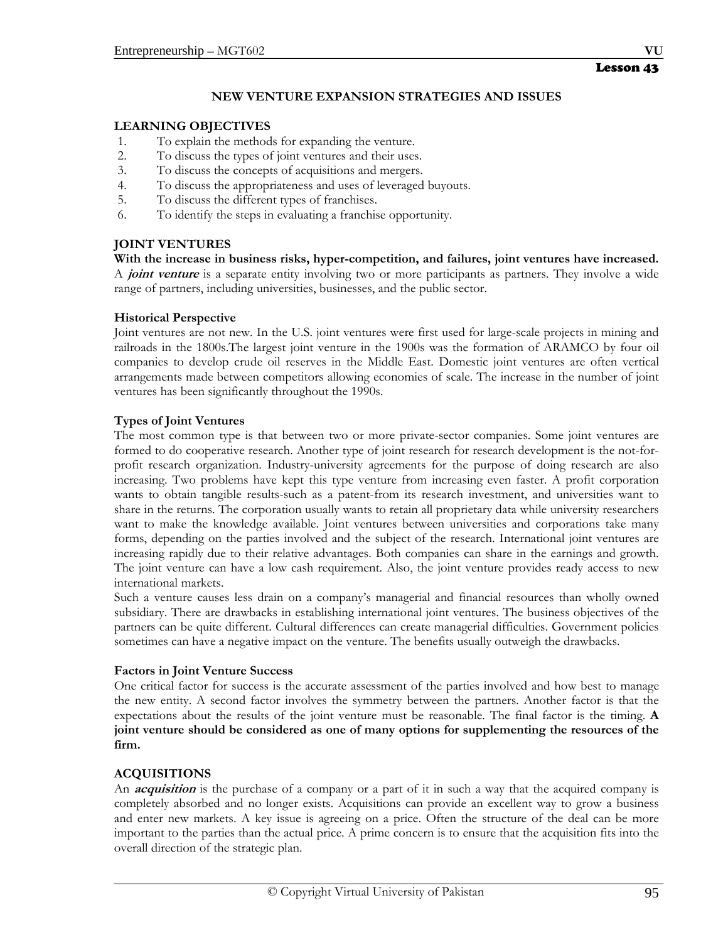#### **NEW VENTURE EXPANSION STRATEGIES AND ISSUES**

#### **LEARNING OBJECTIVES**

- 1. To explain the methods for expanding the venture.
- 2. To discuss the types of joint ventures and their uses.
- 3. To discuss the concepts of acquisitions and mergers.
- 4. To discuss the appropriateness and uses of leveraged buyouts.
- 5. To discuss the different types of franchises.
- 6. To identify the steps in evaluating a franchise opportunity.

## **JOINT VENTURES**

**With the increase in business risks, hyper-competition, and failures, joint ventures have increased.**  A **joint venture** is a separate entity involving two or more participants as partners. They involve a wide range of partners, including universities, businesses, and the public sector.

#### **Historical Perspective**

Joint ventures are not new. In the U.S. joint ventures were first used for large-scale projects in mining and railroads in the 1800s.The largest joint venture in the 1900s was the formation of ARAMCO by four oil companies to develop crude oil reserves in the Middle East. Domestic joint ventures are often vertical arrangements made between competitors allowing economies of scale. The increase in the number of joint ventures has been significantly throughout the 1990s.

#### **Types of Joint Ventures**

The most common type is that between two or more private-sector companies. Some joint ventures are formed to do cooperative research. Another type of joint research for research development is the not-forprofit research organization. Industry-university agreements for the purpose of doing research are also increasing. Two problems have kept this type venture from increasing even faster. A profit corporation wants to obtain tangible results-such as a patent-from its research investment, and universities want to share in the returns. The corporation usually wants to retain all proprietary data while university researchers want to make the knowledge available. Joint ventures between universities and corporations take many forms, depending on the parties involved and the subject of the research. International joint ventures are increasing rapidly due to their relative advantages. Both companies can share in the earnings and growth. The joint venture can have a low cash requirement. Also, the joint venture provides ready access to new international markets.

Such a venture causes less drain on a company's managerial and financial resources than wholly owned subsidiary. There are drawbacks in establishing international joint ventures. The business objectives of the partners can be quite different. Cultural differences can create managerial difficulties. Government policies sometimes can have a negative impact on the venture. The benefits usually outweigh the drawbacks.

#### **Factors in Joint Venture Success**

One critical factor for success is the accurate assessment of the parties involved and how best to manage the new entity. A second factor involves the symmetry between the partners. Another factor is that the expectations about the results of the joint venture must be reasonable. The final factor is the timing. **A joint venture should be considered as one of many options for supplementing the resources of the firm.**

#### **ACQUISITIONS**

An **acquisition** is the purchase of a company or a part of it in such a way that the acquired company is completely absorbed and no longer exists. Acquisitions can provide an excellent way to grow a business and enter new markets. A key issue is agreeing on a price. Often the structure of the deal can be more important to the parties than the actual price. A prime concern is to ensure that the acquisition fits into the overall direction of the strategic plan.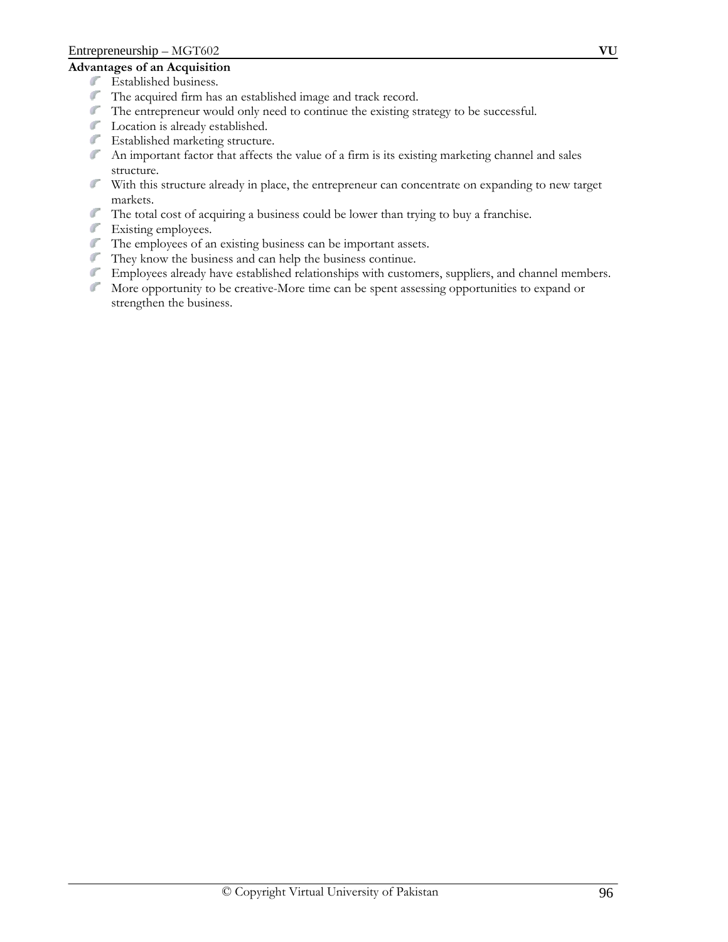## **Advantages of an Acquisition**

- Established business.
- The acquired firm has an established image and track record.
- The entrepreneur would only need to continue the existing strategy to be successful.
- Location is already established.
- Established marketing structure.
- An important factor that affects the value of a firm is its existing marketing channel and sales structure.
- With this structure already in place, the entrepreneur can concentrate on expanding to new target markets.
- The total cost of acquiring a business could be lower than trying to buy a franchise.
- Existing employees.
- The employees of an existing business can be important assets.
- They know the business and can help the business continue.
- Employees already have established relationships with customers, suppliers, and channel members.
- More opportunity to be creative-More time can be spent assessing opportunities to expand or strengthen the business.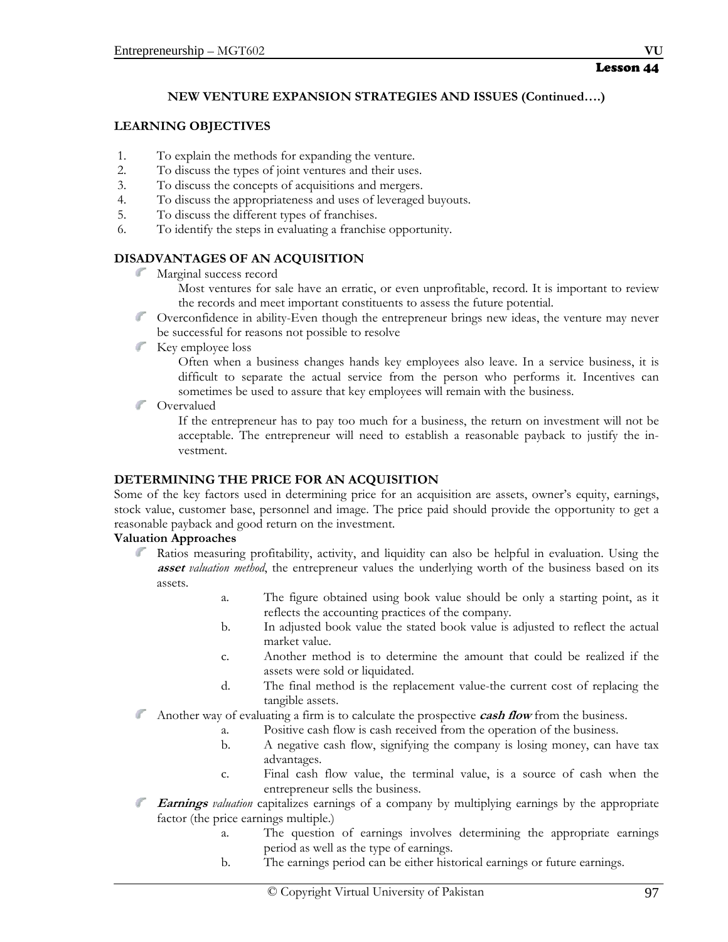#### Lesson 44

## **NEW VENTURE EXPANSION STRATEGIES AND ISSUES (Continued….)**

#### **LEARNING OBJECTIVES**

- 1. To explain the methods for expanding the venture.
- 2. To discuss the types of joint ventures and their uses.
- 3. To discuss the concepts of acquisitions and mergers.
- 4. To discuss the appropriateness and uses of leveraged buyouts.
- 5. To discuss the different types of franchises.
- 6. To identify the steps in evaluating a franchise opportunity.

## **DISADVANTAGES OF AN ACQUISITION**

- Marginal success record
	- Most ventures for sale have an erratic, or even unprofitable, record. It is important to review the records and meet important constituents to assess the future potential.
- Overconfidence in ability-Even though the entrepreneur brings new ideas, the venture may never be successful for reasons not possible to resolve
- Key employee loss

Often when a business changes hands key employees also leave. In a service business, it is difficult to separate the actual service from the person who performs it. Incentives can sometimes be used to assure that key employees will remain with the business.

**Covervalued** 

If the entrepreneur has to pay too much for a business, the return on investment will not be acceptable. The entrepreneur will need to establish a reasonable payback to justify the investment.

#### **DETERMINING THE PRICE FOR AN ACQUISITION**

Some of the key factors used in determining price for an acquisition are assets, owner's equity, earnings, stock value, customer base, personnel and image. The price paid should provide the opportunity to get a reasonable payback and good return on the investment.

## **Valuation Approaches**

- $\mathbb{Z}^n$ Ratios measuring profitability, activity, and liquidity can also be helpful in evaluation. Using the **asset** *valuation method*, the entrepreneur values the underlying worth of the business based on its assets.
	- a. The figure obtained using book value should be only a starting point, as it reflects the accounting practices of the company.
	- b. In adjusted book value the stated book value is adjusted to reflect the actual market value.
	- c. Another method is to determine the amount that could be realized if the assets were sold or liquidated.
	- d. The final method is the replacement value-the current cost of replacing the tangible assets.
- Another way of evaluating a firm is to calculate the prospective **cash flow** from the business.
	- a. Positive cash flow is cash received from the operation of the business.
	- b. A negative cash flow, signifying the company is losing money, can have tax advantages.
	- c. Final cash flow value, the terminal value, is a source of cash when the entrepreneur sells the business.
- **Earnings** *valuation* capitalizes earnings of a company by multiplying earnings by the appropriate factor (the price earnings multiple.)
	- a. The question of earnings involves determining the appropriate earnings period as well as the type of earnings.
	- b. The earnings period can be either historical earnings or future earnings.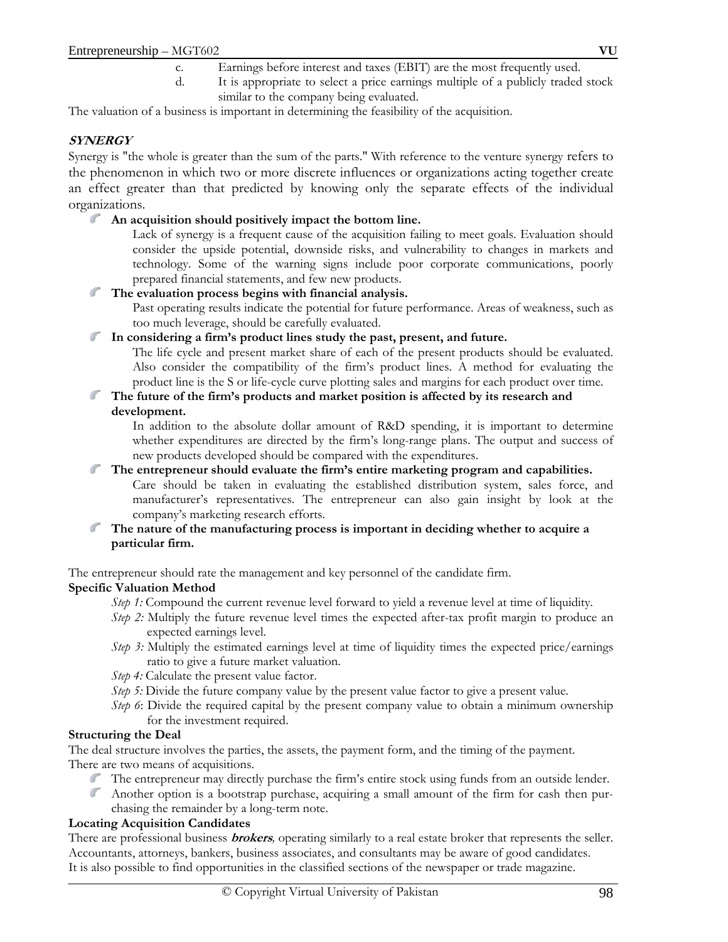- c. Earnings before interest and taxes (EBIT) are the most frequently used.
- d. It is appropriate to select a price earnings multiple of a publicly traded stock similar to the company being evaluated.

The valuation of a business is important in determining the feasibility of the acquisition.

## **SYNERGY**

Synergy is "the whole is greater than the sum of the parts." With reference to the venture synergy refers to the phenomenon in which two or more discrete influences or organizations acting together create an effect greater than that predicted by knowing only the separate effects of the individual organizations.

**An acquisition should positively impact the bottom line.** 

Lack of synergy is a frequent cause of the acquisition failing to meet goals. Evaluation should consider the upside potential, downside risks, and vulnerability to changes in markets and technology. Some of the warning signs include poor corporate communications, poorly prepared financial statements, and few new products.

**The evaluation process begins with financial analysis.** 

Past operating results indicate the potential for future performance. Areas of weakness, such as too much leverage, should be carefully evaluated.

**In considering a firm's product lines study the past, present, and future.** 

The life cycle and present market share of each of the present products should be evaluated. Also consider the compatibility of the firm's product lines. A method for evaluating the product line is the S or life-cycle curve plotting sales and margins for each product over time.

**The future of the firm's products and market position is affected by its research and development.** 

In addition to the absolute dollar amount of R&D spending, it is important to determine whether expenditures are directed by the firm's long-range plans. The output and success of new products developed should be compared with the expenditures.

## **The entrepreneur should evaluate the firm's entire marketing program and capabilities.**

Care should be taken in evaluating the established distribution system, sales force, and manufacturer's representatives. The entrepreneur can also gain insight by look at the company's marketing research efforts.

 $\mathbb{Z}^{\mathbb{Z}^n}$ **The nature of the manufacturing process is important in deciding whether to acquire a particular firm.** 

The entrepreneur should rate the management and key personnel of the candidate firm. **Specific Valuation Method** 

- *Step 1:* Compound the current revenue level forward to yield a revenue level at time of liquidity.
- *Step 2:* Multiply the future revenue level times the expected after-tax profit margin to produce an expected earnings level.
- *Step 3:* Multiply the estimated earnings level at time of liquidity times the expected price/earnings ratio to give a future market valuation.
- *Step 4:* Calculate the present value factor.
- *Step 5:* Divide the future company value by the present value factor to give a present value.
- *Step 6*: Divide the required capital by the present company value to obtain a minimum ownership for the investment required.

## **Structuring the Deal**

The deal structure involves the parties, the assets, the payment form, and the timing of the payment. There are two means of acquisitions.

- The entrepreneur may directly purchase the firm's entire stock using funds from an outside lender.
- Another option is a bootstrap purchase, acquiring a small amount of the firm for cash then purchasing the remainder by a long-term note.

#### **Locating Acquisition Candidates**

There are professional business **brokers***,* operating similarly to a real estate broker that represents the seller. Accountants, attorneys, bankers, business associates, and consultants may be aware of good candidates. It is also possible to find opportunities in the classified sections of the newspaper or trade magazine.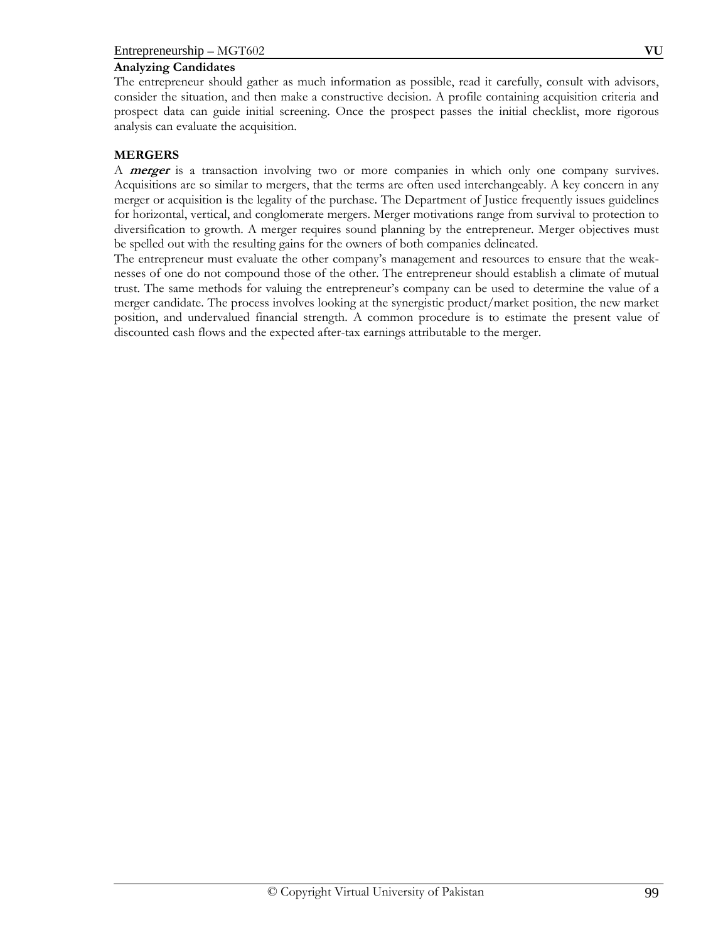## **Analyzing Candidates**

The entrepreneur should gather as much information as possible, read it carefully, consult with advisors, consider the situation, and then make a constructive decision. A profile containing acquisition criteria and prospect data can guide initial screening. Once the prospect passes the initial checklist, more rigorous analysis can evaluate the acquisition.

## **MERGERS**

A **merger** is a transaction involving two or more companies in which only one company survives. Acquisitions are so similar to mergers, that the terms are often used interchangeably. A key concern in any merger or acquisition is the legality of the purchase. The Department of Justice frequently issues guidelines for horizontal, vertical, and conglomerate mergers. Merger motivations range from survival to protection to diversification to growth. A merger requires sound planning by the entrepreneur. Merger objectives must be spelled out with the resulting gains for the owners of both companies delineated.

The entrepreneur must evaluate the other company's management and resources to ensure that the weaknesses of one do not compound those of the other. The entrepreneur should establish a climate of mutual trust. The same methods for valuing the entrepreneur's company can be used to determine the value of a merger candidate. The process involves looking at the synergistic product/market position, the new market position, and undervalued financial strength. A common procedure is to estimate the present value of discounted cash flows and the expected after-tax earnings attributable to the merger.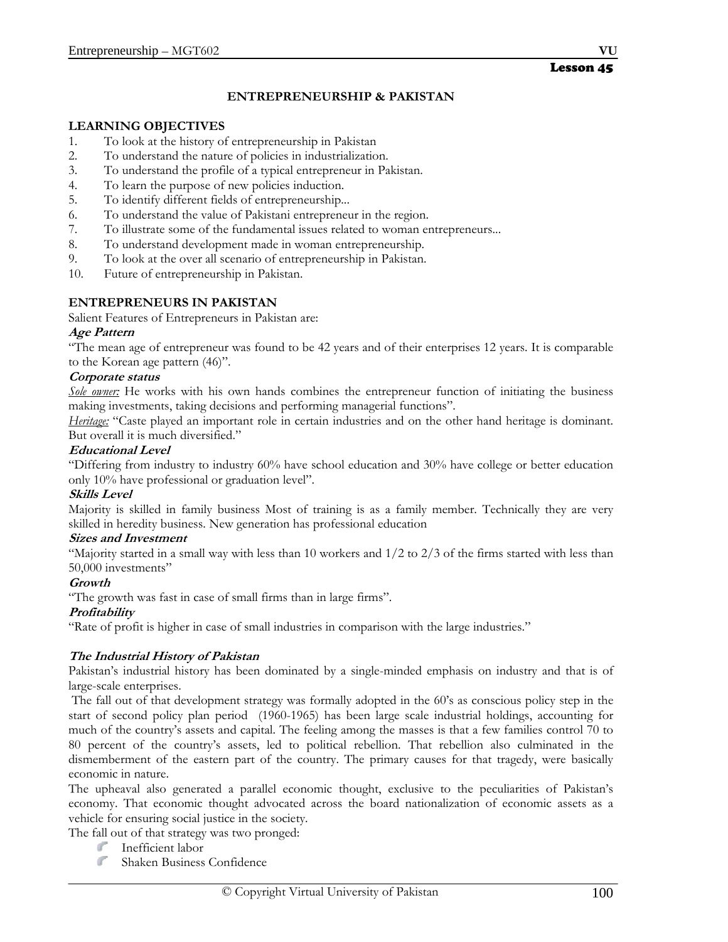# Lesson 45

## **ENTREPRENEURSHIP & PAKISTAN**

#### **LEARNING OBJECTIVES**

- 1. To look at the history of entrepreneurship in Pakistan
- 2. To understand the nature of policies in industrialization.
- 3. To understand the profile of a typical entrepreneur in Pakistan.
- 4. To learn the purpose of new policies induction.
- 5. To identify different fields of entrepreneurship...
- 6. To understand the value of Pakistani entrepreneur in the region.
- 7. To illustrate some of the fundamental issues related to woman entrepreneurs...
- 8. To understand development made in woman entrepreneurship.
- 9. To look at the over all scenario of entrepreneurship in Pakistan.
- 10. Future of entrepreneurship in Pakistan.

#### **ENTREPRENEURS IN PAKISTAN**

Salient Features of Entrepreneurs in Pakistan are:

#### **Age Pattern**

"The mean age of entrepreneur was found to be 42 years and of their enterprises 12 years. It is comparable to the Korean age pattern (46)".

#### **Corporate status**

*Sole owner:* He works with his own hands combines the entrepreneur function of initiating the business making investments, taking decisions and performing managerial functions".

*Heritage:* "Caste played an important role in certain industries and on the other hand heritage is dominant. But overall it is much diversified."

#### **Educational Level**

"Differing from industry to industry 60% have school education and 30% have college or better education only 10% have professional or graduation level".

#### **Skills Level**

Majority is skilled in family business Most of training is as a family member. Technically they are very skilled in heredity business. New generation has professional education

#### **Sizes and Investment**

"Majority started in a small way with less than 10 workers and  $1/2$  to  $2/3$  of the firms started with less than 50,000 investments"

#### **Growth**

"The growth was fast in case of small firms than in large firms".

#### **Profitability**

"Rate of profit is higher in case of small industries in comparison with the large industries."

#### **The Industrial History of Pakistan**

Pakistan's industrial history has been dominated by a single-minded emphasis on industry and that is of large-scale enterprises.

 The fall out of that development strategy was formally adopted in the 60's as conscious policy step in the start of second policy plan period (1960-1965) has been large scale industrial holdings, accounting for much of the country's assets and capital. The feeling among the masses is that a few families control 70 to 80 percent of the country's assets, led to political rebellion. That rebellion also culminated in the dismemberment of the eastern part of the country. The primary causes for that tragedy, were basically economic in nature.

The upheaval also generated a parallel economic thought, exclusive to the peculiarities of Pakistan's economy. That economic thought advocated across the board nationalization of economic assets as a vehicle for ensuring social justice in the society.

The fall out of that strategy was two pronged:

- ď. Inefficient labor
- $\mathbb{Z}^{\mathbb{Z}^n}$ Shaken Business Confidence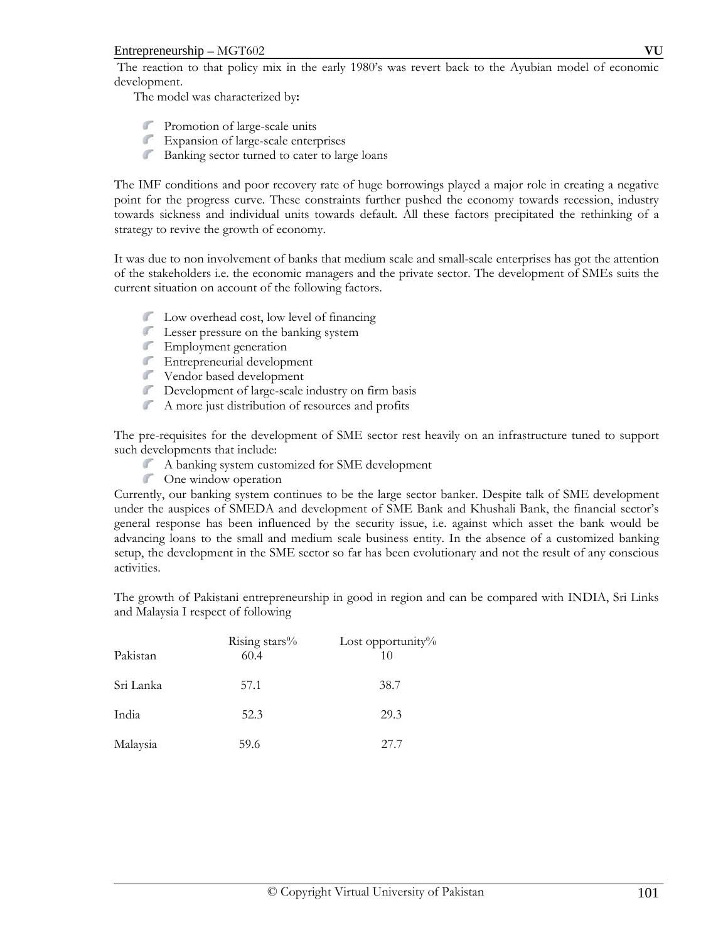The reaction to that policy mix in the early 1980's was revert back to the Ayubian model of economic development.

The model was characterized by**:** 

- Promotion of large-scale units
- $\mathcal{F}$ Expansion of large-scale enterprises
- $\int_{\mathbb{R}^2}$ Banking sector turned to cater to large loans

The IMF conditions and poor recovery rate of huge borrowings played a major role in creating a negative point for the progress curve. These constraints further pushed the economy towards recession, industry towards sickness and individual units towards default. All these factors precipitated the rethinking of a strategy to revive the growth of economy.

It was due to non involvement of banks that medium scale and small-scale enterprises has got the attention of the stakeholders i.e. the economic managers and the private sector. The development of SMEs suits the current situation on account of the following factors.

- **Low overhead cost, low level of financing**
- **Contract Contract Contract** Lesser pressure on the banking system
- Employment generation
- Entrepreneurial development
- Vendor based development
- Development of large-scale industry on firm basis
- **College Road** A more just distribution of resources and profits

The pre-requisites for the development of SME sector rest heavily on an infrastructure tuned to support such developments that include:

- A banking system customized for SME development
- One window operation

Currently, our banking system continues to be the large sector banker. Despite talk of SME development under the auspices of SMEDA and development of SME Bank and Khushali Bank, the financial sector's general response has been influenced by the security issue, i.e. against which asset the bank would be advancing loans to the small and medium scale business entity. In the absence of a customized banking setup, the development in the SME sector so far has been evolutionary and not the result of any conscious activities.

The growth of Pakistani entrepreneurship in good in region and can be compared with INDIA, Sri Links and Malaysia I respect of following

| Pakistan  | Rising stars%<br>60.4 | Lost opportunity $\%$<br>10 |
|-----------|-----------------------|-----------------------------|
| Sri Lanka | 57.1                  | 38.7                        |
| India     | 52.3                  | 29.3                        |
| Malaysia  | 59.6                  | 27.7                        |